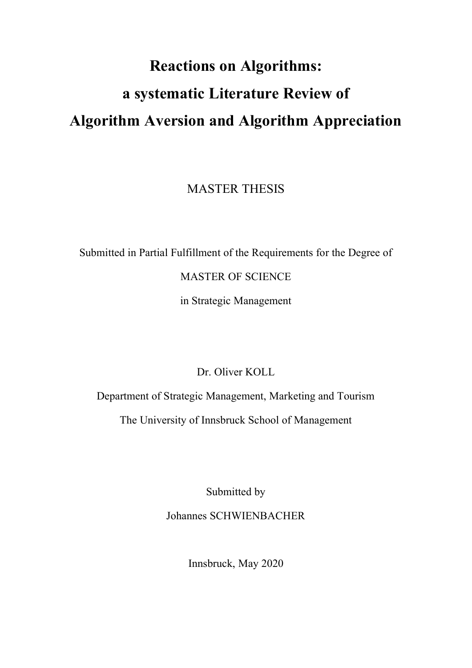# **Reactions on Algorithms: a systematic Literature Review of Algorithm Aversion and Algorithm Appreciation**

MASTER THESIS

Submitted in Partial Fulfillment of the Requirements for the Degree of

MASTER OF SCIENCE

in Strategic Management

Dr. Oliver KOLL

Department of Strategic Management, Marketing and Tourism

The University of Innsbruck School of Management

Submitted by

Johannes SCHWIENBACHER

Innsbruck, May 2020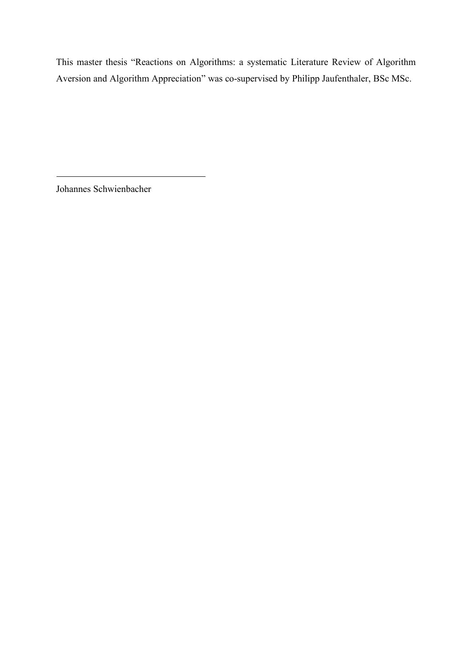This master thesis "Reactions on Algorithms: a systematic Literature Review of Algorithm Aversion and Algorithm Appreciation" was co-supervised by Philipp Jaufenthaler, BSc MSc.

Johannes Schwienbacher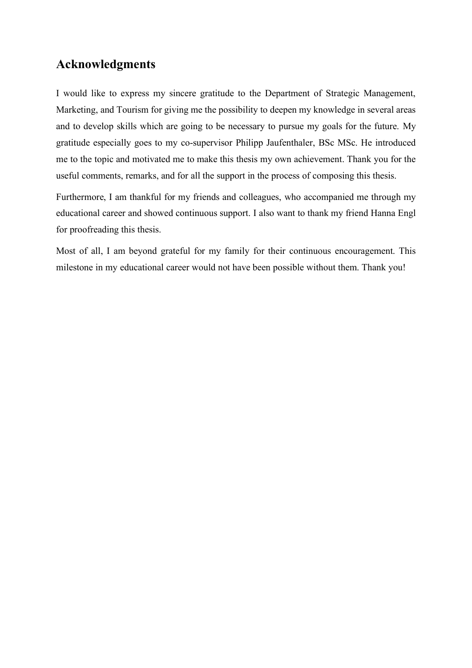# **Acknowledgments**

I would like to express my sincere gratitude to the Department of Strategic Management, Marketing, and Tourism for giving me the possibility to deepen my knowledge in several areas and to develop skills which are going to be necessary to pursue my goals for the future. My gratitude especially goes to my co-supervisor Philipp Jaufenthaler, BSc MSc. He introduced me to the topic and motivated me to make this thesis my own achievement. Thank you for the useful comments, remarks, and for all the support in the process of composing this thesis.

Furthermore, I am thankful for my friends and colleagues, who accompanied me through my educational career and showed continuous support. I also want to thank my friend Hanna Engl for proofreading this thesis.

Most of all, I am beyond grateful for my family for their continuous encouragement. This milestone in my educational career would not have been possible without them. Thank you!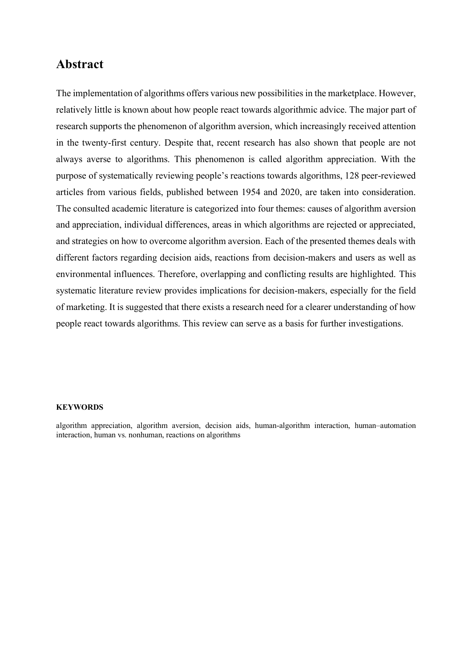# **Abstract**

The implementation of algorithms offers various new possibilities in the marketplace. However, relatively little is known about how people react towards algorithmic advice. The major part of research supports the phenomenon of algorithm aversion, which increasingly received attention in the twenty-first century. Despite that, recent research has also shown that people are not always averse to algorithms. This phenomenon is called algorithm appreciation. With the purpose of systematically reviewing people's reactions towards algorithms, 128 peer-reviewed articles from various fields, published between 1954 and 2020, are taken into consideration. The consulted academic literature is categorized into four themes: causes of algorithm aversion and appreciation, individual differences, areas in which algorithms are rejected or appreciated, and strategies on how to overcome algorithm aversion. Each of the presented themes deals with different factors regarding decision aids, reactions from decision-makers and users as well as environmental influences. Therefore, overlapping and conflicting results are highlighted. This systematic literature review provides implications for decision-makers, especially for the field of marketing. It is suggested that there exists a research need for a clearer understanding of how people react towards algorithms. This review can serve as a basis for further investigations.

#### **KEYWORDS**

algorithm appreciation, algorithm aversion, decision aids, human-algorithm interaction, human–automation interaction, human vs. nonhuman, reactions on algorithms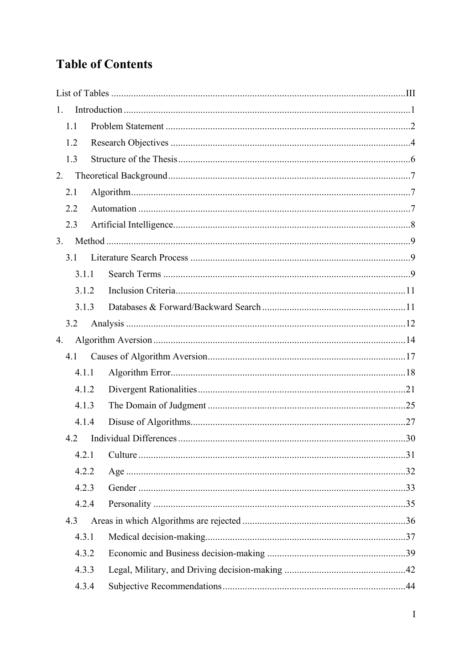# **Table of Contents**

| 1.    |  |
|-------|--|
| 1.1   |  |
| 1.2   |  |
| 1.3   |  |
| 2.    |  |
| 2.1   |  |
| 2.2   |  |
| 2.3   |  |
| 3.    |  |
| 3.1   |  |
| 3.1.1 |  |
| 3.1.2 |  |
| 3.1.3 |  |
| 3.2   |  |
| 4.    |  |
| 4.1   |  |
| 4.1.1 |  |
| 4.1.2 |  |
| 4.1.3 |  |
| 4.1.4 |  |
| 4.2   |  |
| 4.2.1 |  |
| 4.2.2 |  |
| 4.2.3 |  |
| 4.2.4 |  |
| 4.3   |  |
| 4.3.1 |  |
| 4.3.2 |  |
| 4.3.3 |  |
| 4.3.4 |  |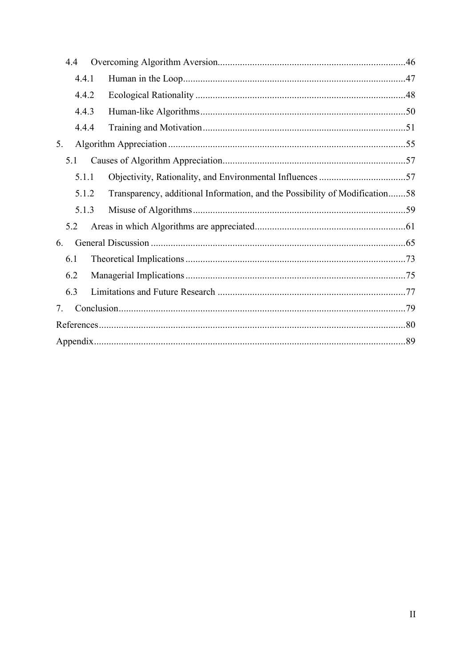| 4.4 |       |                                                                             |  |  |  |  |
|-----|-------|-----------------------------------------------------------------------------|--|--|--|--|
|     | 4.4.1 |                                                                             |  |  |  |  |
|     | 4.4.2 |                                                                             |  |  |  |  |
|     | 4.4.3 |                                                                             |  |  |  |  |
|     | 4.4.4 |                                                                             |  |  |  |  |
| 5.  |       |                                                                             |  |  |  |  |
| 5.1 |       |                                                                             |  |  |  |  |
|     | 5.1.1 |                                                                             |  |  |  |  |
|     | 5.1.2 | Transparency, additional Information, and the Possibility of Modification58 |  |  |  |  |
|     | 5.1.3 |                                                                             |  |  |  |  |
| 5.2 |       |                                                                             |  |  |  |  |
| 6.  |       |                                                                             |  |  |  |  |
| 6.1 |       |                                                                             |  |  |  |  |
| 6.2 |       |                                                                             |  |  |  |  |
| 6.3 |       |                                                                             |  |  |  |  |
| 7.  |       |                                                                             |  |  |  |  |
|     |       |                                                                             |  |  |  |  |
|     |       |                                                                             |  |  |  |  |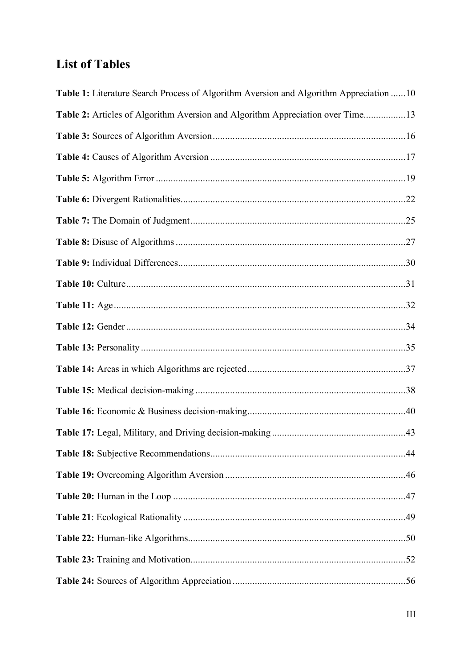# <span id="page-6-0"></span>**List of Tables**

| Table 1: Literature Search Process of Algorithm Aversion and Algorithm Appreciation 10 |
|----------------------------------------------------------------------------------------|
| Table 2: Articles of Algorithm Aversion and Algorithm Appreciation over Time13         |
|                                                                                        |
|                                                                                        |
|                                                                                        |
|                                                                                        |
|                                                                                        |
|                                                                                        |
|                                                                                        |
|                                                                                        |
|                                                                                        |
|                                                                                        |
|                                                                                        |
|                                                                                        |
|                                                                                        |
|                                                                                        |
|                                                                                        |
|                                                                                        |
|                                                                                        |
|                                                                                        |
|                                                                                        |
|                                                                                        |
|                                                                                        |
|                                                                                        |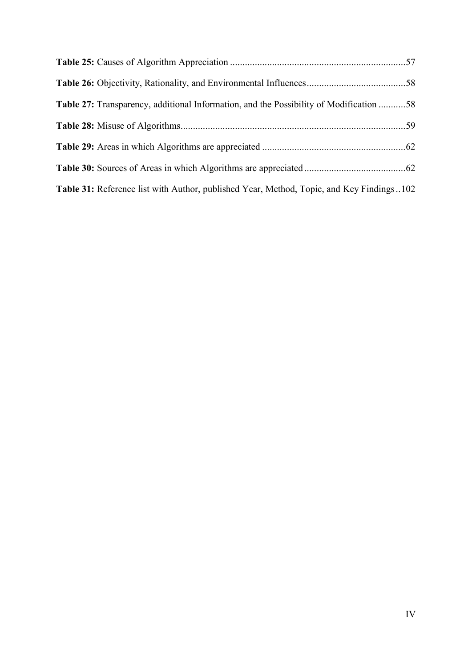| Table 27: Transparency, additional Information, and the Possibility of Modification 58   |  |
|------------------------------------------------------------------------------------------|--|
|                                                                                          |  |
|                                                                                          |  |
|                                                                                          |  |
| Table 31: Reference list with Author, published Year, Method, Topic, and Key Findings102 |  |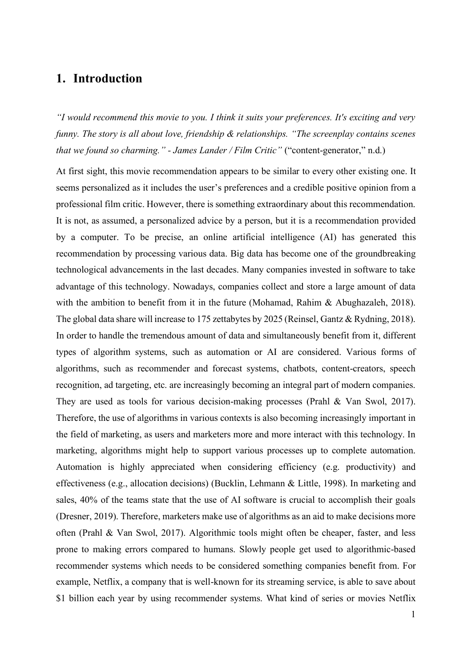# <span id="page-8-0"></span>**1. Introduction**

*"I would recommend this movie to you. I think it suits your preferences. It's exciting and very funny. The story is all about love, friendship & relationships. "The screenplay contains scenes that we found so charming." - James Lander / Film Critic"* ("content-generator," n.d.)

At first sight, this movie recommendation appears to be similar to every other existing one. It seems personalized as it includes the user's preferences and a credible positive opinion from a professional film critic. However, there is something extraordinary about this recommendation. It is not, as assumed, a personalized advice by a person, but it is a recommendation provided by a computer. To be precise, an online artificial intelligence (AI) has generated this recommendation by processing various data. Big data has become one of the groundbreaking technological advancements in the last decades. Many companies invested in software to take advantage of this technology. Nowadays, companies collect and store a large amount of data with the ambition to benefit from it in the future (Mohamad, Rahim & Abughazaleh, 2018). The global data share will increase to 175 zettabytes by 2025 (Reinsel, Gantz & Rydning, 2018). In order to handle the tremendous amount of data and simultaneously benefit from it, different types of algorithm systems, such as automation or AI are considered. Various forms of algorithms, such as recommender and forecast systems, chatbots, content-creators, speech recognition, ad targeting, etc. are increasingly becoming an integral part of modern companies. They are used as tools for various decision-making processes (Prahl & Van Swol, 2017). Therefore, the use of algorithms in various contexts is also becoming increasingly important in the field of marketing, as users and marketers more and more interact with this technology. In marketing, algorithms might help to support various processes up to complete automation. Automation is highly appreciated when considering efficiency (e.g. productivity) and effectiveness (e.g., allocation decisions) (Bucklin, Lehmann & Little, 1998). In marketing and sales, 40% of the teams state that the use of AI software is crucial to accomplish their goals (Dresner, 2019). Therefore, marketers make use of algorithms as an aid to make decisions more often (Prahl & Van Swol, 2017). Algorithmic tools might often be cheaper, faster, and less prone to making errors compared to humans. Slowly people get used to algorithmic-based recommender systems which needs to be considered something companies benefit from. For example, Netflix, a company that is well-known for its streaming service, is able to save about \$1 billion each year by using recommender systems. What kind of series or movies Netflix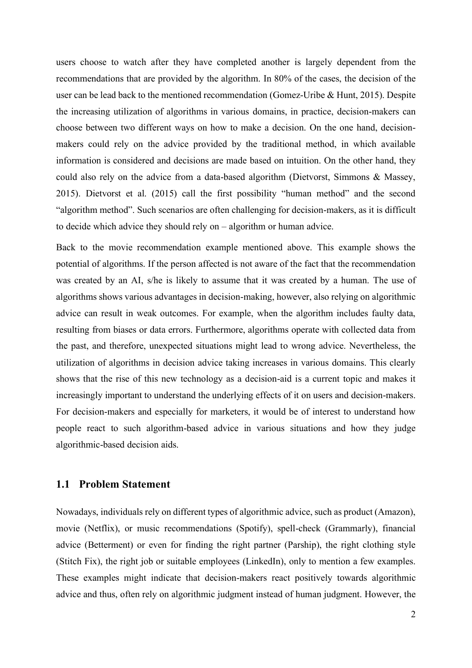users choose to watch after they have completed another is largely dependent from the recommendations that are provided by the algorithm. In 80% of the cases, the decision of the user can be lead back to the mentioned recommendation (Gomez-Uribe & Hunt, 2015). Despite the increasing utilization of algorithms in various domains, in practice, decision-makers can choose between two different ways on how to make a decision. On the one hand, decisionmakers could rely on the advice provided by the traditional method, in which available information is considered and decisions are made based on intuition. On the other hand, they could also rely on the advice from a data-based algorithm (Dietvorst, Simmons & Massey, 2015). Dietvorst et al. (2015) call the first possibility "human method" and the second "algorithm method". Such scenarios are often challenging for decision-makers, as it is difficult to decide which advice they should rely on – algorithm or human advice.

Back to the movie recommendation example mentioned above. This example shows the potential of algorithms. If the person affected is not aware of the fact that the recommendation was created by an AI, s/he is likely to assume that it was created by a human. The use of algorithms shows various advantages in decision-making, however, also relying on algorithmic advice can result in weak outcomes. For example, when the algorithm includes faulty data, resulting from biases or data errors. Furthermore, algorithms operate with collected data from the past, and therefore, unexpected situations might lead to wrong advice. Nevertheless, the utilization of algorithms in decision advice taking increases in various domains. This clearly shows that the rise of this new technology as a decision-aid is a current topic and makes it increasingly important to understand the underlying effects of it on users and decision-makers. For decision-makers and especially for marketers, it would be of interest to understand how people react to such algorithm-based advice in various situations and how they judge algorithmic-based decision aids.

### <span id="page-9-0"></span>**1.1 Problem Statement**

Nowadays, individuals rely on different types of algorithmic advice, such as product (Amazon), movie (Netflix), or music recommendations (Spotify), spell-check (Grammarly), financial advice (Betterment) or even for finding the right partner (Parship), the right clothing style (Stitch Fix), the right job or suitable employees (LinkedIn), only to mention a few examples. These examples might indicate that decision-makers react positively towards algorithmic advice and thus, often rely on algorithmic judgment instead of human judgment. However, the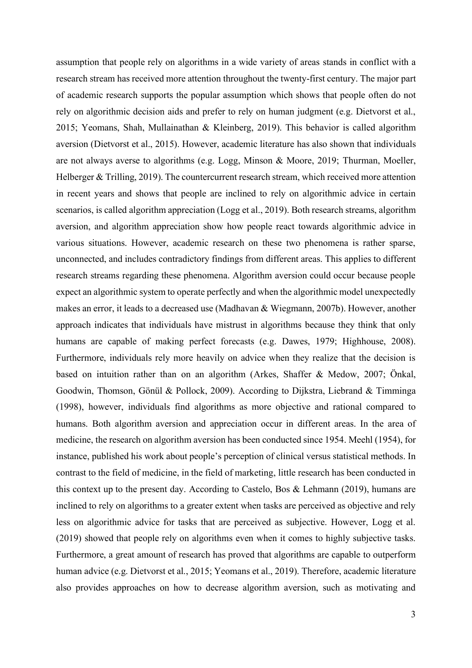assumption that people rely on algorithms in a wide variety of areas stands in conflict with a research stream has received more attention throughout the twenty-first century. The major part of academic research supports the popular assumption which shows that people often do not rely on algorithmic decision aids and prefer to rely on human judgment (e.g. Dietvorst et al., 2015; Yeomans, Shah, Mullainathan & Kleinberg, 2019). This behavior is called algorithm aversion (Dietvorst et al., 2015). However, academic literature has also shown that individuals are not always averse to algorithms (e.g. Logg, Minson & Moore, 2019; Thurman, Moeller, Helberger & Trilling, 2019). The countercurrent research stream, which received more attention in recent years and shows that people are inclined to rely on algorithmic advice in certain scenarios, is called algorithm appreciation (Logg et al., 2019). Both research streams, algorithm aversion, and algorithm appreciation show how people react towards algorithmic advice in various situations. However, academic research on these two phenomena is rather sparse, unconnected, and includes contradictory findings from different areas. This applies to different research streams regarding these phenomena. Algorithm aversion could occur because people expect an algorithmic system to operate perfectly and when the algorithmic model unexpectedly makes an error, it leads to a decreased use (Madhavan & Wiegmann, 2007b). However, another approach indicates that individuals have mistrust in algorithms because they think that only humans are capable of making perfect forecasts (e.g. Dawes, 1979; Highhouse, 2008). Furthermore, individuals rely more heavily on advice when they realize that the decision is based on intuition rather than on an algorithm (Arkes, Shaffer & Medow, 2007; Önkal, Goodwin, Thomson, Gönül & Pollock, 2009). According to Dijkstra, Liebrand & Timminga (1998), however, individuals find algorithms as more objective and rational compared to humans. Both algorithm aversion and appreciation occur in different areas. In the area of medicine, the research on algorithm aversion has been conducted since 1954. Meehl (1954), for instance, published his work about people's perception of clinical versus statistical methods. In contrast to the field of medicine, in the field of marketing, little research has been conducted in this context up to the present day. According to Castelo, Bos & Lehmann (2019), humans are inclined to rely on algorithms to a greater extent when tasks are perceived as objective and rely less on algorithmic advice for tasks that are perceived as subjective. However, Logg et al. (2019) showed that people rely on algorithms even when it comes to highly subjective tasks. Furthermore, a great amount of research has proved that algorithms are capable to outperform human advice (e.g. Dietvorst et al., 2015; Yeomans et al., 2019). Therefore, academic literature also provides approaches on how to decrease algorithm aversion, such as motivating and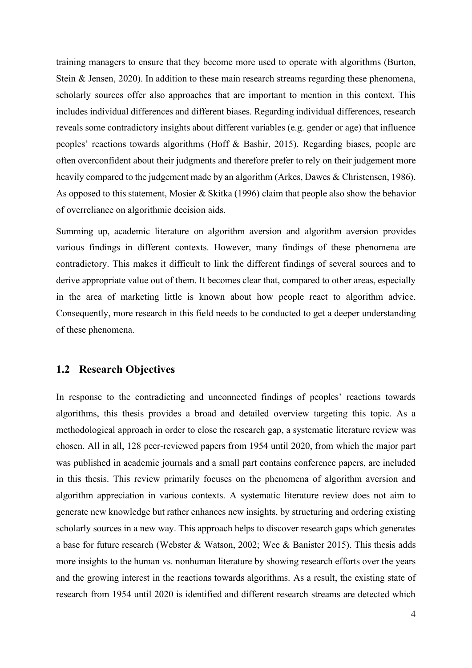training managers to ensure that they become more used to operate with algorithms (Burton, Stein & Jensen, 2020). In addition to these main research streams regarding these phenomena, scholarly sources offer also approaches that are important to mention in this context. This includes individual differences and different biases. Regarding individual differences, research reveals some contradictory insights about different variables (e.g. gender or age) that influence peoples' reactions towards algorithms (Hoff & Bashir, 2015). Regarding biases, people are often overconfident about their judgments and therefore prefer to rely on their judgement more heavily compared to the judgement made by an algorithm (Arkes, Dawes & Christensen, 1986). As opposed to this statement, Mosier & Skitka (1996) claim that people also show the behavior of overreliance on algorithmic decision aids.

Summing up, academic literature on algorithm aversion and algorithm aversion provides various findings in different contexts. However, many findings of these phenomena are contradictory. This makes it difficult to link the different findings of several sources and to derive appropriate value out of them. It becomes clear that, compared to other areas, especially in the area of marketing little is known about how people react to algorithm advice. Consequently, more research in this field needs to be conducted to get a deeper understanding of these phenomena.

#### <span id="page-11-0"></span>**1.2 Research Objectives**

In response to the contradicting and unconnected findings of peoples' reactions towards algorithms, this thesis provides a broad and detailed overview targeting this topic. As a methodological approach in order to close the research gap, a systematic literature review was chosen. All in all, 128 peer-reviewed papers from 1954 until 2020, from which the major part was published in academic journals and a small part contains conference papers, are included in this thesis. This review primarily focuses on the phenomena of algorithm aversion and algorithm appreciation in various contexts. A systematic literature review does not aim to generate new knowledge but rather enhances new insights, by structuring and ordering existing scholarly sources in a new way. This approach helps to discover research gaps which generates a base for future research (Webster & Watson, 2002; Wee & Banister 2015). This thesis adds more insights to the human vs. nonhuman literature by showing research efforts over the years and the growing interest in the reactions towards algorithms. As a result, the existing state of research from 1954 until 2020 is identified and different research streams are detected which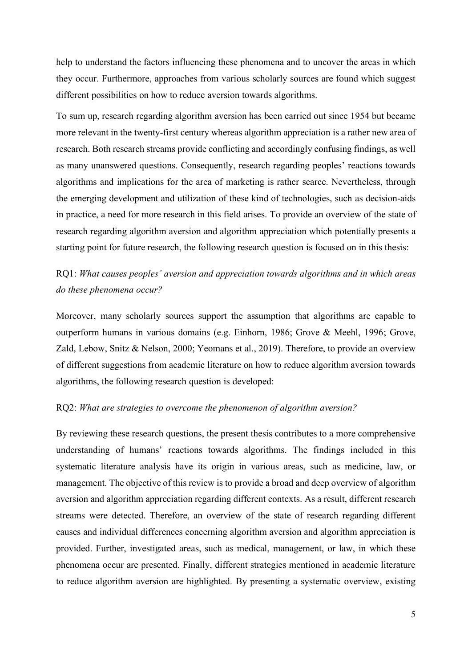help to understand the factors influencing these phenomena and to uncover the areas in which they occur. Furthermore, approaches from various scholarly sources are found which suggest different possibilities on how to reduce aversion towards algorithms.

To sum up, research regarding algorithm aversion has been carried out since 1954 but became more relevant in the twenty-first century whereas algorithm appreciation is a rather new area of research. Both research streams provide conflicting and accordingly confusing findings, as well as many unanswered questions. Consequently, research regarding peoples' reactions towards algorithms and implications for the area of marketing is rather scarce. Nevertheless, through the emerging development and utilization of these kind of technologies, such as decision-aids in practice, a need for more research in this field arises. To provide an overview of the state of research regarding algorithm aversion and algorithm appreciation which potentially presents a starting point for future research, the following research question is focused on in this thesis:

# RQ1: *What causes peoples' aversion and appreciation towards algorithms and in which areas do these phenomena occur?*

Moreover, many scholarly sources support the assumption that algorithms are capable to outperform humans in various domains (e.g. Einhorn, 1986; Grove & Meehl, 1996; Grove, Zald, Lebow, Snitz & Nelson, 2000; Yeomans et al., 2019). Therefore, to provide an overview of different suggestions from academic literature on how to reduce algorithm aversion towards algorithms, the following research question is developed:

#### RQ2: *What are strategies to overcome the phenomenon of algorithm aversion?*

By reviewing these research questions, the present thesis contributes to a more comprehensive understanding of humans' reactions towards algorithms. The findings included in this systematic literature analysis have its origin in various areas, such as medicine, law, or management. The objective of this review is to provide a broad and deep overview of algorithm aversion and algorithm appreciation regarding different contexts. As a result, different research streams were detected. Therefore, an overview of the state of research regarding different causes and individual differences concerning algorithm aversion and algorithm appreciation is provided. Further, investigated areas, such as medical, management, or law, in which these phenomena occur are presented. Finally, different strategies mentioned in academic literature to reduce algorithm aversion are highlighted. By presenting a systematic overview, existing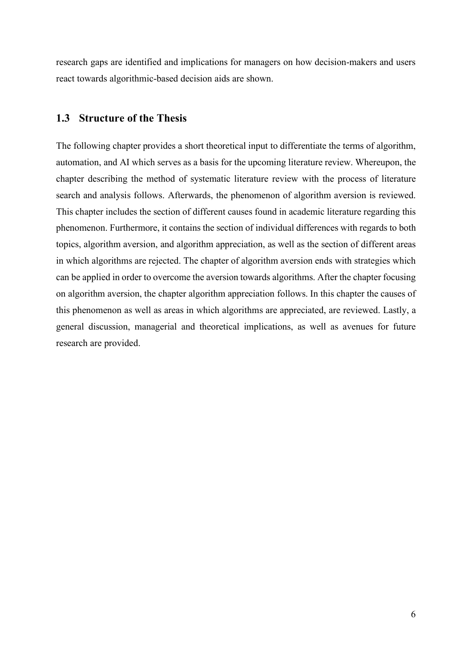research gaps are identified and implications for managers on how decision-makers and users react towards algorithmic-based decision aids are shown.

#### <span id="page-13-0"></span>**1.3 Structure of the Thesis**

The following chapter provides a short theoretical input to differentiate the terms of algorithm, automation, and AI which serves as a basis for the upcoming literature review. Whereupon, the chapter describing the method of systematic literature review with the process of literature search and analysis follows. Afterwards, the phenomenon of algorithm aversion is reviewed. This chapter includes the section of different causes found in academic literature regarding this phenomenon. Furthermore, it contains the section of individual differences with regards to both topics, algorithm aversion, and algorithm appreciation, as well as the section of different areas in which algorithms are rejected. The chapter of algorithm aversion ends with strategies which can be applied in order to overcome the aversion towards algorithms. After the chapter focusing on algorithm aversion, the chapter algorithm appreciation follows. In this chapter the causes of this phenomenon as well as areas in which algorithms are appreciated, are reviewed. Lastly, a general discussion, managerial and theoretical implications, as well as avenues for future research are provided.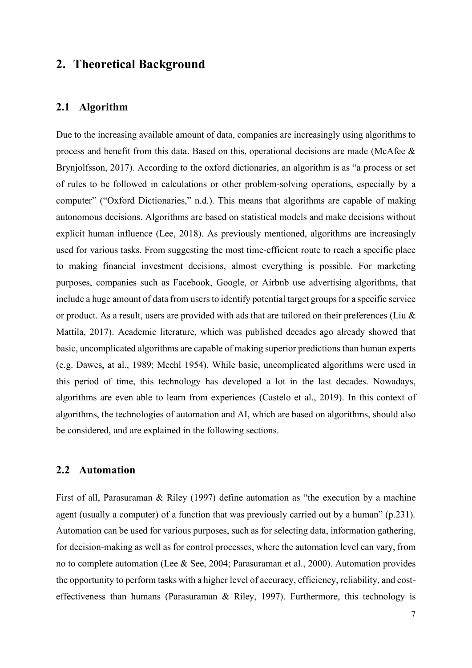# <span id="page-14-0"></span>**2. Theoretical Background**

#### <span id="page-14-1"></span>**2.1 Algorithm**

Due to the increasing available amount of data, companies are increasingly using algorithms to process and benefit from this data. Based on this, operational decisions are made (McAfee & Brynjolfsson, 2017). According to the oxford dictionaries, an algorithm is as "a process or set of rules to be followed in calculations or other problem-solving operations, especially by a computer" ("Oxford Dictionaries," n.d.). This means that algorithms are capable of making autonomous decisions. Algorithms are based on statistical models and make decisions without explicit human influence (Lee, 2018). As previously mentioned, algorithms are increasingly used for various tasks. From suggesting the most time-efficient route to reach a specific place to making financial investment decisions, almost everything is possible. For marketing purposes, companies such as Facebook, Google, or Airbnb use advertising algorithms, that include a huge amount of data from users to identify potential target groups for a specific service or product. As a result, users are provided with ads that are tailored on their preferences (Liu  $\&$ Mattila, 2017). Academic literature, which was published decades ago already showed that basic, uncomplicated algorithms are capable of making superior predictions than human experts (e.g. Dawes, at al., 1989; Meehl 1954). While basic, uncomplicated algorithms were used in this period of time, this technology has developed a lot in the last decades. Nowadays, algorithms are even able to learn from experiences (Castelo et al., 2019). In this context of algorithms, the technologies of automation and AI, which are based on algorithms, should also be considered, and are explained in the following sections.

#### <span id="page-14-2"></span>**2.2 Automation**

First of all, Parasuraman & Riley (1997) define automation as "the execution by a machine agent (usually a computer) of a function that was previously carried out by a human" (p.231). Automation can be used for various purposes, such as for selecting data, information gathering, for decision-making as well as for control processes, where the automation level can vary, from no to complete automation (Lee & See, 2004; Parasuraman et al., 2000). Automation provides the opportunity to perform tasks with a higher level of accuracy, efficiency, reliability, and costeffectiveness than humans (Parasuraman & Riley, 1997). Furthermore, this technology is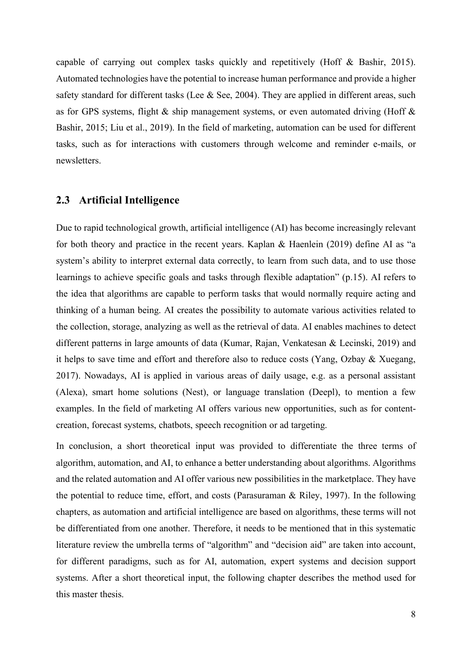capable of carrying out complex tasks quickly and repetitively (Hoff & Bashir, 2015). Automated technologies have the potential to increase human performance and provide a higher safety standard for different tasks (Lee & See, 2004). They are applied in different areas, such as for GPS systems, flight & ship management systems, or even automated driving (Hoff & Bashir, 2015; Liu et al., 2019). In the field of marketing, automation can be used for different tasks, such as for interactions with customers through welcome and reminder e-mails, or newsletters.

#### <span id="page-15-0"></span>**2.3 Artificial Intelligence**

Due to rapid technological growth, artificial intelligence (AI) has become increasingly relevant for both theory and practice in the recent years. Kaplan & Haenlein (2019) define AI as "a system's ability to interpret external data correctly, to learn from such data, and to use those learnings to achieve specific goals and tasks through flexible adaptation" (p.15). AI refers to the idea that algorithms are capable to perform tasks that would normally require acting and thinking of a human being. AI creates the possibility to automate various activities related to the collection, storage, analyzing as well as the retrieval of data. AI enables machines to detect different patterns in large amounts of data (Kumar, Rajan, Venkatesan & Lecinski, 2019) and it helps to save time and effort and therefore also to reduce costs (Yang, Ozbay & Xuegang, 2017). Nowadays, AI is applied in various areas of daily usage, e.g. as a personal assistant (Alexa), smart home solutions (Nest), or language translation (Deepl), to mention a few examples. In the field of marketing AI offers various new opportunities, such as for contentcreation, forecast systems, chatbots, speech recognition or ad targeting.

In conclusion, a short theoretical input was provided to differentiate the three terms of algorithm, automation, and AI, to enhance a better understanding about algorithms. Algorithms and the related automation and AI offer various new possibilities in the marketplace. They have the potential to reduce time, effort, and costs (Parasuraman & Riley, 1997). In the following chapters, as automation and artificial intelligence are based on algorithms, these terms will not be differentiated from one another. Therefore, it needs to be mentioned that in this systematic literature review the umbrella terms of "algorithm" and "decision aid" are taken into account, for different paradigms, such as for AI, automation, expert systems and decision support systems. After a short theoretical input, the following chapter describes the method used for this master thesis.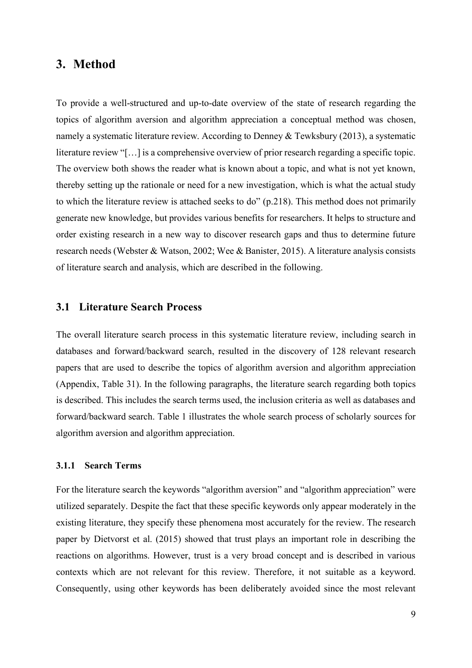## <span id="page-16-0"></span>**3. Method**

To provide a well-structured and up-to-date overview of the state of research regarding the topics of algorithm aversion and algorithm appreciation a conceptual method was chosen, namely a systematic literature review. According to Denney & Tewksbury (2013), a systematic literature review "[…] is a comprehensive overview of prior research regarding a specific topic. The overview both shows the reader what is known about a topic, and what is not yet known, thereby setting up the rationale or need for a new investigation, which is what the actual study to which the literature review is attached seeks to do" (p.218). This method does not primarily generate new knowledge, but provides various benefits for researchers. It helps to structure and order existing research in a new way to discover research gaps and thus to determine future research needs (Webster & Watson, 2002; Wee & Banister, 2015). A literature analysis consists of literature search and analysis, which are described in the following.

#### <span id="page-16-1"></span>**3.1 Literature Search Process**

The overall literature search process in this systematic literature review, including search in databases and forward/backward search, resulted in the discovery of 128 relevant research papers that are used to describe the topics of algorithm aversion and algorithm appreciation (Appendix, Table 31). In the following paragraphs, the literature search regarding both topics is described. This includes the search terms used, the inclusion criteria as well as databases and forward/backward search. Table 1 illustrates the whole search process of scholarly sources for algorithm aversion and algorithm appreciation.

#### <span id="page-16-2"></span>**3.1.1 Search Terms**

For the literature search the keywords "algorithm aversion" and "algorithm appreciation" were utilized separately. Despite the fact that these specific keywords only appear moderately in the existing literature, they specify these phenomena most accurately for the review. The research paper by Dietvorst et al. (2015) showed that trust plays an important role in describing the reactions on algorithms. However, trust is a very broad concept and is described in various contexts which are not relevant for this review. Therefore, it not suitable as a keyword. Consequently, using other keywords has been deliberately avoided since the most relevant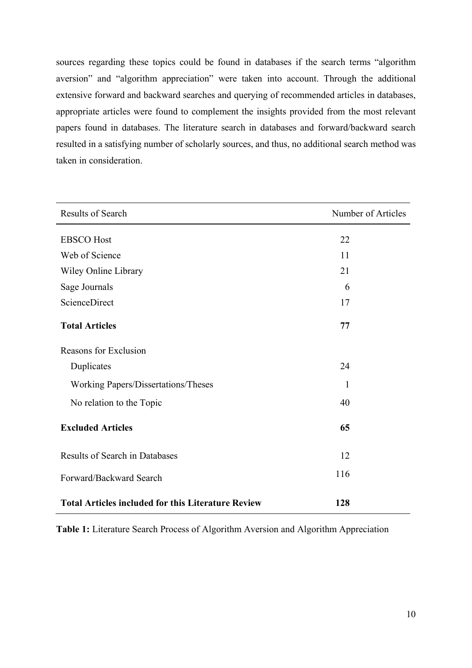sources regarding these topics could be found in databases if the search terms "algorithm aversion" and "algorithm appreciation" were taken into account. Through the additional extensive forward and backward searches and querying of recommended articles in databases, appropriate articles were found to complement the insights provided from the most relevant papers found in databases. The literature search in databases and forward/backward search resulted in a satisfying number of scholarly sources, and thus, no additional search method was taken in consideration.

| <b>Results of Search</b>                                  | Number of Articles |
|-----------------------------------------------------------|--------------------|
| <b>EBSCO</b> Host                                         | 22                 |
| Web of Science                                            | 11                 |
| Wiley Online Library                                      | 21                 |
| Sage Journals                                             | 6                  |
| ScienceDirect                                             | 17                 |
| <b>Total Articles</b>                                     | 77                 |
| Reasons for Exclusion                                     |                    |
| Duplicates                                                | 24                 |
| Working Papers/Dissertations/Theses                       | 1                  |
| No relation to the Topic                                  | 40                 |
| <b>Excluded Articles</b>                                  | 65                 |
| <b>Results of Search in Databases</b>                     | 12                 |
| Forward/Backward Search                                   | 116                |
| <b>Total Articles included for this Literature Review</b> | 128                |

<span id="page-17-0"></span>**Table 1:** Literature Search Process of Algorithm Aversion and Algorithm Appreciation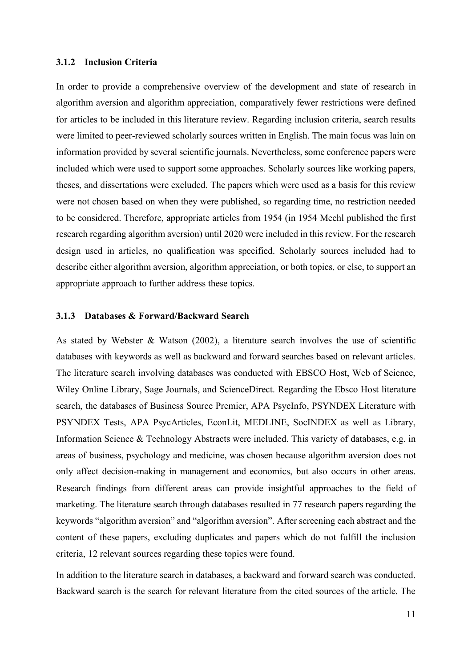#### <span id="page-18-0"></span>**3.1.2 Inclusion Criteria**

In order to provide a comprehensive overview of the development and state of research in algorithm aversion and algorithm appreciation, comparatively fewer restrictions were defined for articles to be included in this literature review. Regarding inclusion criteria, search results were limited to peer-reviewed scholarly sources written in English. The main focus was lain on information provided by several scientific journals. Nevertheless, some conference papers were included which were used to support some approaches. Scholarly sources like working papers, theses, and dissertations were excluded. The papers which were used as a basis for this review were not chosen based on when they were published, so regarding time, no restriction needed to be considered. Therefore, appropriate articles from 1954 (in 1954 Meehl published the first research regarding algorithm aversion) until 2020 were included in this review. For the research design used in articles, no qualification was specified. Scholarly sources included had to describe either algorithm aversion, algorithm appreciation, or both topics, or else, to support an appropriate approach to further address these topics.

#### <span id="page-18-1"></span>**3.1.3 Databases & Forward/Backward Search**

As stated by Webster & Watson (2002), a literature search involves the use of scientific databases with keywords as well as backward and forward searches based on relevant articles. The literature search involving databases was conducted with EBSCO Host, Web of Science, Wiley Online Library, Sage Journals, and ScienceDirect. Regarding the Ebsco Host literature search, the databases of Business Source Premier, APA PsycInfo, PSYNDEX Literature with PSYNDEX Tests, APA PsycArticles, EconLit, MEDLINE, SocINDEX as well as Library, Information Science & Technology Abstracts were included. This variety of databases, e.g. in areas of business, psychology and medicine, was chosen because algorithm aversion does not only affect decision-making in management and economics, but also occurs in other areas. Research findings from different areas can provide insightful approaches to the field of marketing. The literature search through databases resulted in 77 research papers regarding the keywords "algorithm aversion" and "algorithm aversion". After screening each abstract and the content of these papers, excluding duplicates and papers which do not fulfill the inclusion criteria, 12 relevant sources regarding these topics were found.

In addition to the literature search in databases, a backward and forward search was conducted. Backward search is the search for relevant literature from the cited sources of the article. The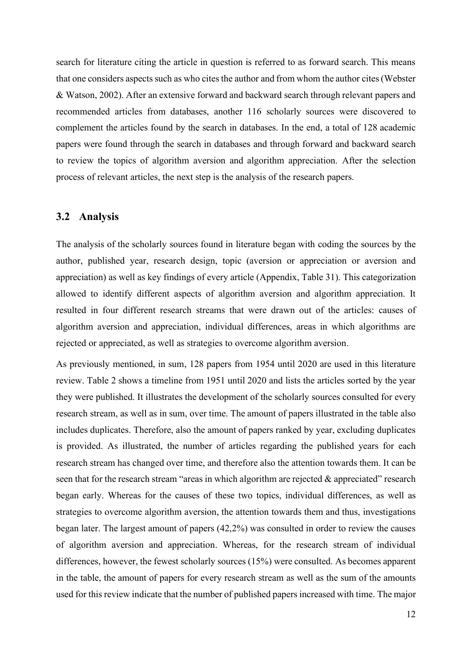search for literature citing the article in question is referred to as forward search. This means that one considers aspects such as who cites the author and from whom the author cites (Webster & Watson, 2002). After an extensive forward and backward search through relevant papers and recommended articles from databases, another 116 scholarly sources were discovered to complement the articles found by the search in databases. In the end, a total of 128 academic papers were found through the search in databases and through forward and backward search to review the topics of algorithm aversion and algorithm appreciation. After the selection process of relevant articles, the next step is the analysis of the research papers.

#### <span id="page-19-0"></span>**3.2 Analysis**

The analysis of the scholarly sources found in literature began with coding the sources by the author, published year, research design, topic (aversion or appreciation or aversion and appreciation) as well as key findings of every article (Appendix, Table 31). This categorization allowed to identify different aspects of algorithm aversion and algorithm appreciation. It resulted in four different research streams that were drawn out of the articles: causes of algorithm aversion and appreciation, individual differences, areas in which algorithms are rejected or appreciated, as well as strategies to overcome algorithm aversion.

As previously mentioned, in sum, 128 papers from 1954 until 2020 are used in this literature review. Table 2 shows a timeline from 1951 until 2020 and lists the articles sorted by the year they were published. It illustrates the development of the scholarly sources consulted for every research stream, as well as in sum, over time. The amount of papers illustrated in the table also includes duplicates. Therefore, also the amount of papers ranked by year, excluding duplicates is provided. As illustrated, the number of articles regarding the published years for each research stream has changed over time, and therefore also the attention towards them. It can be seen that for the research stream "areas in which algorithm are rejected & appreciated" research began early. Whereas for the causes of these two topics, individual differences, as well as strategies to overcome algorithm aversion, the attention towards them and thus, investigations began later. The largest amount of papers (42,2%) was consulted in order to review the causes of algorithm aversion and appreciation. Whereas, for the research stream of individual differences, however, the fewest scholarly sources (15%) were consulted. As becomes apparent in the table, the amount of papers for every research stream as well as the sum of the amounts used for this review indicate that the number of published papers increased with time. The major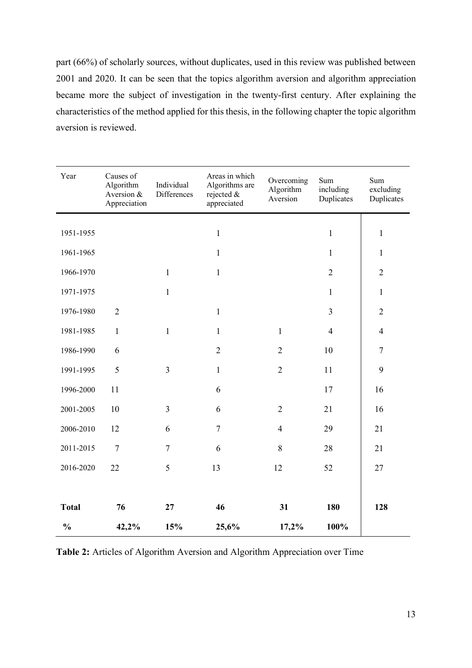part (66%) of scholarly sources, without duplicates, used in this review was published between 2001 and 2020. It can be seen that the topics algorithm aversion and algorithm appreciation became more the subject of investigation in the twenty-first century. After explaining the characteristics of the method applied for this thesis, in the following chapter the topic algorithm aversion is reviewed.

| Year          | Causes of<br>Algorithm<br>Aversion &<br>Appreciation | Individual<br>Differences | Areas in which<br>Algorithms are<br>rejected &<br>appreciated | Overcoming<br>Algorithm<br>Aversion | Sum<br>including<br>Duplicates | Sum<br>excluding<br>Duplicates |
|---------------|------------------------------------------------------|---------------------------|---------------------------------------------------------------|-------------------------------------|--------------------------------|--------------------------------|
| 1951-1955     |                                                      |                           | $\mathbf{1}$                                                  |                                     | $\mathbf{1}$                   | $\mathbf 1$                    |
|               |                                                      |                           |                                                               |                                     |                                |                                |
| 1961-1965     |                                                      |                           | $\mathbf{1}$                                                  |                                     | $\mathbf{1}$                   | $\mathbf{1}$                   |
| 1966-1970     |                                                      | $\mathbf{1}$              | $\mathbf{1}$                                                  |                                     | $\overline{2}$                 | $\overline{2}$                 |
| 1971-1975     |                                                      | $\mathbf{1}$              |                                                               |                                     | $\mathbf{1}$                   | $\mathbf 1$                    |
| 1976-1980     | $\overline{2}$                                       |                           | $\mathbf{1}$                                                  |                                     | $\overline{3}$                 | $\overline{2}$                 |
| 1981-1985     | $\mathbf{1}$                                         | $\mathbf{1}$              | $\mathbf{1}$                                                  | $\mathbf{1}$                        | $\overline{4}$                 | $\overline{4}$                 |
| 1986-1990     | 6                                                    |                           | $\overline{2}$                                                | $\overline{2}$                      | 10                             | $\boldsymbol{7}$               |
| 1991-1995     | 5                                                    | $\overline{3}$            | $\mathbf{1}$                                                  | $\overline{2}$                      | 11                             | 9                              |
| 1996-2000     | 11                                                   |                           | 6                                                             |                                     | 17                             | 16                             |
| 2001-2005     | 10                                                   | $\overline{3}$            | 6                                                             | $\overline{2}$                      | 21                             | 16                             |
| 2006-2010     | 12                                                   | 6                         | $\overline{7}$                                                | $\overline{4}$                      | 29                             | 21                             |
| 2011-2015     | $\overline{7}$                                       | $\tau$                    | 6                                                             | 8                                   | 28                             | 21                             |
| 2016-2020     | 22                                                   | 5                         | 13                                                            | 12                                  | 52                             | 27                             |
|               |                                                      |                           |                                                               |                                     |                                |                                |
| <b>Total</b>  | 76                                                   | 27                        | 46                                                            | 31                                  | 180                            | 128                            |
| $\frac{0}{0}$ | 42,2%                                                | 15%                       | 25,6%                                                         | 17,2%                               | 100%                           |                                |

<span id="page-20-0"></span>**Table 2:** Articles of Algorithm Aversion and Algorithm Appreciation over Time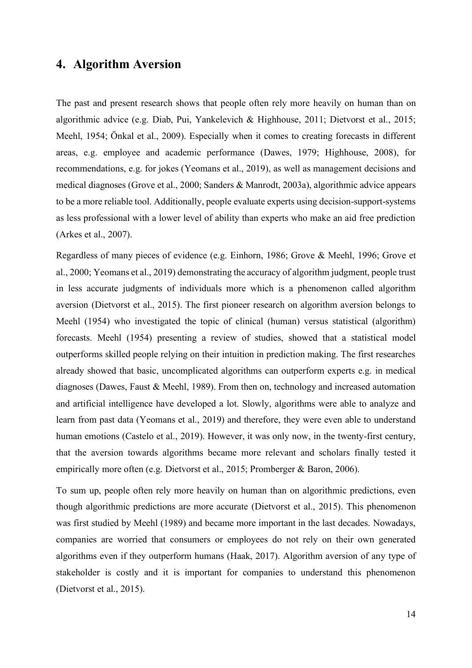# <span id="page-21-0"></span>**4. Algorithm Aversion**

The past and present research shows that people often rely more heavily on human than on algorithmic advice (e.g. Diab, Pui, Yankelevich & Highhouse, 2011; Dietvorst et al., 2015; Meehl, 1954; Önkal et al., 2009). Especially when it comes to creating forecasts in different areas, e.g. employee and academic performance (Dawes, 1979; Highhouse, 2008), for recommendations, e.g. for jokes (Yeomans et al., 2019), as well as management decisions and medical diagnoses (Grove et al., 2000; Sanders & Manrodt, 2003a), algorithmic advice appears to be a more reliable tool. Additionally, people evaluate experts using decision-support-systems as less professional with a lower level of ability than experts who make an aid free prediction (Arkes et al., 2007).

Regardless of many pieces of evidence (e.g. Einhorn, 1986; Grove & Meehl, 1996; Grove et al., 2000; Yeomans et al., 2019) demonstrating the accuracy of algorithm judgment, people trust in less accurate judgments of individuals more which is a phenomenon called algorithm aversion (Dietvorst et al., 2015). The first pioneer research on algorithm aversion belongs to Meehl (1954) who investigated the topic of clinical (human) versus statistical (algorithm) forecasts. Meehl (1954) presenting a review of studies, showed that a statistical model outperforms skilled people relying on their intuition in prediction making. The first researches already showed that basic, uncomplicated algorithms can outperform experts e.g. in medical diagnoses (Dawes, Faust & Meehl, 1989). From then on, technology and increased automation and artificial intelligence have developed a lot. Slowly, algorithms were able to analyze and learn from past data (Yeomans et al., 2019) and therefore, they were even able to understand human emotions (Castelo et al., 2019). However, it was only now, in the twenty-first century, that the aversion towards algorithms became more relevant and scholars finally tested it empirically more often (e.g. Dietvorst et al., 2015; Promberger & Baron, 2006).

To sum up, people often rely more heavily on human than on algorithmic predictions, even though algorithmic predictions are more accurate (Dietvorst et al., 2015). This phenomenon was first studied by Meehl (1989) and became more important in the last decades. Nowadays, companies are worried that consumers or employees do not rely on their own generated algorithms even if they outperform humans (Haak, 2017). Algorithm aversion of any type of stakeholder is costly and it is important for companies to understand this phenomenon (Dietvorst et al., 2015).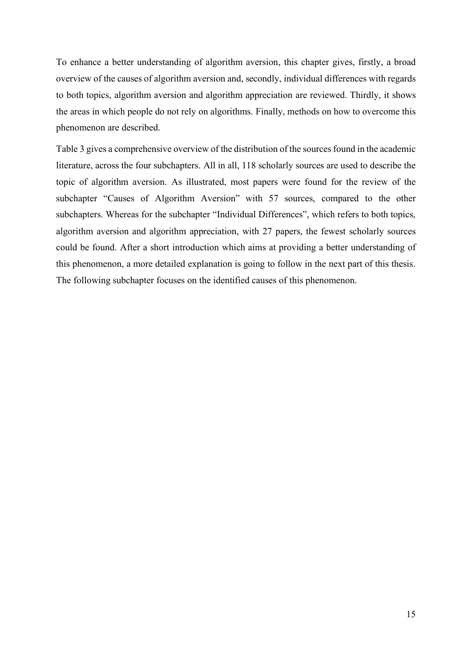To enhance a better understanding of algorithm aversion, this chapter gives, firstly, a broad overview of the causes of algorithm aversion and, secondly, individual differences with regards to both topics, algorithm aversion and algorithm appreciation are reviewed. Thirdly, it shows the areas in which people do not rely on algorithms. Finally, methods on how to overcome this phenomenon are described.

Table 3 gives a comprehensive overview of the distribution of the sources found in the academic literature, across the four subchapters. All in all, 118 scholarly sources are used to describe the topic of algorithm aversion. As illustrated, most papers were found for the review of the subchapter "Causes of Algorithm Aversion" with 57 sources, compared to the other subchapters. Whereas for the subchapter "Individual Differences", which refers to both topics, algorithm aversion and algorithm appreciation, with 27 papers, the fewest scholarly sources could be found. After a short introduction which aims at providing a better understanding of this phenomenon, a more detailed explanation is going to follow in the next part of this thesis. The following subchapter focuses on the identified causes of this phenomenon.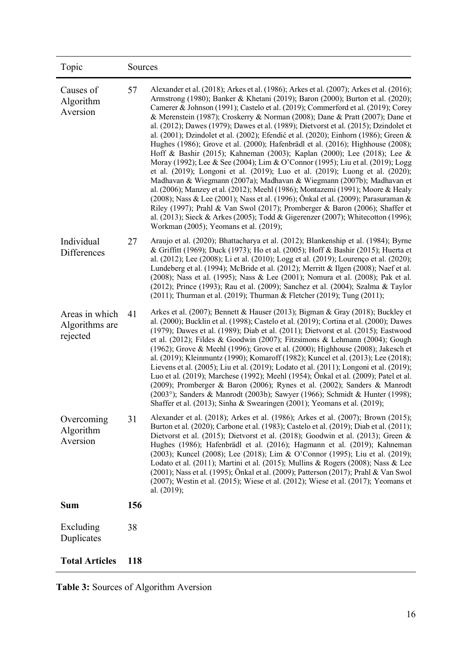| Topic                                        | Sources |                                                                                                                                                                                                                                                                                                                                                                                                                                                                                                                                                                                                                                                                                                                                                                                                                                                                                                                                                                                                                                                                                                                                                                                                                                                                                                                             |  |  |  |
|----------------------------------------------|---------|-----------------------------------------------------------------------------------------------------------------------------------------------------------------------------------------------------------------------------------------------------------------------------------------------------------------------------------------------------------------------------------------------------------------------------------------------------------------------------------------------------------------------------------------------------------------------------------------------------------------------------------------------------------------------------------------------------------------------------------------------------------------------------------------------------------------------------------------------------------------------------------------------------------------------------------------------------------------------------------------------------------------------------------------------------------------------------------------------------------------------------------------------------------------------------------------------------------------------------------------------------------------------------------------------------------------------------|--|--|--|
| Causes of<br>Algorithm<br>Aversion           | 57      | Alexander et al. (2018); Arkes et al. (1986); Arkes et al. (2007); Arkes et al. (2016);<br>Armstrong (1980); Banker & Khetani (2019); Baron (2000); Burton et al. (2020);<br>Camerer & Johnson (1991); Castelo et al. (2019); Commerford et al. (2019); Corey<br>& Merenstein (1987); Croskerry & Norman (2008); Dane & Pratt (2007); Dane et<br>al. (2012); Dawes (1979); Dawes et al. (1989); Dietvorst et al. (2015); Dzindolet et<br>al. (2001); Dzindolet et al. (2002); Efendić et al. (2020); Einhorn (1986); Green &<br>Hughes (1986); Grove et al. (2000); Hafenbrädl et al. (2016); Highhouse (2008);<br>Hoff & Bashir (2015); Kahneman (2003); Kaplan (2000); Lee (2018); Lee &<br>Moray (1992); Lee & See (2004); Lim & O'Connor (1995); Liu et al. (2019); Logg<br>et al. (2019); Longoni et al. (2019); Luo et al. (2019); Luong et al. (2020);<br>Madhavan & Wiegmann (2007a); Madhavan & Wiegmann (2007b); Madhavan et<br>al. (2006); Manzey et al. (2012); Meehl (1986); Montazemi (1991); Moore & Healy<br>(2008); Nass & Lee (2001); Nass et al. (1996); Önkal et al. (2009); Parasuraman &<br>Riley (1997); Prahl & Van Swol (2017); Promberger & Baron (2006); Shaffer et<br>al. (2013); Sieck & Arkes (2005); Todd & Gigerenzer (2007); Whitecotton (1996);<br>Workman (2005); Yeomans et al. (2019); |  |  |  |
| Individual<br>Differences                    | 27      | Araujo et al. (2020); Bhattacharya et al. (2012); Blankenship et al. (1984); Byrne<br>& Griffitt (1969); Duck (1973); Ho et al. (2005); Hoff & Bashir (2015); Huerta et<br>al. (2012); Lee (2008); Li et al. (2010); Logg et al. (2019); Lourenço et al. (2020);<br>Lundeberg et al. (1994); McBride et al. (2012); Merritt & Ilgen (2008); Naef et al.<br>(2008); Nass et al. (1995); Nass & Lee (2001); Nomura et al. (2008); Pak et al.<br>(2012); Prince (1993); Rau et al. (2009); Sanchez et al. (2004); Szalma & Taylor<br>(2011); Thurman et al. (2019); Thurman & Fletcher (2019); Tung (2011);                                                                                                                                                                                                                                                                                                                                                                                                                                                                                                                                                                                                                                                                                                                    |  |  |  |
| Areas in which<br>Algorithms are<br>rejected | 41      | Arkes et al. (2007); Bennett & Hauser (2013); Bigman & Gray (2018); Buckley et<br>al. (2000); Bucklin et al. (1998); Castelo et al. (2019); Cortina et al. (2000); Dawes<br>(1979); Dawes et al. (1989); Diab et al. (2011); Dietvorst et al. (2015); Eastwood<br>et al. (2012); Fildes & Goodwin (2007); Fitzsimons & Lehmann (2004); Gough<br>(1962); Grove & Meehl (1996); Grove et al. (2000); Highhouse (2008); Jakesch et<br>al. (2019); Kleinmuntz (1990); Komaroff (1982); Kuncel et al. (2013); Lee (2018);<br>Lievens et al. (2005); Liu et al. (2019); Lodato et al. (2011); Longoni et al. (2019);<br>Luo et al. (2019); Marchese (1992); Meehl (1954); Önkal et al. (2009); Patel et al.<br>(2009); Promberger & Baron (2006); Rynes et al. (2002); Sanders & Manrodt<br>(2003°); Sanders & Manrodt (2003b); Sawyer (1966); Schmidt & Hunter (1998);<br>Shaffer et al. (2013); Sinha & Swearingen (2001); Yeomans et al. (2019);                                                                                                                                                                                                                                                                                                                                                                               |  |  |  |
| Overcoming<br>Algorithm<br>Aversion          | 31      | Alexander et al. (2018); Arkes et al. (1986); Arkes et al. (2007); Brown (2015);<br>Burton et al. (2020); Carbone et al. (1983); Castelo et al. (2019); Diab et al. (2011);<br>Dietvorst et al. (2015); Dietvorst et al. (2018); Goodwin et al. (2013); Green &<br>Hughes (1986); Hafenbrädl et al. (2016); Hagmann et al. (2019); Kahneman<br>(2003); Kuncel (2008); Lee (2018); Lim & O'Connor (1995); Liu et al. (2019);<br>Lodato et al. (2011); Martini et al. (2015); Mullins & Rogers (2008); Nass & Lee<br>(2001); Nass et al. (1995); Önkal et al. (2009); Patterson (2017); Prahl & Van Swol<br>(2007); Westin et al. (2015); Wiese et al. (2012); Wiese et al. (2017); Yeomans et<br>al. (2019);                                                                                                                                                                                                                                                                                                                                                                                                                                                                                                                                                                                                                 |  |  |  |
| <b>Sum</b>                                   | 156     |                                                                                                                                                                                                                                                                                                                                                                                                                                                                                                                                                                                                                                                                                                                                                                                                                                                                                                                                                                                                                                                                                                                                                                                                                                                                                                                             |  |  |  |
| Excluding<br>Duplicates                      | 38      |                                                                                                                                                                                                                                                                                                                                                                                                                                                                                                                                                                                                                                                                                                                                                                                                                                                                                                                                                                                                                                                                                                                                                                                                                                                                                                                             |  |  |  |
| <b>Total Articles</b>                        | 118     |                                                                                                                                                                                                                                                                                                                                                                                                                                                                                                                                                                                                                                                                                                                                                                                                                                                                                                                                                                                                                                                                                                                                                                                                                                                                                                                             |  |  |  |

<span id="page-23-0"></span>**Table 3:** Sources of Algorithm Aversion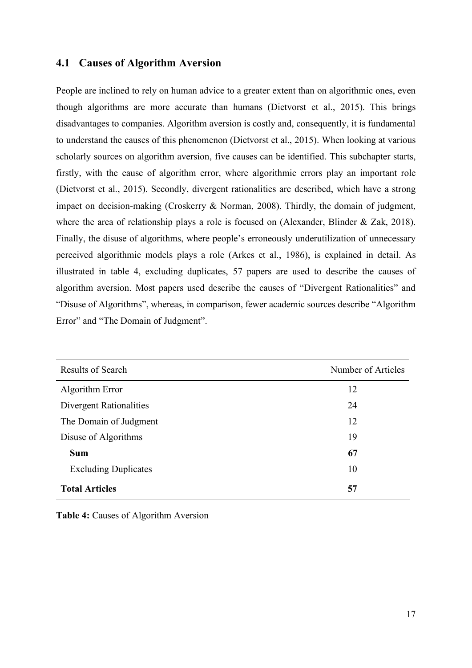### <span id="page-24-0"></span>**4.1 Causes of Algorithm Aversion**

People are inclined to rely on human advice to a greater extent than on algorithmic ones, even though algorithms are more accurate than humans (Dietvorst et al., 2015). This brings disadvantages to companies. Algorithm aversion is costly and, consequently, it is fundamental to understand the causes of this phenomenon (Dietvorst et al., 2015). When looking at various scholarly sources on algorithm aversion, five causes can be identified. This subchapter starts, firstly, with the cause of algorithm error, where algorithmic errors play an important role (Dietvorst et al., 2015). Secondly, divergent rationalities are described, which have a strong impact on decision-making (Croskerry & Norman, 2008). Thirdly, the domain of judgment, where the area of relationship plays a role is focused on (Alexander, Blinder & Zak, 2018). Finally, the disuse of algorithms, where people's erroneously underutilization of unnecessary perceived algorithmic models plays a role (Arkes et al., 1986), is explained in detail. As illustrated in table 4, excluding duplicates, 57 papers are used to describe the causes of algorithm aversion. Most papers used describe the causes of "Divergent Rationalities" and "Disuse of Algorithms", whereas, in comparison, fewer academic sources describe "Algorithm Error" and "The Domain of Judgment".

| <b>Results of Search</b>    | Number of Articles |
|-----------------------------|--------------------|
| Algorithm Error             | 12                 |
| Divergent Rationalities     | 24                 |
| The Domain of Judgment      | 12                 |
| Disuse of Algorithms        | 19                 |
| <b>Sum</b>                  | 67                 |
| <b>Excluding Duplicates</b> | 10                 |
| <b>Total Articles</b>       | 57                 |

<span id="page-24-1"></span>**Table 4:** Causes of Algorithm Aversion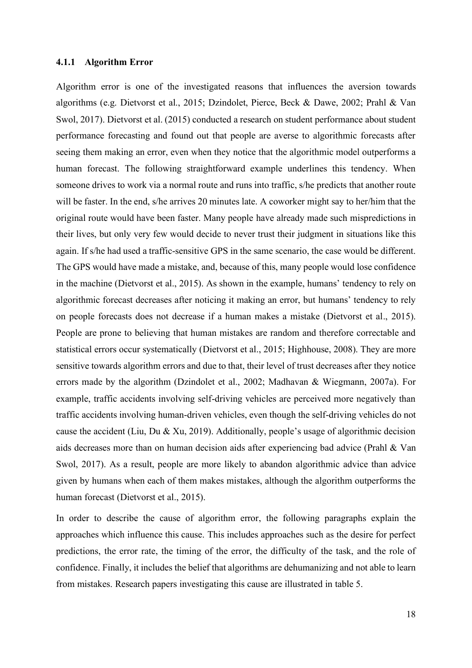#### <span id="page-25-0"></span>**4.1.1 Algorithm Error**

Algorithm error is one of the investigated reasons that influences the aversion towards algorithms (e.g. Dietvorst et al., 2015; Dzindolet, Pierce, Beck & Dawe, 2002; Prahl & Van Swol, 2017). Dietvorst et al. (2015) conducted a research on student performance about student performance forecasting and found out that people are averse to algorithmic forecasts after seeing them making an error, even when they notice that the algorithmic model outperforms a human forecast. The following straightforward example underlines this tendency. When someone drives to work via a normal route and runs into traffic, s/he predicts that another route will be faster. In the end, s/he arrives 20 minutes late. A coworker might say to her/him that the original route would have been faster. Many people have already made such mispredictions in their lives, but only very few would decide to never trust their judgment in situations like this again. If s/he had used a traffic-sensitive GPS in the same scenario, the case would be different. The GPS would have made a mistake, and, because of this, many people would lose confidence in the machine (Dietvorst et al., 2015). As shown in the example, humans' tendency to rely on algorithmic forecast decreases after noticing it making an error, but humans' tendency to rely on people forecasts does not decrease if a human makes a mistake (Dietvorst et al., 2015). People are prone to believing that human mistakes are random and therefore correctable and statistical errors occur systematically (Dietvorst et al., 2015; Highhouse, 2008). They are more sensitive towards algorithm errors and due to that, their level of trust decreases after they notice errors made by the algorithm (Dzindolet et al., 2002; Madhavan & Wiegmann, 2007a). For example, traffic accidents involving self-driving vehicles are perceived more negatively than traffic accidents involving human-driven vehicles, even though the self-driving vehicles do not cause the accident (Liu, Du & Xu, 2019). Additionally, people's usage of algorithmic decision aids decreases more than on human decision aids after experiencing bad advice (Prahl & Van Swol, 2017). As a result, people are more likely to abandon algorithmic advice than advice given by humans when each of them makes mistakes, although the algorithm outperforms the human forecast (Dietvorst et al., 2015).

In order to describe the cause of algorithm error, the following paragraphs explain the approaches which influence this cause. This includes approaches such as the desire for perfect predictions, the error rate, the timing of the error, the difficulty of the task, and the role of confidence. Finally, it includes the belief that algorithms are dehumanizing and not able to learn from mistakes. Research papers investigating this cause are illustrated in table 5.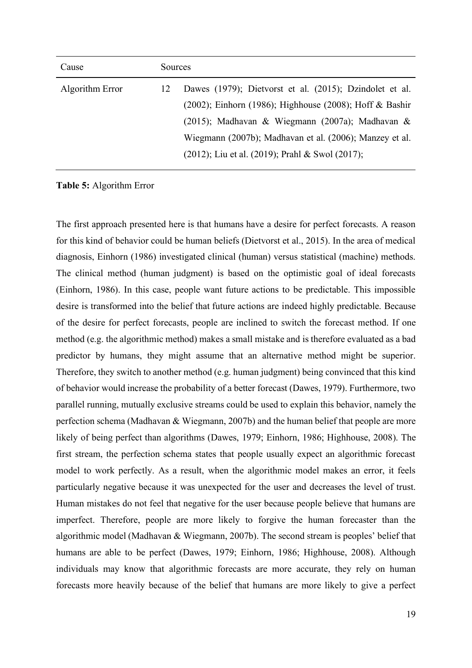| Cause           | Sources |                                                         |
|-----------------|---------|---------------------------------------------------------|
| Algorithm Error | 12      | Dawes (1979); Dietvorst et al. (2015); Dzindolet et al. |
|                 |         | (2002); Einhorn (1986); Highhouse (2008); Hoff & Bashir |
|                 |         | (2015); Madhavan & Wiegmann (2007a); Madhavan &         |
|                 |         | Wiegmann (2007b); Madhavan et al. (2006); Manzey et al. |
|                 |         | (2012); Liu et al. (2019); Prahl & Swol (2017);         |

<span id="page-26-0"></span>**Table 5:** Algorithm Error

The first approach presented here is that humans have a desire for perfect forecasts. A reason for this kind of behavior could be human beliefs (Dietvorst et al., 2015). In the area of medical diagnosis, Einhorn (1986) investigated clinical (human) versus statistical (machine) methods. The clinical method (human judgment) is based on the optimistic goal of ideal forecasts (Einhorn, 1986). In this case, people want future actions to be predictable. This impossible desire is transformed into the belief that future actions are indeed highly predictable. Because of the desire for perfect forecasts, people are inclined to switch the forecast method. If one method (e.g. the algorithmic method) makes a small mistake and is therefore evaluated as a bad predictor by humans, they might assume that an alternative method might be superior. Therefore, they switch to another method (e.g. human judgment) being convinced that this kind of behavior would increase the probability of a better forecast (Dawes, 1979). Furthermore, two parallel running, mutually exclusive streams could be used to explain this behavior, namely the perfection schema (Madhavan & Wiegmann, 2007b) and the human belief that people are more likely of being perfect than algorithms (Dawes, 1979; Einhorn, 1986; Highhouse, 2008). The first stream, the perfection schema states that people usually expect an algorithmic forecast model to work perfectly. As a result, when the algorithmic model makes an error, it feels particularly negative because it was unexpected for the user and decreases the level of trust. Human mistakes do not feel that negative for the user because people believe that humans are imperfect. Therefore, people are more likely to forgive the human forecaster than the algorithmic model (Madhavan & Wiegmann, 2007b). The second stream is peoples' belief that humans are able to be perfect (Dawes, 1979; Einhorn, 1986; Highhouse, 2008). Although individuals may know that algorithmic forecasts are more accurate, they rely on human forecasts more heavily because of the belief that humans are more likely to give a perfect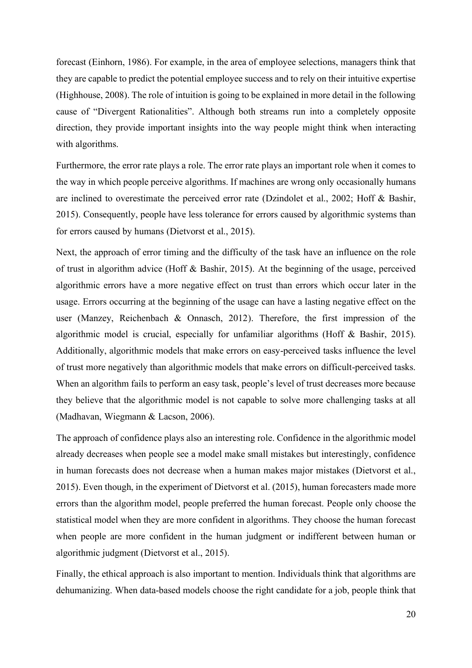forecast (Einhorn, 1986). For example, in the area of employee selections, managers think that they are capable to predict the potential employee success and to rely on their intuitive expertise (Highhouse, 2008). The role of intuition is going to be explained in more detail in the following cause of "Divergent Rationalities". Although both streams run into a completely opposite direction, they provide important insights into the way people might think when interacting with algorithms.

Furthermore, the error rate plays a role. The error rate plays an important role when it comes to the way in which people perceive algorithms. If machines are wrong only occasionally humans are inclined to overestimate the perceived error rate (Dzindolet et al., 2002; Hoff & Bashir, 2015). Consequently, people have less tolerance for errors caused by algorithmic systems than for errors caused by humans (Dietvorst et al., 2015).

Next, the approach of error timing and the difficulty of the task have an influence on the role of trust in algorithm advice (Hoff & Bashir, 2015). At the beginning of the usage, perceived algorithmic errors have a more negative effect on trust than errors which occur later in the usage. Errors occurring at the beginning of the usage can have a lasting negative effect on the user (Manzey, Reichenbach & Onnasch, 2012). Therefore, the first impression of the algorithmic model is crucial, especially for unfamiliar algorithms (Hoff & Bashir, 2015). Additionally, algorithmic models that make errors on easy-perceived tasks influence the level of trust more negatively than algorithmic models that make errors on difficult-perceived tasks. When an algorithm fails to perform an easy task, people's level of trust decreases more because they believe that the algorithmic model is not capable to solve more challenging tasks at all (Madhavan, Wiegmann & Lacson, 2006).

The approach of confidence plays also an interesting role. Confidence in the algorithmic model already decreases when people see a model make small mistakes but interestingly, confidence in human forecasts does not decrease when a human makes major mistakes (Dietvorst et al., 2015). Even though, in the experiment of Dietvorst et al. (2015), human forecasters made more errors than the algorithm model, people preferred the human forecast. People only choose the statistical model when they are more confident in algorithms. They choose the human forecast when people are more confident in the human judgment or indifferent between human or algorithmic judgment (Dietvorst et al., 2015).

Finally, the ethical approach is also important to mention. Individuals think that algorithms are dehumanizing. When data-based models choose the right candidate for a job, people think that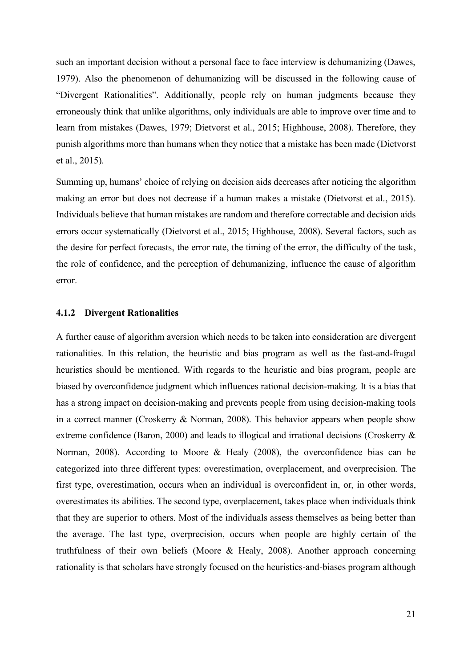such an important decision without a personal face to face interview is dehumanizing (Dawes, 1979). Also the phenomenon of dehumanizing will be discussed in the following cause of "Divergent Rationalities". Additionally, people rely on human judgments because they erroneously think that unlike algorithms, only individuals are able to improve over time and to learn from mistakes (Dawes, 1979; Dietvorst et al., 2015; Highhouse, 2008). Therefore, they punish algorithms more than humans when they notice that a mistake has been made (Dietvorst et al., 2015).

Summing up, humans' choice of relying on decision aids decreases after noticing the algorithm making an error but does not decrease if a human makes a mistake (Dietvorst et al., 2015). Individuals believe that human mistakes are random and therefore correctable and decision aids errors occur systematically (Dietvorst et al., 2015; Highhouse, 2008). Several factors, such as the desire for perfect forecasts, the error rate, the timing of the error, the difficulty of the task, the role of confidence, and the perception of dehumanizing, influence the cause of algorithm error.

#### <span id="page-28-0"></span>**4.1.2 Divergent Rationalities**

A further cause of algorithm aversion which needs to be taken into consideration are divergent rationalities. In this relation, the heuristic and bias program as well as the fast-and-frugal heuristics should be mentioned. With regards to the heuristic and bias program, people are biased by overconfidence judgment which influences rational decision-making. It is a bias that has a strong impact on decision-making and prevents people from using decision-making tools in a correct manner (Croskerry & Norman, 2008). This behavior appears when people show extreme confidence (Baron, 2000) and leads to illogical and irrational decisions (Croskerry & Norman, 2008). According to Moore & Healy (2008), the overconfidence bias can be categorized into three different types: overestimation, overplacement, and overprecision. The first type, overestimation, occurs when an individual is overconfident in, or, in other words, overestimates its abilities. The second type, overplacement, takes place when individuals think that they are superior to others. Most of the individuals assess themselves as being better than the average. The last type, overprecision, occurs when people are highly certain of the truthfulness of their own beliefs (Moore & Healy, 2008). Another approach concerning rationality is that scholars have strongly focused on the heuristics-and-biases program although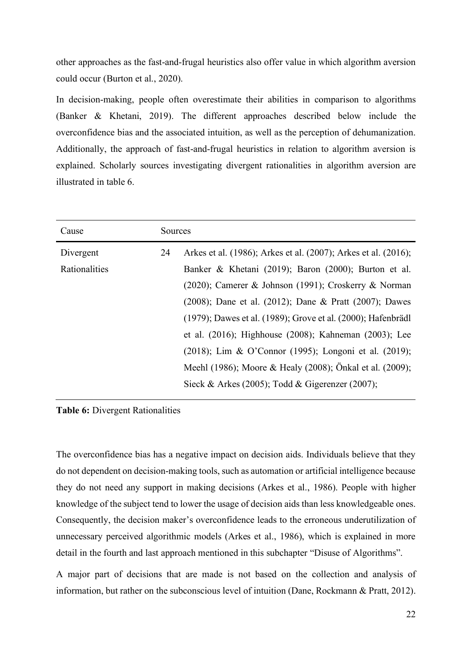other approaches as the fast-and-frugal heuristics also offer value in which algorithm aversion could occur (Burton et al., 2020).

In decision-making, people often overestimate their abilities in comparison to algorithms (Banker & Khetani, 2019). The different approaches described below include the overconfidence bias and the associated intuition, as well as the perception of dehumanization. Additionally, the approach of fast-and-frugal heuristics in relation to algorithm aversion is explained. Scholarly sources investigating divergent rationalities in algorithm aversion are illustrated in table 6.

| Cause         | Sources |                                                                |
|---------------|---------|----------------------------------------------------------------|
| Divergent     | 24      | Arkes et al. (1986); Arkes et al. (2007); Arkes et al. (2016); |
| Rationalities |         | Banker & Khetani (2019); Baron (2000); Burton et al.           |
|               |         | (2020); Camerer & Johnson (1991); Croskerry & Norman           |
|               |         | (2008); Dane et al. (2012); Dane & Pratt (2007); Dawes         |
|               |         | (1979); Dawes et al. (1989); Grove et al. (2000); Hafenbrädl   |
|               |         | et al. (2016); Highhouse (2008); Kahneman (2003); Lee          |
|               |         | (2018); Lim & O'Connor (1995); Longoni et al. (2019);          |
|               |         | Meehl (1986); Moore & Healy (2008); Önkal et al. (2009);       |
|               |         | Sieck & Arkes (2005); Todd & Gigerenzer (2007);                |

<span id="page-29-0"></span>**Table 6:** Divergent Rationalities

The overconfidence bias has a negative impact on decision aids. Individuals believe that they do not dependent on decision-making tools, such as automation or artificial intelligence because they do not need any support in making decisions (Arkes et al., 1986). People with higher knowledge of the subject tend to lower the usage of decision aids than less knowledgeable ones. Consequently, the decision maker's overconfidence leads to the erroneous underutilization of unnecessary perceived algorithmic models (Arkes et al., 1986), which is explained in more detail in the fourth and last approach mentioned in this subchapter "Disuse of Algorithms".

A major part of decisions that are made is not based on the collection and analysis of information, but rather on the subconscious level of intuition (Dane, Rockmann & Pratt, 2012).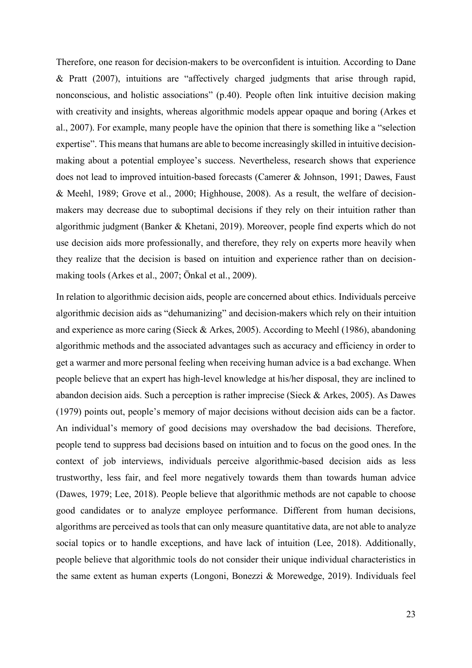Therefore, one reason for decision-makers to be overconfident is intuition. According to Dane & Pratt (2007), intuitions are "affectively charged judgments that arise through rapid, nonconscious, and holistic associations" (p.40). People often link intuitive decision making with creativity and insights, whereas algorithmic models appear opaque and boring (Arkes et al., 2007). For example, many people have the opinion that there is something like a "selection expertise". This means that humans are able to become increasingly skilled in intuitive decisionmaking about a potential employee's success. Nevertheless, research shows that experience does not lead to improved intuition-based forecasts (Camerer & Johnson, 1991; Dawes, Faust & Meehl, 1989; Grove et al., 2000; Highhouse, 2008). As a result, the welfare of decisionmakers may decrease due to suboptimal decisions if they rely on their intuition rather than algorithmic judgment (Banker & Khetani, 2019). Moreover, people find experts which do not use decision aids more professionally, and therefore, they rely on experts more heavily when they realize that the decision is based on intuition and experience rather than on decisionmaking tools (Arkes et al., 2007; Önkal et al., 2009).

In relation to algorithmic decision aids, people are concerned about ethics. Individuals perceive algorithmic decision aids as "dehumanizing" and decision-makers which rely on their intuition and experience as more caring (Sieck & Arkes, 2005). According to Meehl (1986), abandoning algorithmic methods and the associated advantages such as accuracy and efficiency in order to get a warmer and more personal feeling when receiving human advice is a bad exchange. When people believe that an expert has high-level knowledge at his/her disposal, they are inclined to abandon decision aids. Such a perception is rather imprecise (Sieck & Arkes, 2005). As Dawes (1979) points out, people's memory of major decisions without decision aids can be a factor. An individual's memory of good decisions may overshadow the bad decisions. Therefore, people tend to suppress bad decisions based on intuition and to focus on the good ones. In the context of job interviews, individuals perceive algorithmic-based decision aids as less trustworthy, less fair, and feel more negatively towards them than towards human advice (Dawes, 1979; Lee, 2018). People believe that algorithmic methods are not capable to choose good candidates or to analyze employee performance. Different from human decisions, algorithms are perceived as tools that can only measure quantitative data, are not able to analyze social topics or to handle exceptions, and have lack of intuition (Lee, 2018). Additionally, people believe that algorithmic tools do not consider their unique individual characteristics in the same extent as human experts (Longoni, Bonezzi & Morewedge, 2019). Individuals feel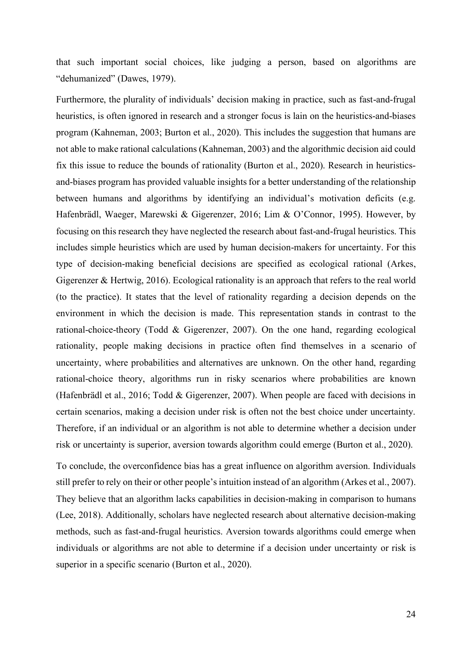that such important social choices, like judging a person, based on algorithms are "dehumanized" (Dawes, 1979).

Furthermore, the plurality of individuals' decision making in practice, such as fast-and-frugal heuristics, is often ignored in research and a stronger focus is lain on the heuristics-and-biases program (Kahneman, 2003; Burton et al., 2020). This includes the suggestion that humans are not able to make rational calculations (Kahneman, 2003) and the algorithmic decision aid could fix this issue to reduce the bounds of rationality (Burton et al., 2020). Research in heuristicsand-biases program has provided valuable insights for a better understanding of the relationship between humans and algorithms by identifying an individual's motivation deficits (e.g. Hafenbrädl, Waeger, Marewski & Gigerenzer, 2016; Lim & O'Connor, 1995). However, by focusing on this research they have neglected the research about fast-and-frugal heuristics. This includes simple heuristics which are used by human decision-makers for uncertainty. For this type of decision-making beneficial decisions are specified as ecological rational (Arkes, Gigerenzer & Hertwig, 2016). Ecological rationality is an approach that refers to the real world (to the practice). It states that the level of rationality regarding a decision depends on the environment in which the decision is made. This representation stands in contrast to the rational-choice-theory (Todd & Gigerenzer, 2007). On the one hand, regarding ecological rationality, people making decisions in practice often find themselves in a scenario of uncertainty, where probabilities and alternatives are unknown. On the other hand, regarding rational-choice theory, algorithms run in risky scenarios where probabilities are known (Hafenbrädl et al., 2016; Todd & Gigerenzer, 2007). When people are faced with decisions in certain scenarios, making a decision under risk is often not the best choice under uncertainty. Therefore, if an individual or an algorithm is not able to determine whether a decision under risk or uncertainty is superior, aversion towards algorithm could emerge (Burton et al., 2020).

To conclude, the overconfidence bias has a great influence on algorithm aversion. Individuals still prefer to rely on their or other people's intuition instead of an algorithm (Arkes et al., 2007). They believe that an algorithm lacks capabilities in decision-making in comparison to humans (Lee, 2018). Additionally, scholars have neglected research about alternative decision-making methods, such as fast-and-frugal heuristics. Aversion towards algorithms could emerge when individuals or algorithms are not able to determine if a decision under uncertainty or risk is superior in a specific scenario (Burton et al., 2020).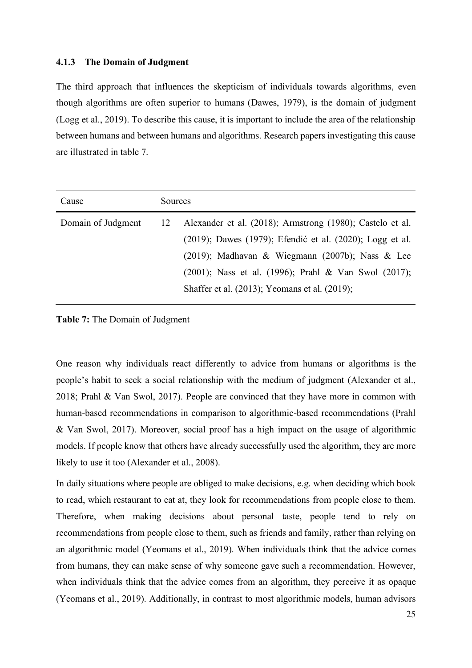#### <span id="page-32-0"></span>**4.1.3 The Domain of Judgment**

The third approach that influences the skepticism of individuals towards algorithms, even though algorithms are often superior to humans (Dawes, 1979), is the domain of judgment (Logg et al., 2019). To describe this cause, it is important to include the area of the relationship between humans and between humans and algorithms. Research papers investigating this cause are illustrated in table 7.

| Alexander et al. (2018); Armstrong (1980); Castelo et al.<br>Domain of Judgment<br>12                                                                                                                                | Cause | Sources |  |
|----------------------------------------------------------------------------------------------------------------------------------------------------------------------------------------------------------------------|-------|---------|--|
| (2019); Dawes (1979); Efendić et al. (2020); Logg et al.<br>(2019); Madhavan & Wiegmann (2007b); Nass & Lee<br>(2001); Nass et al. (1996); Prahl & Van Swol (2017);<br>Shaffer et al. (2013); Yeomans et al. (2019); |       |         |  |

<span id="page-32-1"></span>**Table 7:** The Domain of Judgment

One reason why individuals react differently to advice from humans or algorithms is the people's habit to seek a social relationship with the medium of judgment (Alexander et al., 2018; Prahl & Van Swol, 2017). People are convinced that they have more in common with human-based recommendations in comparison to algorithmic-based recommendations (Prahl & Van Swol, 2017). Moreover, social proof has a high impact on the usage of algorithmic models. If people know that others have already successfully used the algorithm, they are more likely to use it too (Alexander et al., 2008).

In daily situations where people are obliged to make decisions, e.g. when deciding which book to read, which restaurant to eat at, they look for recommendations from people close to them. Therefore, when making decisions about personal taste, people tend to rely on recommendations from people close to them, such as friends and family, rather than relying on an algorithmic model (Yeomans et al., 2019). When individuals think that the advice comes from humans, they can make sense of why someone gave such a recommendation. However, when individuals think that the advice comes from an algorithm, they perceive it as opaque (Yeomans et al., 2019). Additionally, in contrast to most algorithmic models, human advisors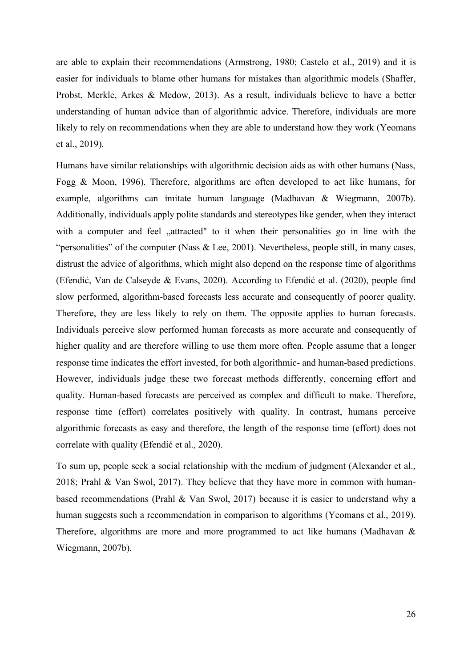are able to explain their recommendations (Armstrong, 1980; Castelo et al., 2019) and it is easier for individuals to blame other humans for mistakes than algorithmic models (Shaffer, Probst, Merkle, Arkes & Medow, 2013). As a result, individuals believe to have a better understanding of human advice than of algorithmic advice. Therefore, individuals are more likely to rely on recommendations when they are able to understand how they work (Yeomans et al., 2019).

Humans have similar relationships with algorithmic decision aids as with other humans (Nass, Fogg & Moon, 1996). Therefore, algorithms are often developed to act like humans, for example, algorithms can imitate human language (Madhavan & Wiegmann, 2007b). Additionally, individuals apply polite standards and stereotypes like gender, when they interact with a computer and feel "attracted" to it when their personalities go in line with the "personalities" of the computer (Nass & Lee, 2001). Nevertheless, people still, in many cases, distrust the advice of algorithms, which might also depend on the response time of algorithms (Efendić, Van de Calseyde & Evans, 2020). According to Efendić et al. (2020), people find slow performed, algorithm-based forecasts less accurate and consequently of poorer quality. Therefore, they are less likely to rely on them. The opposite applies to human forecasts. Individuals perceive slow performed human forecasts as more accurate and consequently of higher quality and are therefore willing to use them more often. People assume that a longer response time indicates the effort invested, for both algorithmic- and human-based predictions. However, individuals judge these two forecast methods differently, concerning effort and quality. Human-based forecasts are perceived as complex and difficult to make. Therefore, response time (effort) correlates positively with quality. In contrast, humans perceive algorithmic forecasts as easy and therefore, the length of the response time (effort) does not correlate with quality (Efendić et al., 2020).

To sum up, people seek a social relationship with the medium of judgment (Alexander et al., 2018; Prahl & Van Swol, 2017). They believe that they have more in common with humanbased recommendations (Prahl & Van Swol, 2017) because it is easier to understand why a human suggests such a recommendation in comparison to algorithms (Yeomans et al., 2019). Therefore, algorithms are more and more programmed to act like humans (Madhavan & Wiegmann, 2007b).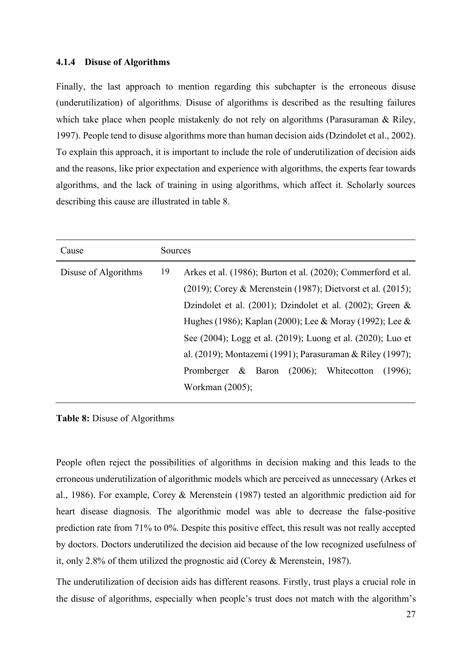#### <span id="page-34-0"></span>**4.1.4 Disuse of Algorithms**

Finally, the last approach to mention regarding this subchapter is the erroneous disuse (underutilization) of algorithms. Disuse of algorithms is described as the resulting failures which take place when people mistakenly do not rely on algorithms (Parasuraman & Riley, 1997). People tend to disuse algorithms more than human decision aids (Dzindolet et al., 2002). To explain this approach, it is important to include the role of underutilization of decision aids and the reasons, like prior expectation and experience with algorithms, the experts fear towards algorithms, and the lack of training in using algorithms, which affect it. Scholarly sources describing this cause are illustrated in table 8.

| Cause                | Sources |                                                                 |  |  |
|----------------------|---------|-----------------------------------------------------------------|--|--|
| Disuse of Algorithms | 19      | Arkes et al. (1986); Burton et al. (2020); Commerford et al.    |  |  |
|                      |         | $(2019)$ ; Corey & Merenstein (1987); Dietvorst et al. (2015);  |  |  |
|                      |         | Dzindolet et al. $(2001)$ ; Dzindolet et al. $(2002)$ ; Green & |  |  |
|                      |         | Hughes (1986); Kaplan (2000); Lee & Moray (1992); Lee &         |  |  |
|                      |         | See (2004); Logg et al. (2019); Luong et al. (2020); Luo et     |  |  |
|                      |         | al. (2019); Montazemi (1991); Parasuraman & Riley (1997);       |  |  |
|                      |         | Promberger & Baron $(2006)$ ; Whitecotton<br>(1996);            |  |  |
|                      |         | Workman (2005);                                                 |  |  |

<span id="page-34-1"></span>**Table 8:** Disuse of Algorithms

People often reject the possibilities of algorithms in decision making and this leads to the erroneous underutilization of algorithmic models which are perceived as unnecessary (Arkes et al., 1986). For example, Corey & Merenstein (1987) tested an algorithmic prediction aid for heart disease diagnosis. The algorithmic model was able to decrease the false-positive prediction rate from 71% to 0%. Despite this positive effect, this result was not really accepted by doctors. Doctors underutilized the decision aid because of the low recognized usefulness of it, only 2.8% of them utilized the prognostic aid (Corey & Merenstein, 1987).

The underutilization of decision aids has different reasons. Firstly, trust plays a crucial role in the disuse of algorithms, especially when people's trust does not match with the algorithm's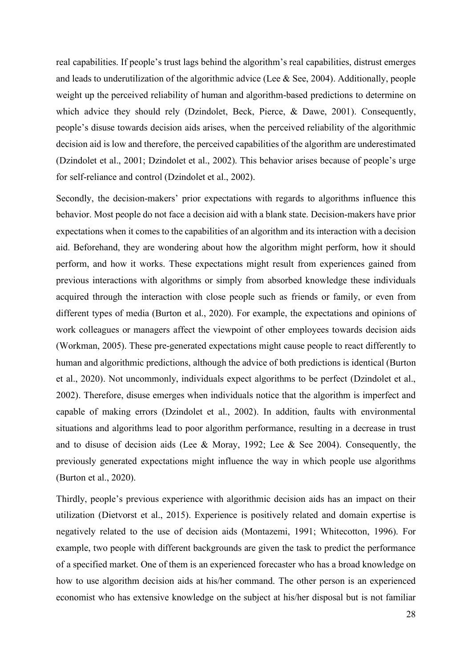real capabilities. If people's trust lags behind the algorithm's real capabilities, distrust emerges and leads to underutilization of the algorithmic advice (Lee & See, 2004). Additionally, people weight up the perceived reliability of human and algorithm-based predictions to determine on which advice they should rely (Dzindolet, Beck, Pierce, & Dawe, 2001). Consequently, people's disuse towards decision aids arises, when the perceived reliability of the algorithmic decision aid is low and therefore, the perceived capabilities of the algorithm are underestimated (Dzindolet et al., 2001; Dzindolet et al., 2002). This behavior arises because of people's urge for self-reliance and control (Dzindolet et al., 2002).

Secondly, the decision-makers' prior expectations with regards to algorithms influence this behavior. Most people do not face a decision aid with a blank state. Decision-makers have prior expectations when it comes to the capabilities of an algorithm and its interaction with a decision aid. Beforehand, they are wondering about how the algorithm might perform, how it should perform, and how it works. These expectations might result from experiences gained from previous interactions with algorithms or simply from absorbed knowledge these individuals acquired through the interaction with close people such as friends or family, or even from different types of media (Burton et al., 2020). For example, the expectations and opinions of work colleagues or managers affect the viewpoint of other employees towards decision aids (Workman, 2005). These pre-generated expectations might cause people to react differently to human and algorithmic predictions, although the advice of both predictions is identical (Burton et al., 2020). Not uncommonly, individuals expect algorithms to be perfect (Dzindolet et al., 2002). Therefore, disuse emerges when individuals notice that the algorithm is imperfect and capable of making errors (Dzindolet et al., 2002). In addition, faults with environmental situations and algorithms lead to poor algorithm performance, resulting in a decrease in trust and to disuse of decision aids (Lee & Moray, 1992; Lee & See 2004). Consequently, the previously generated expectations might influence the way in which people use algorithms (Burton et al., 2020).

Thirdly, people's previous experience with algorithmic decision aids has an impact on their utilization (Dietvorst et al., 2015). Experience is positively related and domain expertise is negatively related to the use of decision aids (Montazemi, 1991; Whitecotton, 1996). For example, two people with different backgrounds are given the task to predict the performance of a specified market. One of them is an experienced forecaster who has a broad knowledge on how to use algorithm decision aids at his/her command. The other person is an experienced economist who has extensive knowledge on the subject at his/her disposal but is not familiar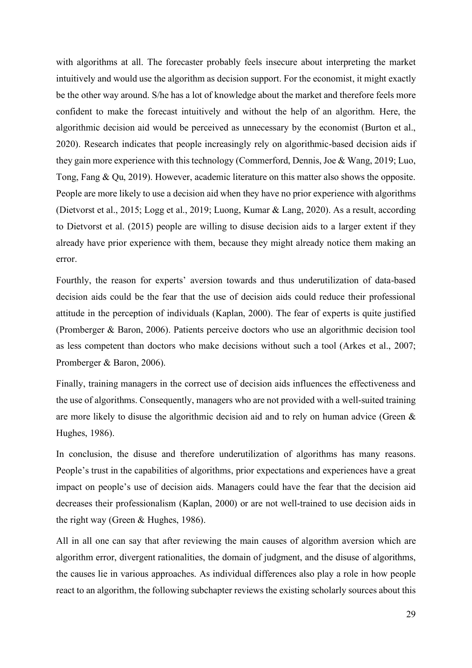with algorithms at all. The forecaster probably feels insecure about interpreting the market intuitively and would use the algorithm as decision support. For the economist, it might exactly be the other way around. S/he has a lot of knowledge about the market and therefore feels more confident to make the forecast intuitively and without the help of an algorithm. Here, the algorithmic decision aid would be perceived as unnecessary by the economist (Burton et al., 2020). Research indicates that people increasingly rely on algorithmic-based decision aids if they gain more experience with this technology (Commerford, Dennis, Joe & Wang, 2019; Luo, Tong, Fang & Qu, 2019). However, academic literature on this matter also shows the opposite. People are more likely to use a decision aid when they have no prior experience with algorithms (Dietvorst et al., 2015; Logg et al., 2019; Luong, Kumar & Lang, 2020). As a result, according to Dietvorst et al. (2015) people are willing to disuse decision aids to a larger extent if they already have prior experience with them, because they might already notice them making an error.

Fourthly, the reason for experts' aversion towards and thus underutilization of data-based decision aids could be the fear that the use of decision aids could reduce their professional attitude in the perception of individuals (Kaplan, 2000). The fear of experts is quite justified (Promberger & Baron, 2006). Patients perceive doctors who use an algorithmic decision tool as less competent than doctors who make decisions without such a tool (Arkes et al., 2007; Promberger & Baron, 2006).

Finally, training managers in the correct use of decision aids influences the effectiveness and the use of algorithms. Consequently, managers who are not provided with a well-suited training are more likely to disuse the algorithmic decision aid and to rely on human advice (Green & Hughes, 1986).

In conclusion, the disuse and therefore underutilization of algorithms has many reasons. People's trust in the capabilities of algorithms, prior expectations and experiences have a great impact on people's use of decision aids. Managers could have the fear that the decision aid decreases their professionalism (Kaplan, 2000) or are not well-trained to use decision aids in the right way (Green & Hughes, 1986).

All in all one can say that after reviewing the main causes of algorithm aversion which are algorithm error, divergent rationalities, the domain of judgment, and the disuse of algorithms, the causes lie in various approaches. As individual differences also play a role in how people react to an algorithm, the following subchapter reviews the existing scholarly sources about this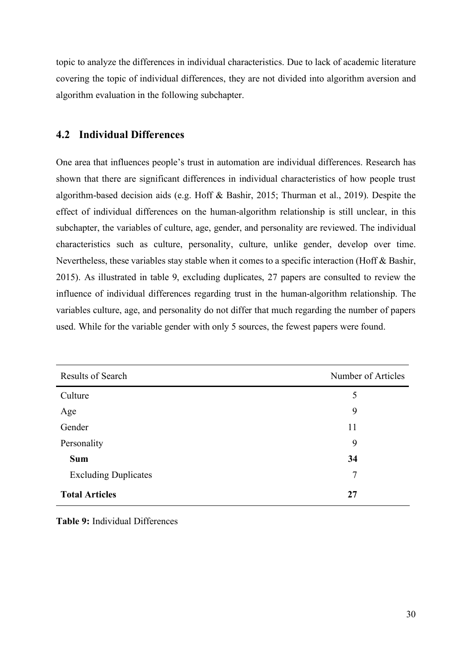topic to analyze the differences in individual characteristics. Due to lack of academic literature covering the topic of individual differences, they are not divided into algorithm aversion and algorithm evaluation in the following subchapter.

# **4.2 Individual Differences**

One area that influences people's trust in automation are individual differences. Research has shown that there are significant differences in individual characteristics of how people trust algorithm-based decision aids (e.g. Hoff & Bashir, 2015; Thurman et al., 2019). Despite the effect of individual differences on the human-algorithm relationship is still unclear, in this subchapter, the variables of culture, age, gender, and personality are reviewed. The individual characteristics such as culture, personality, culture, unlike gender, develop over time. Nevertheless, these variables stay stable when it comes to a specific interaction (Hoff & Bashir, 2015). As illustrated in table 9, excluding duplicates, 27 papers are consulted to review the influence of individual differences regarding trust in the human-algorithm relationship. The variables culture, age, and personality do not differ that much regarding the number of papers used. While for the variable gender with only 5 sources, the fewest papers were found.

| <b>Results of Search</b>    | Number of Articles |
|-----------------------------|--------------------|
| Culture                     | 5                  |
| Age                         | 9                  |
| Gender                      | 11                 |
| Personality                 | 9                  |
| <b>Sum</b>                  | 34                 |
| <b>Excluding Duplicates</b> | 7                  |
| <b>Total Articles</b>       | 27                 |

**Table 9:** Individual Differences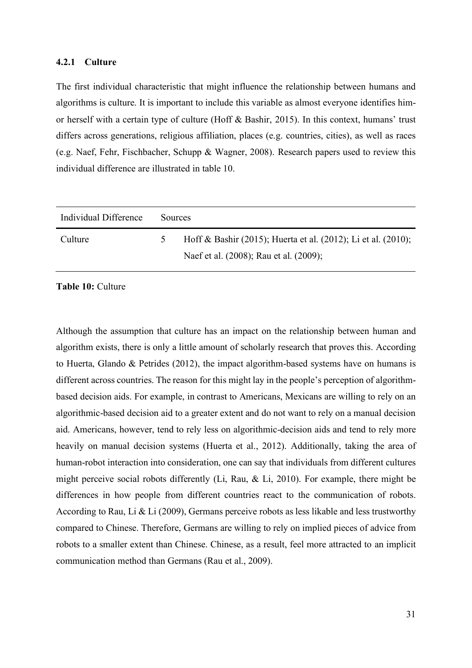#### **4.2.1 Culture**

The first individual characteristic that might influence the relationship between humans and algorithms is culture. It is important to include this variable as almost everyone identifies himor herself with a certain type of culture (Hoff & Bashir, 2015). In this context, humans' trust differs across generations, religious affiliation, places (e.g. countries, cities), as well as races (e.g. Naef, Fehr, Fischbacher, Schupp & Wagner, 2008). Research papers used to review this individual difference are illustrated in table 10.

| Individual Difference | <b>Sources</b> |                                                                                                         |
|-----------------------|----------------|---------------------------------------------------------------------------------------------------------|
| Culture               | $\mathcal{D}$  | Hoff & Bashir (2015); Huerta et al. (2012); Li et al. (2010);<br>Naef et al. (2008); Rau et al. (2009); |

**Table 10:** Culture

Although the assumption that culture has an impact on the relationship between human and algorithm exists, there is only a little amount of scholarly research that proves this. According to Huerta, Glando & Petrides (2012), the impact algorithm-based systems have on humans is different across countries. The reason for this might lay in the people's perception of algorithmbased decision aids. For example, in contrast to Americans, Mexicans are willing to rely on an algorithmic-based decision aid to a greater extent and do not want to rely on a manual decision aid. Americans, however, tend to rely less on algorithmic-decision aids and tend to rely more heavily on manual decision systems (Huerta et al., 2012). Additionally, taking the area of human-robot interaction into consideration, one can say that individuals from different cultures might perceive social robots differently (Li, Rau, & Li, 2010). For example, there might be differences in how people from different countries react to the communication of robots. According to Rau, Li & Li (2009), Germans perceive robots as less likable and less trustworthy compared to Chinese. Therefore, Germans are willing to rely on implied pieces of advice from robots to a smaller extent than Chinese. Chinese, as a result, feel more attracted to an implicit communication method than Germans (Rau et al., 2009).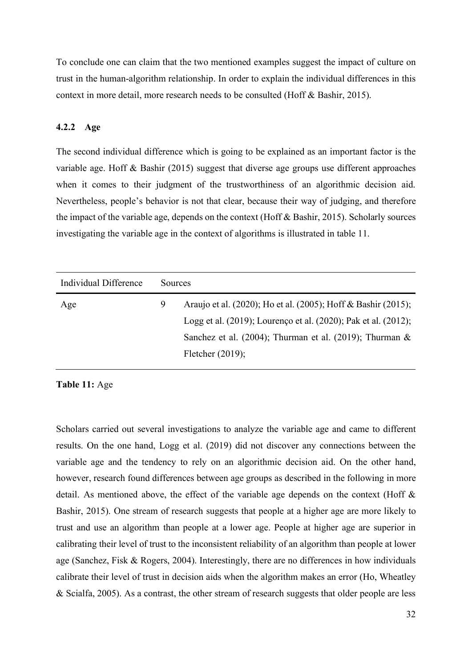To conclude one can claim that the two mentioned examples suggest the impact of culture on trust in the human-algorithm relationship. In order to explain the individual differences in this context in more detail, more research needs to be consulted (Hoff & Bashir, 2015).

## **4.2.2 Age**

The second individual difference which is going to be explained as an important factor is the variable age. Hoff & Bashir (2015) suggest that diverse age groups use different approaches when it comes to their judgment of the trustworthiness of an algorithmic decision aid. Nevertheless, people's behavior is not that clear, because their way of judging, and therefore the impact of the variable age, depends on the context (Hoff & Bashir, 2015). Scholarly sources investigating the variable age in the context of algorithms is illustrated in table 11.

| Individual Difference | Sources |                                                                |
|-----------------------|---------|----------------------------------------------------------------|
| Age                   | 9       | Araujo et al. (2020); Ho et al. (2005); Hoff & Bashir (2015);  |
|                       |         | Logg et al. (2019); Lourenço et al. (2020); Pak et al. (2012); |
|                       |         | Sanchez et al. (2004); Thurman et al. (2019); Thurman $\&$     |
|                       |         | Fletcher $(2019)$ ;                                            |

**Table 11:** Age

Scholars carried out several investigations to analyze the variable age and came to different results. On the one hand, Logg et al. (2019) did not discover any connections between the variable age and the tendency to rely on an algorithmic decision aid. On the other hand, however, research found differences between age groups as described in the following in more detail. As mentioned above, the effect of the variable age depends on the context (Hoff & Bashir, 2015). One stream of research suggests that people at a higher age are more likely to trust and use an algorithm than people at a lower age. People at higher age are superior in calibrating their level of trust to the inconsistent reliability of an algorithm than people at lower age (Sanchez, Fisk & Rogers, 2004). Interestingly, there are no differences in how individuals calibrate their level of trust in decision aids when the algorithm makes an error (Ho, Wheatley & Scialfa, 2005). As a contrast, the other stream of research suggests that older people are less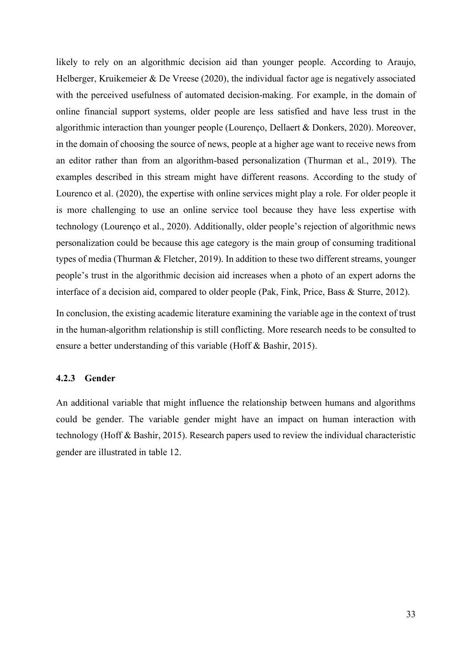likely to rely on an algorithmic decision aid than younger people. According to Araujo, Helberger, Kruikemeier & De Vreese (2020), the individual factor age is negatively associated with the perceived usefulness of automated decision-making. For example, in the domain of online financial support systems, older people are less satisfied and have less trust in the algorithmic interaction than younger people (Lourenço, Dellaert & Donkers, 2020). Moreover, in the domain of choosing the source of news, people at a higher age want to receive news from an editor rather than from an algorithm-based personalization (Thurman et al., 2019). The examples described in this stream might have different reasons. According to the study of Lourenco et al. (2020), the expertise with online services might play a role. For older people it is more challenging to use an online service tool because they have less expertise with technology (Lourenço et al., 2020). Additionally, older people's rejection of algorithmic news personalization could be because this age category is the main group of consuming traditional types of media (Thurman & Fletcher, 2019). In addition to these two different streams, younger people's trust in the algorithmic decision aid increases when a photo of an expert adorns the interface of a decision aid, compared to older people (Pak, Fink, Price, Bass & Sturre, 2012).

In conclusion, the existing academic literature examining the variable age in the context of trust in the human-algorithm relationship is still conflicting. More research needs to be consulted to ensure a better understanding of this variable (Hoff & Bashir, 2015).

## **4.2.3 Gender**

An additional variable that might influence the relationship between humans and algorithms could be gender. The variable gender might have an impact on human interaction with technology (Hoff & Bashir, 2015). Research papers used to review the individual characteristic gender are illustrated in table 12.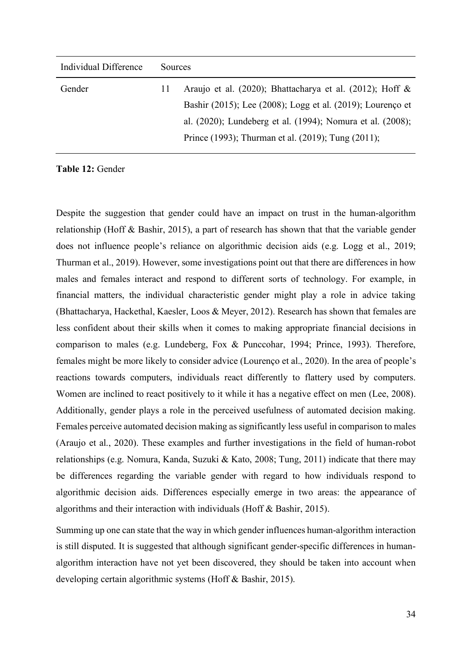| Individual Difference | <b>Sources</b> |                                                            |
|-----------------------|----------------|------------------------------------------------------------|
| Gender                | $\perp$        | Araujo et al. (2020); Bhattacharya et al. (2012); Hoff &   |
|                       |                | Bashir (2015); Lee (2008); Logg et al. (2019); Lourenço et |
|                       |                | al. (2020); Lundeberg et al. (1994); Nomura et al. (2008); |
|                       |                | Prince (1993); Thurman et al. (2019); Tung (2011);         |
|                       |                |                                                            |

**Table 12:** Gender

Despite the suggestion that gender could have an impact on trust in the human-algorithm relationship (Hoff & Bashir, 2015), a part of research has shown that that the variable gender does not influence people's reliance on algorithmic decision aids (e.g. Logg et al., 2019; Thurman et al., 2019). However, some investigations point out that there are differences in how males and females interact and respond to different sorts of technology. For example, in financial matters, the individual characteristic gender might play a role in advice taking (Bhattacharya, Hackethal, Kaesler, Loos & Meyer, 2012). Research has shown that females are less confident about their skills when it comes to making appropriate financial decisions in comparison to males (e.g. Lundeberg, Fox & Punccohar, 1994; Prince, 1993). Therefore, females might be more likely to consider advice (Lourenço et al., 2020). In the area of people's reactions towards computers, individuals react differently to flattery used by computers. Women are inclined to react positively to it while it has a negative effect on men (Lee, 2008). Additionally, gender plays a role in the perceived usefulness of automated decision making. Females perceive automated decision making as significantly less useful in comparison to males (Araujo et al., 2020). These examples and further investigations in the field of human-robot relationships (e.g. Nomura, Kanda, Suzuki & Kato, 2008; Tung, 2011) indicate that there may be differences regarding the variable gender with regard to how individuals respond to algorithmic decision aids. Differences especially emerge in two areas: the appearance of algorithms and their interaction with individuals (Hoff & Bashir, 2015).

Summing up one can state that the way in which gender influences human-algorithm interaction is still disputed. It is suggested that although significant gender-specific differences in humanalgorithm interaction have not yet been discovered, they should be taken into account when developing certain algorithmic systems (Hoff & Bashir, 2015).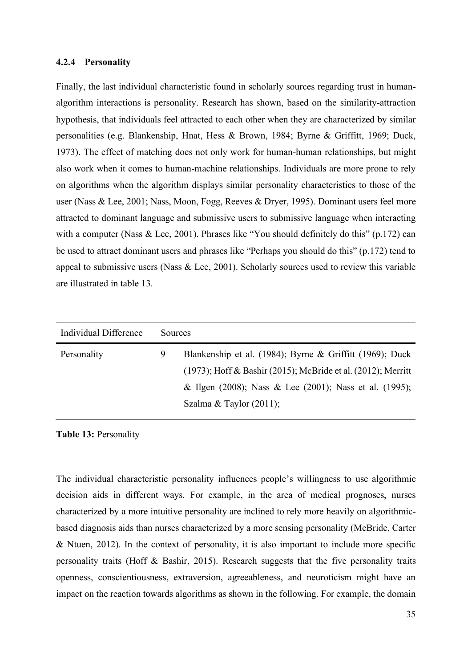#### **4.2.4 Personality**

Finally, the last individual characteristic found in scholarly sources regarding trust in humanalgorithm interactions is personality. Research has shown, based on the similarity-attraction hypothesis, that individuals feel attracted to each other when they are characterized by similar personalities (e.g. Blankenship, Hnat, Hess & Brown, 1984; Byrne & Griffitt, 1969; Duck, 1973). The effect of matching does not only work for human-human relationships, but might also work when it comes to human-machine relationships. Individuals are more prone to rely on algorithms when the algorithm displays similar personality characteristics to those of the user (Nass & Lee, 2001; Nass, Moon, Fogg, Reeves & Dryer, 1995). Dominant users feel more attracted to dominant language and submissive users to submissive language when interacting with a computer (Nass & Lee, 2001). Phrases like "You should definitely do this" (p.172) can be used to attract dominant users and phrases like "Perhaps you should do this" (p.172) tend to appeal to submissive users (Nass & Lee, 2001). Scholarly sources used to review this variable are illustrated in table 13.

| Individual Difference | <b>Sources</b> |                                                                 |
|-----------------------|----------------|-----------------------------------------------------------------|
| Personality           | 9              | Blankenship et al. (1984); Byrne & Griffitt (1969); Duck        |
|                       |                | $(1973)$ ; Hoff & Bashir (2015); McBride et al. (2012); Merritt |
|                       |                | & Ilgen (2008); Nass & Lee (2001); Nass et al. (1995);          |
|                       |                | Szalma & Taylor $(2011)$ ;                                      |
|                       |                |                                                                 |

**Table 13:** Personality

The individual characteristic personality influences people's willingness to use algorithmic decision aids in different ways. For example, in the area of medical prognoses, nurses characterized by a more intuitive personality are inclined to rely more heavily on algorithmicbased diagnosis aids than nurses characterized by a more sensing personality (McBride, Carter & Ntuen, 2012). In the context of personality, it is also important to include more specific personality traits (Hoff & Bashir, 2015). Research suggests that the five personality traits openness, conscientiousness, extraversion, agreeableness, and neuroticism might have an impact on the reaction towards algorithms as shown in the following. For example, the domain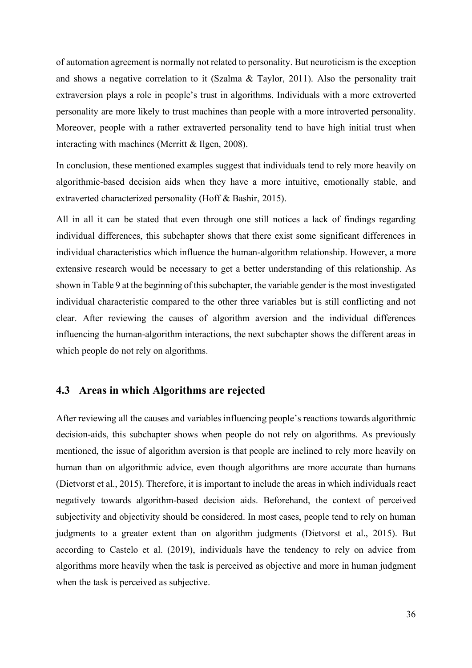of automation agreement is normally not related to personality. But neuroticism isthe exception and shows a negative correlation to it (Szalma & Taylor, 2011). Also the personality trait extraversion plays a role in people's trust in algorithms. Individuals with a more extroverted personality are more likely to trust machines than people with a more introverted personality. Moreover, people with a rather extraverted personality tend to have high initial trust when interacting with machines (Merritt & Ilgen, 2008).

In conclusion, these mentioned examples suggest that individuals tend to rely more heavily on algorithmic-based decision aids when they have a more intuitive, emotionally stable, and extraverted characterized personality (Hoff & Bashir, 2015).

All in all it can be stated that even through one still notices a lack of findings regarding individual differences, this subchapter shows that there exist some significant differences in individual characteristics which influence the human-algorithm relationship. However, a more extensive research would be necessary to get a better understanding of this relationship. As shown in Table 9 at the beginning of this subchapter, the variable gender is the most investigated individual characteristic compared to the other three variables but is still conflicting and not clear. After reviewing the causes of algorithm aversion and the individual differences influencing the human-algorithm interactions, the next subchapter shows the different areas in which people do not rely on algorithms.

## **4.3 Areas in which Algorithms are rejected**

After reviewing all the causes and variables influencing people's reactions towards algorithmic decision-aids, this subchapter shows when people do not rely on algorithms. As previously mentioned, the issue of algorithm aversion is that people are inclined to rely more heavily on human than on algorithmic advice, even though algorithms are more accurate than humans (Dietvorst et al., 2015). Therefore, it is important to include the areas in which individuals react negatively towards algorithm-based decision aids. Beforehand, the context of perceived subjectivity and objectivity should be considered. In most cases, people tend to rely on human judgments to a greater extent than on algorithm judgments (Dietvorst et al., 2015). But according to Castelo et al. (2019), individuals have the tendency to rely on advice from algorithms more heavily when the task is perceived as objective and more in human judgment when the task is perceived as subjective.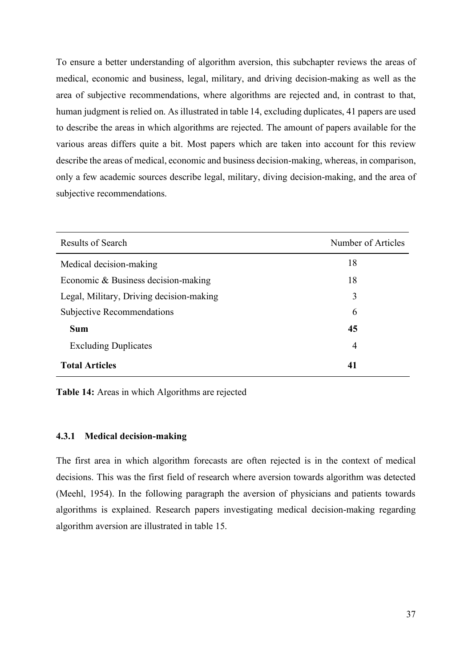To ensure a better understanding of algorithm aversion, this subchapter reviews the areas of medical, economic and business, legal, military, and driving decision-making as well as the area of subjective recommendations, where algorithms are rejected and, in contrast to that, human judgment is relied on. As illustrated in table 14, excluding duplicates, 41 papers are used to describe the areas in which algorithms are rejected. The amount of papers available for the various areas differs quite a bit. Most papers which are taken into account for this review describe the areas of medical, economic and business decision-making, whereas, in comparison, only a few academic sources describe legal, military, diving decision-making, and the area of subjective recommendations.

| Results of Search                        | Number of Articles |
|------------------------------------------|--------------------|
| Medical decision-making                  | 18                 |
| Economic & Business decision-making      | 18                 |
| Legal, Military, Driving decision-making | 3                  |
| <b>Subjective Recommendations</b>        | 6                  |
| <b>Sum</b>                               | 45                 |
| <b>Excluding Duplicates</b>              | $\overline{4}$     |
| <b>Total Articles</b>                    | 41                 |

**Table 14:** Areas in which Algorithms are rejected

#### **4.3.1 Medical decision-making**

The first area in which algorithm forecasts are often rejected is in the context of medical decisions. This was the first field of research where aversion towards algorithm was detected (Meehl, 1954). In the following paragraph the aversion of physicians and patients towards algorithms is explained. Research papers investigating medical decision-making regarding algorithm aversion are illustrated in table 15.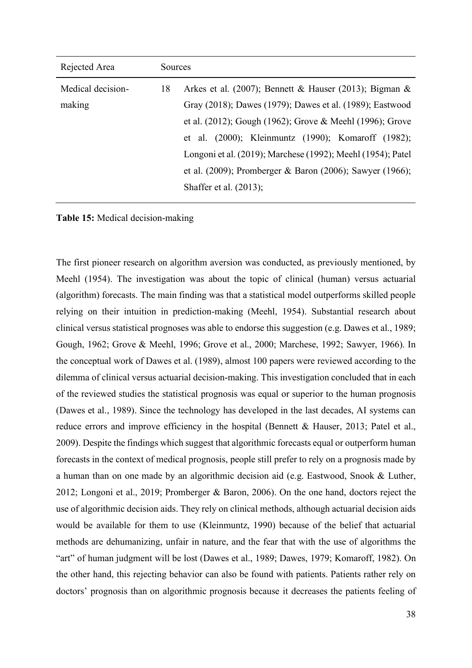| Rejected Area     | <b>Sources</b> |                                                             |
|-------------------|----------------|-------------------------------------------------------------|
| Medical decision- | 18             | Arkes et al. (2007); Bennett & Hauser (2013); Bigman &      |
| making            |                | Gray (2018); Dawes (1979); Dawes et al. (1989); Eastwood    |
|                   |                | et al. (2012); Gough (1962); Grove & Meehl (1996); Grove    |
|                   |                | et al. (2000); Kleinmuntz (1990); Komaroff (1982);          |
|                   |                | Longoni et al. (2019); Marchese (1992); Meehl (1954); Patel |
|                   |                | et al. (2009); Promberger & Baron (2006); Sawyer (1966);    |
|                   |                | Shaffer et al. $(2013)$ ;                                   |

**Table 15:** Medical decision-making

The first pioneer research on algorithm aversion was conducted, as previously mentioned, by Meehl (1954). The investigation was about the topic of clinical (human) versus actuarial (algorithm) forecasts. The main finding was that a statistical model outperforms skilled people relying on their intuition in prediction-making (Meehl, 1954). Substantial research about clinical versus statistical prognoses was able to endorse this suggestion (e.g. Dawes et al., 1989; Gough, 1962; Grove & Meehl, 1996; Grove et al., 2000; Marchese, 1992; Sawyer, 1966). In the conceptual work of Dawes et al. (1989), almost 100 papers were reviewed according to the dilemma of clinical versus actuarial decision-making. This investigation concluded that in each of the reviewed studies the statistical prognosis was equal or superior to the human prognosis (Dawes et al., 1989). Since the technology has developed in the last decades, AI systems can reduce errors and improve efficiency in the hospital (Bennett & Hauser, 2013; Patel et al., 2009). Despite the findings which suggest that algorithmic forecasts equal or outperform human forecasts in the context of medical prognosis, people still prefer to rely on a prognosis made by a human than on one made by an algorithmic decision aid (e.g. Eastwood, Snook & Luther, 2012; Longoni et al., 2019; Promberger & Baron, 2006). On the one hand, doctors reject the use of algorithmic decision aids. They rely on clinical methods, although actuarial decision aids would be available for them to use (Kleinmuntz, 1990) because of the belief that actuarial methods are dehumanizing, unfair in nature, and the fear that with the use of algorithms the "art" of human judgment will be lost (Dawes et al., 1989; Dawes, 1979; Komaroff, 1982). On the other hand, this rejecting behavior can also be found with patients. Patients rather rely on doctors' prognosis than on algorithmic prognosis because it decreases the patients feeling of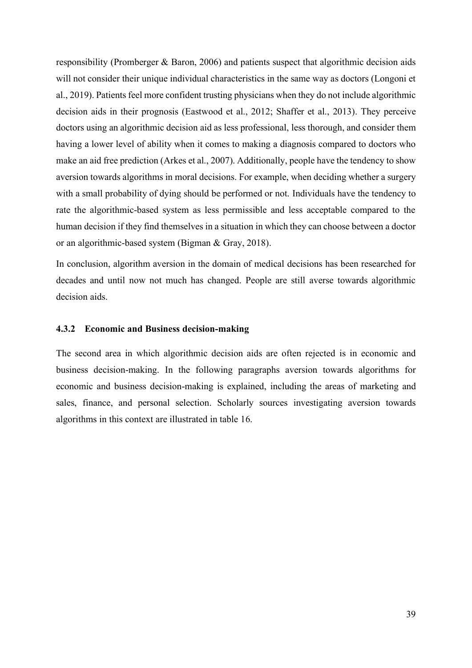responsibility (Promberger & Baron, 2006) and patients suspect that algorithmic decision aids will not consider their unique individual characteristics in the same way as doctors (Longoni et al., 2019). Patients feel more confident trusting physicians when they do not include algorithmic decision aids in their prognosis (Eastwood et al., 2012; Shaffer et al., 2013). They perceive doctors using an algorithmic decision aid as less professional, less thorough, and consider them having a lower level of ability when it comes to making a diagnosis compared to doctors who make an aid free prediction (Arkes et al., 2007). Additionally, people have the tendency to show aversion towards algorithms in moral decisions. For example, when deciding whether a surgery with a small probability of dying should be performed or not. Individuals have the tendency to rate the algorithmic-based system as less permissible and less acceptable compared to the human decision if they find themselves in a situation in which they can choose between a doctor or an algorithmic-based system (Bigman & Gray, 2018).

In conclusion, algorithm aversion in the domain of medical decisions has been researched for decades and until now not much has changed. People are still averse towards algorithmic decision aids.

## **4.3.2 Economic and Business decision-making**

The second area in which algorithmic decision aids are often rejected is in economic and business decision-making. In the following paragraphs aversion towards algorithms for economic and business decision-making is explained, including the areas of marketing and sales, finance, and personal selection. Scholarly sources investigating aversion towards algorithms in this context are illustrated in table 16.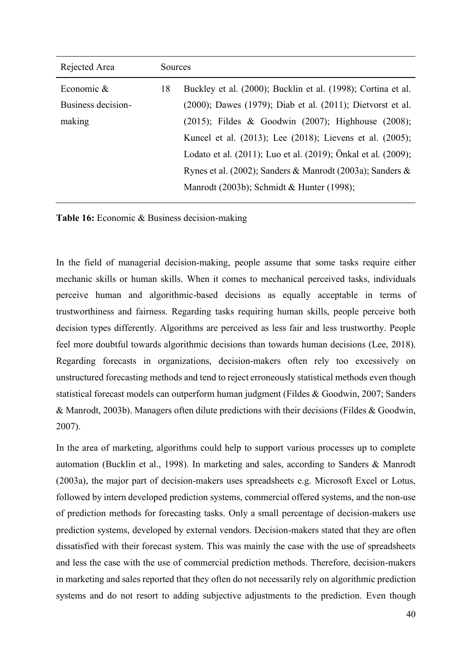| Rejected Area      | <b>Sources</b> |                                                               |
|--------------------|----------------|---------------------------------------------------------------|
| Economic $&$       | 18             | Buckley et al. (2000); Bucklin et al. (1998); Cortina et al.  |
| Business decision- |                | (2000); Dawes (1979); Diab et al. (2011); Dietvorst et al.    |
| making             |                | $(2015)$ ; Fildes & Goodwin $(2007)$ ; Highhouse $(2008)$ ;   |
|                    |                | Kuncel et al. (2013); Lee (2018); Lievens et al. (2005);      |
|                    |                | Lodato et al. (2011); Luo et al. (2019); Önkal et al. (2009); |
|                    |                | Rynes et al. (2002); Sanders & Manrodt (2003a); Sanders &     |
|                    |                | Manrodt (2003b); Schmidt & Hunter (1998);                     |
|                    |                |                                                               |

**Table 16:** Economic & Business decision-making

In the field of managerial decision-making, people assume that some tasks require either mechanic skills or human skills. When it comes to mechanical perceived tasks, individuals perceive human and algorithmic-based decisions as equally acceptable in terms of trustworthiness and fairness. Regarding tasks requiring human skills, people perceive both decision types differently. Algorithms are perceived as less fair and less trustworthy. People feel more doubtful towards algorithmic decisions than towards human decisions (Lee, 2018). Regarding forecasts in organizations, decision-makers often rely too excessively on unstructured forecasting methods and tend to reject erroneously statistical methods even though statistical forecast models can outperform human judgment (Fildes & Goodwin, 2007; Sanders & Manrodt, 2003b). Managers often dilute predictions with their decisions (Fildes & Goodwin, 2007).

In the area of marketing, algorithms could help to support various processes up to complete automation (Bucklin et al., 1998). In marketing and sales, according to Sanders & Manrodt (2003a), the major part of decision-makers uses spreadsheets e.g. Microsoft Excel or Lotus, followed by intern developed prediction systems, commercial offered systems, and the non-use of prediction methods for forecasting tasks. Only a small percentage of decision-makers use prediction systems, developed by external vendors. Decision-makers stated that they are often dissatisfied with their forecast system. This was mainly the case with the use of spreadsheets and less the case with the use of commercial prediction methods. Therefore, decision-makers in marketing and sales reported that they often do not necessarily rely on algorithmic prediction systems and do not resort to adding subjective adjustments to the prediction. Even though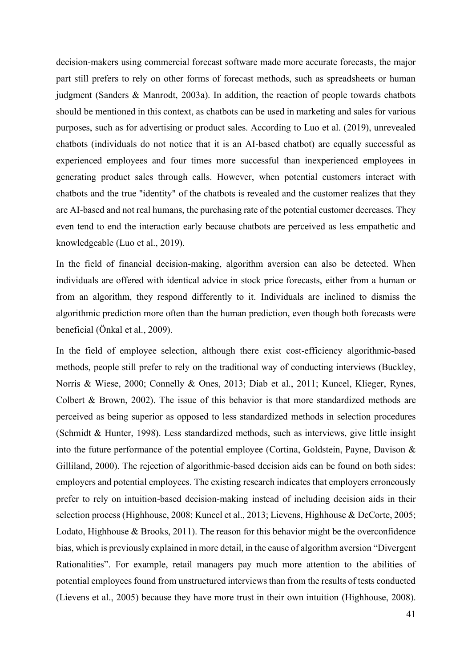decision-makers using commercial forecast software made more accurate forecasts, the major part still prefers to rely on other forms of forecast methods, such as spreadsheets or human judgment (Sanders & Manrodt, 2003a). In addition, the reaction of people towards chatbots should be mentioned in this context, as chatbots can be used in marketing and sales for various purposes, such as for advertising or product sales. According to Luo et al. (2019), unrevealed chatbots (individuals do not notice that it is an AI-based chatbot) are equally successful as experienced employees and four times more successful than inexperienced employees in generating product sales through calls. However, when potential customers interact with chatbots and the true "identity" of the chatbots is revealed and the customer realizes that they are AI-based and not real humans, the purchasing rate of the potential customer decreases. They even tend to end the interaction early because chatbots are perceived as less empathetic and knowledgeable (Luo et al., 2019).

In the field of financial decision-making, algorithm aversion can also be detected. When individuals are offered with identical advice in stock price forecasts, either from a human or from an algorithm, they respond differently to it. Individuals are inclined to dismiss the algorithmic prediction more often than the human prediction, even though both forecasts were beneficial (Önkal et al., 2009).

In the field of employee selection, although there exist cost-efficiency algorithmic-based methods, people still prefer to rely on the traditional way of conducting interviews (Buckley, Norris & Wiese, 2000; Connelly & Ones, 2013; Diab et al., 2011; Kuncel, Klieger, Rynes, Colbert & Brown, 2002). The issue of this behavior is that more standardized methods are perceived as being superior as opposed to less standardized methods in selection procedures (Schmidt & Hunter, 1998). Less standardized methods, such as interviews, give little insight into the future performance of the potential employee (Cortina, Goldstein, Payne, Davison & Gilliland, 2000). The rejection of algorithmic-based decision aids can be found on both sides: employers and potential employees. The existing research indicates that employers erroneously prefer to rely on intuition-based decision-making instead of including decision aids in their selection process (Highhouse, 2008; Kuncel et al., 2013; Lievens, Highhouse & DeCorte, 2005; Lodato, Highhouse & Brooks, 2011). The reason for this behavior might be the overconfidence bias, which is previously explained in more detail, in the cause of algorithm aversion "Divergent Rationalities". For example, retail managers pay much more attention to the abilities of potential employees found from unstructured interviews than from the results of tests conducted (Lievens et al., 2005) because they have more trust in their own intuition (Highhouse, 2008).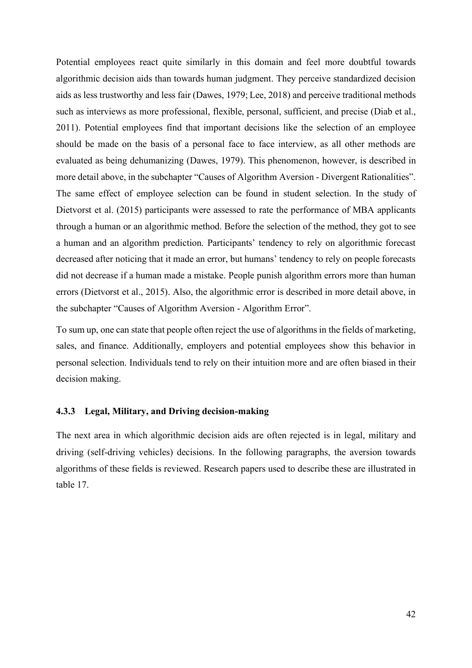Potential employees react quite similarly in this domain and feel more doubtful towards algorithmic decision aids than towards human judgment. They perceive standardized decision aids as less trustworthy and less fair (Dawes, 1979; Lee, 2018) and perceive traditional methods such as interviews as more professional, flexible, personal, sufficient, and precise (Diab et al., 2011). Potential employees find that important decisions like the selection of an employee should be made on the basis of a personal face to face interview, as all other methods are evaluated as being dehumanizing (Dawes, 1979). This phenomenon, however, is described in more detail above, in the subchapter "Causes of Algorithm Aversion - Divergent Rationalities". The same effect of employee selection can be found in student selection. In the study of Dietvorst et al. (2015) participants were assessed to rate the performance of MBA applicants through a human or an algorithmic method. Before the selection of the method, they got to see a human and an algorithm prediction. Participants' tendency to rely on algorithmic forecast decreased after noticing that it made an error, but humans' tendency to rely on people forecasts did not decrease if a human made a mistake. People punish algorithm errors more than human errors (Dietvorst et al., 2015). Also, the algorithmic error is described in more detail above, in the subchapter "Causes of Algorithm Aversion - Algorithm Error".

To sum up, one can state that people often reject the use of algorithms in the fields of marketing, sales, and finance. Additionally, employers and potential employees show this behavior in personal selection. Individuals tend to rely on their intuition more and are often biased in their decision making.

#### **4.3.3 Legal, Military, and Driving decision-making**

The next area in which algorithmic decision aids are often rejected is in legal, military and driving (self-driving vehicles) decisions. In the following paragraphs, the aversion towards algorithms of these fields is reviewed. Research papers used to describe these are illustrated in table 17.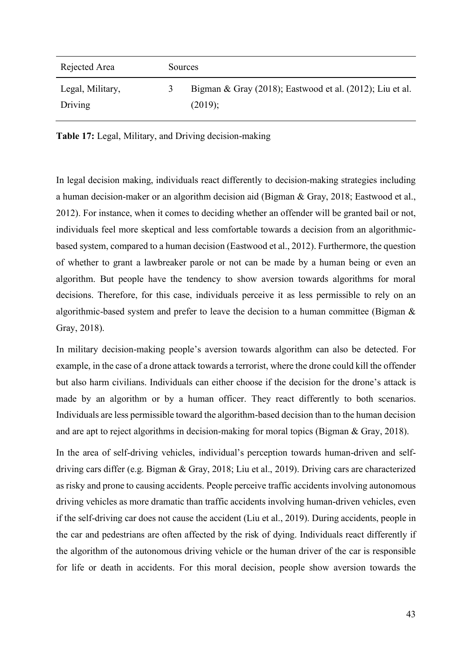| Rejected Area    | Sources |                                                          |
|------------------|---------|----------------------------------------------------------|
| Legal, Military, |         | Bigman & Gray (2018); Eastwood et al. (2012); Liu et al. |
| Driving          |         | (2019);                                                  |

**Table 17:** Legal, Military, and Driving decision-making

In legal decision making, individuals react differently to decision-making strategies including a human decision-maker or an algorithm decision aid (Bigman & Gray, 2018; Eastwood et al., 2012). For instance, when it comes to deciding whether an offender will be granted bail or not, individuals feel more skeptical and less comfortable towards a decision from an algorithmicbased system, compared to a human decision (Eastwood et al., 2012). Furthermore, the question of whether to grant a lawbreaker parole or not can be made by a human being or even an algorithm. But people have the tendency to show aversion towards algorithms for moral decisions. Therefore, for this case, individuals perceive it as less permissible to rely on an algorithmic-based system and prefer to leave the decision to a human committee (Bigman & Gray, 2018).

In military decision-making people's aversion towards algorithm can also be detected. For example, in the case of a drone attack towards a terrorist, where the drone could kill the offender but also harm civilians. Individuals can either choose if the decision for the drone's attack is made by an algorithm or by a human officer. They react differently to both scenarios. Individuals are less permissible toward the algorithm-based decision than to the human decision and are apt to reject algorithms in decision-making for moral topics (Bigman & Gray, 2018).

In the area of self-driving vehicles, individual's perception towards human-driven and selfdriving cars differ (e.g. Bigman & Gray, 2018; Liu et al., 2019). Driving cars are characterized as risky and prone to causing accidents. People perceive traffic accidents involving autonomous driving vehicles as more dramatic than traffic accidents involving human-driven vehicles, even if the self-driving car does not cause the accident (Liu et al., 2019). During accidents, people in the car and pedestrians are often affected by the risk of dying. Individuals react differently if the algorithm of the autonomous driving vehicle or the human driver of the car is responsible for life or death in accidents. For this moral decision, people show aversion towards the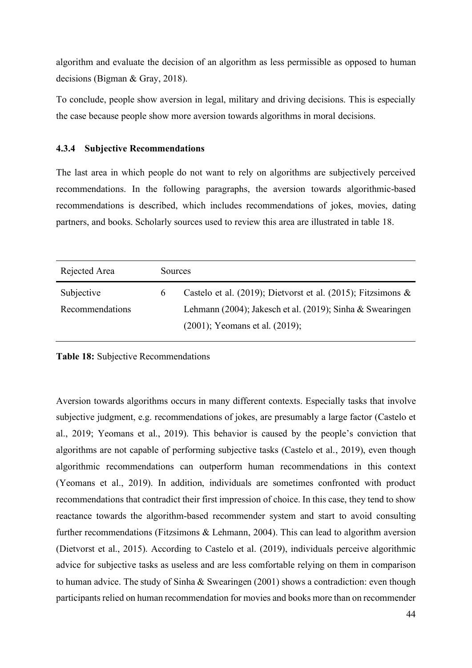algorithm and evaluate the decision of an algorithm as less permissible as opposed to human decisions (Bigman & Gray, 2018).

To conclude, people show aversion in legal, military and driving decisions. This is especially the case because people show more aversion towards algorithms in moral decisions.

### **4.3.4 Subjective Recommendations**

The last area in which people do not want to rely on algorithms are subjectively perceived recommendations. In the following paragraphs, the aversion towards algorithmic-based recommendations is described, which includes recommendations of jokes, movies, dating partners, and books. Scholarly sources used to review this area are illustrated in table 18.

| Rejected Area   | <b>Sources</b> |                                                                 |
|-----------------|----------------|-----------------------------------------------------------------|
| Subjective      | 6              | Castelo et al. (2019); Dietvorst et al. (2015); Fitzsimons $\&$ |
| Recommendations |                | Lehmann (2004); Jakesch et al. (2019); Sinha & Swearingen       |
|                 |                | $(2001)$ ; Yeomans et al. $(2019)$ ;                            |

**Table 18:** Subjective Recommendations

Aversion towards algorithms occurs in many different contexts. Especially tasks that involve subjective judgment, e.g. recommendations of jokes, are presumably a large factor (Castelo et al., 2019; Yeomans et al., 2019). This behavior is caused by the people's conviction that algorithms are not capable of performing subjective tasks (Castelo et al., 2019), even though algorithmic recommendations can outperform human recommendations in this context (Yeomans et al., 2019). In addition, individuals are sometimes confronted with product recommendations that contradict their first impression of choice. In this case, they tend to show reactance towards the algorithm-based recommender system and start to avoid consulting further recommendations (Fitzsimons & Lehmann, 2004). This can lead to algorithm aversion (Dietvorst et al., 2015). According to Castelo et al. (2019), individuals perceive algorithmic advice for subjective tasks as useless and are less comfortable relying on them in comparison to human advice. The study of Sinha & Swearingen (2001) shows a contradiction: even though participants relied on human recommendation for movies and books more than on recommender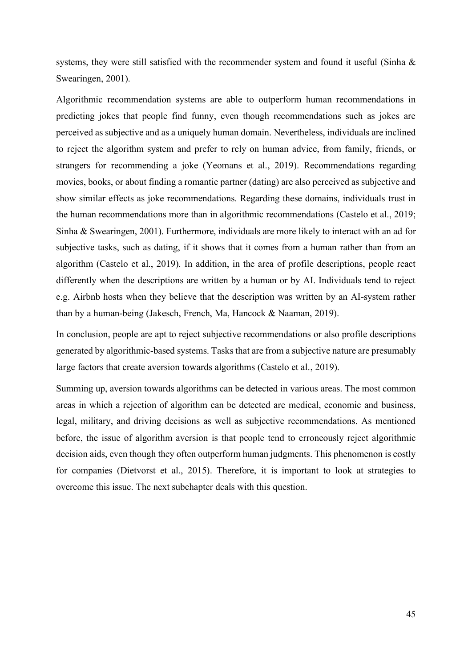systems, they were still satisfied with the recommender system and found it useful (Sinha & Swearingen, 2001).

Algorithmic recommendation systems are able to outperform human recommendations in predicting jokes that people find funny, even though recommendations such as jokes are perceived as subjective and as a uniquely human domain. Nevertheless, individuals are inclined to reject the algorithm system and prefer to rely on human advice, from family, friends, or strangers for recommending a joke (Yeomans et al., 2019). Recommendations regarding movies, books, or about finding a romantic partner (dating) are also perceived as subjective and show similar effects as joke recommendations. Regarding these domains, individuals trust in the human recommendations more than in algorithmic recommendations (Castelo et al., 2019; Sinha & Swearingen, 2001). Furthermore, individuals are more likely to interact with an ad for subjective tasks, such as dating, if it shows that it comes from a human rather than from an algorithm (Castelo et al., 2019). In addition, in the area of profile descriptions, people react differently when the descriptions are written by a human or by AI. Individuals tend to reject e.g. Airbnb hosts when they believe that the description was written by an AI-system rather than by a human-being (Jakesch, French, Ma, Hancock & Naaman, 2019).

In conclusion, people are apt to reject subjective recommendations or also profile descriptions generated by algorithmic-based systems. Tasks that are from a subjective nature are presumably large factors that create aversion towards algorithms (Castelo et al., 2019).

Summing up, aversion towards algorithms can be detected in various areas. The most common areas in which a rejection of algorithm can be detected are medical, economic and business, legal, military, and driving decisions as well as subjective recommendations. As mentioned before, the issue of algorithm aversion is that people tend to erroneously reject algorithmic decision aids, even though they often outperform human judgments. This phenomenon is costly for companies (Dietvorst et al., 2015). Therefore, it is important to look at strategies to overcome this issue. The next subchapter deals with this question.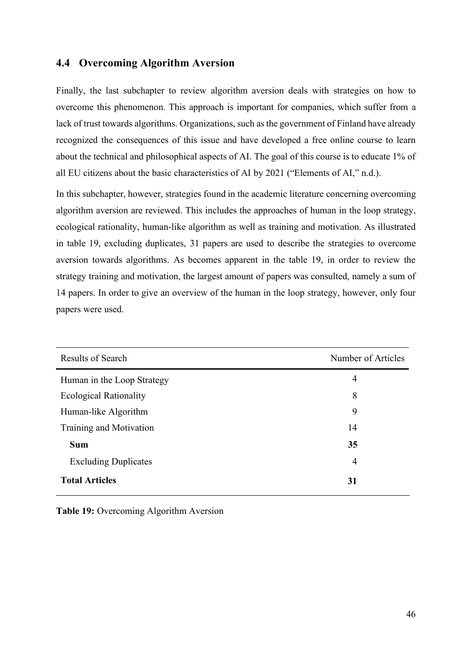# **4.4 Overcoming Algorithm Aversion**

Finally, the last subchapter to review algorithm aversion deals with strategies on how to overcome this phenomenon. This approach is important for companies, which suffer from a lack of trust towards algorithms. Organizations, such as the government of Finland have already recognized the consequences of this issue and have developed a free online course to learn about the technical and philosophical aspects of AI. The goal of this course is to educate 1% of all EU citizens about the basic characteristics of AI by 2021 ("Elements of AI," n.d.).

In this subchapter, however, strategies found in the academic literature concerning overcoming algorithm aversion are reviewed. This includes the approaches of human in the loop strategy, ecological rationality, human-like algorithm as well as training and motivation. As illustrated in table 19, excluding duplicates, 31 papers are used to describe the strategies to overcome aversion towards algorithms. As becomes apparent in the table 19, in order to review the strategy training and motivation, the largest amount of papers was consulted, namely a sum of 14 papers. In order to give an overview of the human in the loop strategy, however, only four papers were used.

| Results of Search             | Number of Articles |
|-------------------------------|--------------------|
| Human in the Loop Strategy    | 4                  |
| <b>Ecological Rationality</b> | 8                  |
| Human-like Algorithm          | 9                  |
| Training and Motivation       | 14                 |
| <b>Sum</b>                    | 35                 |
| <b>Excluding Duplicates</b>   | 4                  |
| <b>Total Articles</b>         | 31                 |

**Table 19:** Overcoming Algorithm Aversion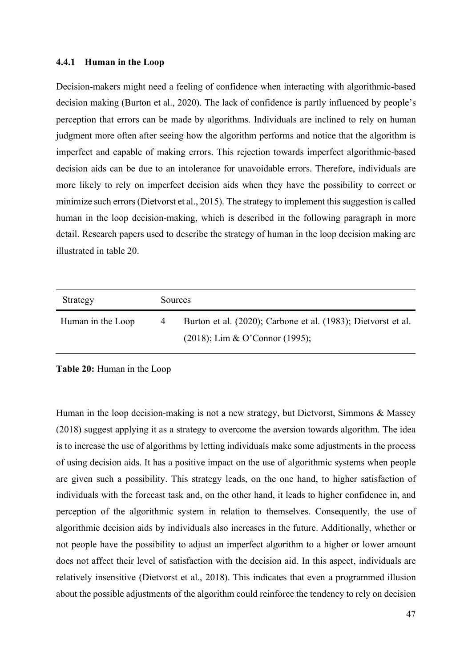#### **4.4.1 Human in the Loop**

Decision-makers might need a feeling of confidence when interacting with algorithmic-based decision making (Burton et al., 2020). The lack of confidence is partly influenced by people's perception that errors can be made by algorithms. Individuals are inclined to rely on human judgment more often after seeing how the algorithm performs and notice that the algorithm is imperfect and capable of making errors. This rejection towards imperfect algorithmic-based decision aids can be due to an intolerance for unavoidable errors. Therefore, individuals are more likely to rely on imperfect decision aids when they have the possibility to correct or minimize such errors (Dietvorst et al., 2015). The strategy to implement this suggestion is called human in the loop decision-making, which is described in the following paragraph in more detail. Research papers used to describe the strategy of human in the loop decision making are illustrated in table 20.

| Strategy          | Sources |                                                               |
|-------------------|---------|---------------------------------------------------------------|
| Human in the Loop | 4       | Burton et al. (2020); Carbone et al. (1983); Dietvorst et al. |
|                   |         | $(2018)$ ; Lim & O'Connor (1995);                             |

**Table 20:** Human in the Loop

Human in the loop decision-making is not a new strategy, but Dietvorst, Simmons & Massey (2018) suggest applying it as a strategy to overcome the aversion towards algorithm. The idea is to increase the use of algorithms by letting individuals make some adjustments in the process of using decision aids. It has a positive impact on the use of algorithmic systems when people are given such a possibility. This strategy leads, on the one hand, to higher satisfaction of individuals with the forecast task and, on the other hand, it leads to higher confidence in, and perception of the algorithmic system in relation to themselves. Consequently, the use of algorithmic decision aids by individuals also increases in the future. Additionally, whether or not people have the possibility to adjust an imperfect algorithm to a higher or lower amount does not affect their level of satisfaction with the decision aid. In this aspect, individuals are relatively insensitive (Dietvorst et al., 2018). This indicates that even a programmed illusion about the possible adjustments of the algorithm could reinforce the tendency to rely on decision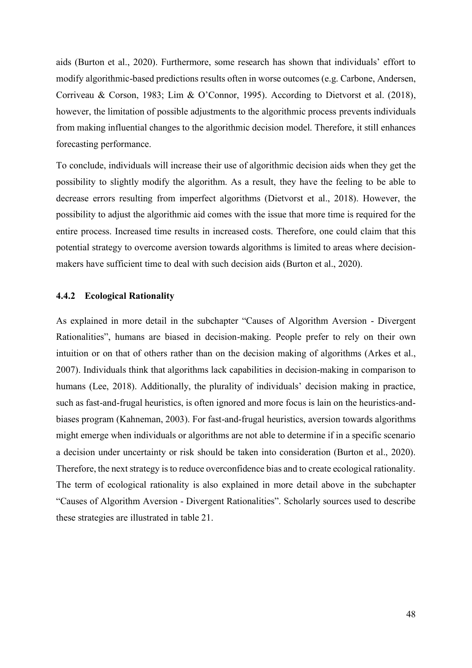aids (Burton et al., 2020). Furthermore, some research has shown that individuals' effort to modify algorithmic-based predictions results often in worse outcomes (e.g. Carbone, Andersen, Corriveau & Corson, 1983; Lim & O'Connor, 1995). According to Dietvorst et al. (2018), however, the limitation of possible adjustments to the algorithmic process prevents individuals from making influential changes to the algorithmic decision model. Therefore, it still enhances forecasting performance.

To conclude, individuals will increase their use of algorithmic decision aids when they get the possibility to slightly modify the algorithm. As a result, they have the feeling to be able to decrease errors resulting from imperfect algorithms (Dietvorst et al., 2018). However, the possibility to adjust the algorithmic aid comes with the issue that more time is required for the entire process. Increased time results in increased costs. Therefore, one could claim that this potential strategy to overcome aversion towards algorithms is limited to areas where decisionmakers have sufficient time to deal with such decision aids (Burton et al., 2020).

#### **4.4.2 Ecological Rationality**

As explained in more detail in the subchapter "Causes of Algorithm Aversion - Divergent Rationalities", humans are biased in decision-making. People prefer to rely on their own intuition or on that of others rather than on the decision making of algorithms (Arkes et al., 2007). Individuals think that algorithms lack capabilities in decision-making in comparison to humans (Lee, 2018). Additionally, the plurality of individuals' decision making in practice, such as fast-and-frugal heuristics, is often ignored and more focus is lain on the heuristics-andbiases program (Kahneman, 2003). For fast-and-frugal heuristics, aversion towards algorithms might emerge when individuals or algorithms are not able to determine if in a specific scenario a decision under uncertainty or risk should be taken into consideration (Burton et al., 2020). Therefore, the next strategy is to reduce overconfidence bias and to create ecological rationality. The term of ecological rationality is also explained in more detail above in the subchapter "Causes of Algorithm Aversion - Divergent Rationalities". Scholarly sources used to describe these strategies are illustrated in table 21.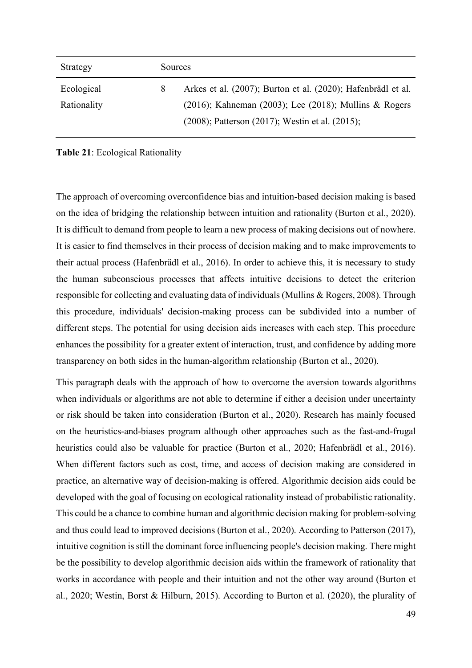| Strategy    | <b>Sources</b> |                                                                |
|-------------|----------------|----------------------------------------------------------------|
| Ecological  | 8              | Arkes et al. (2007); Burton et al. (2020); Hafenbrädl et al.   |
| Rationality |                | $(2016)$ ; Kahneman $(2003)$ ; Lee $(2018)$ ; Mullins & Rogers |
|             |                | $(2008)$ ; Patterson $(2017)$ ; Westin et al. $(2015)$ ;       |

#### **Table 21**: Ecological Rationality

The approach of overcoming overconfidence bias and intuition-based decision making is based on the idea of bridging the relationship between intuition and rationality (Burton et al., 2020). It is difficult to demand from people to learn a new process of making decisions out of nowhere. It is easier to find themselves in their process of decision making and to make improvements to their actual process (Hafenbrädl et al., 2016). In order to achieve this, it is necessary to study the human subconscious processes that affects intuitive decisions to detect the criterion responsible for collecting and evaluating data of individuals (Mullins & Rogers, 2008). Through this procedure, individuals' decision-making process can be subdivided into a number of different steps. The potential for using decision aids increases with each step. This procedure enhances the possibility for a greater extent of interaction, trust, and confidence by adding more transparency on both sides in the human-algorithm relationship (Burton et al., 2020).

This paragraph deals with the approach of how to overcome the aversion towards algorithms when individuals or algorithms are not able to determine if either a decision under uncertainty or risk should be taken into consideration (Burton et al., 2020). Research has mainly focused on the heuristics-and-biases program although other approaches such as the fast-and-frugal heuristics could also be valuable for practice (Burton et al., 2020; Hafenbrädl et al., 2016). When different factors such as cost, time, and access of decision making are considered in practice, an alternative way of decision-making is offered. Algorithmic decision aids could be developed with the goal of focusing on ecological rationality instead of probabilistic rationality. This could be a chance to combine human and algorithmic decision making for problem-solving and thus could lead to improved decisions (Burton et al., 2020). According to Patterson (2017), intuitive cognition is still the dominant force influencing people's decision making. There might be the possibility to develop algorithmic decision aids within the framework of rationality that works in accordance with people and their intuition and not the other way around (Burton et al., 2020; Westin, Borst & Hilburn, 2015). According to Burton et al. (2020), the plurality of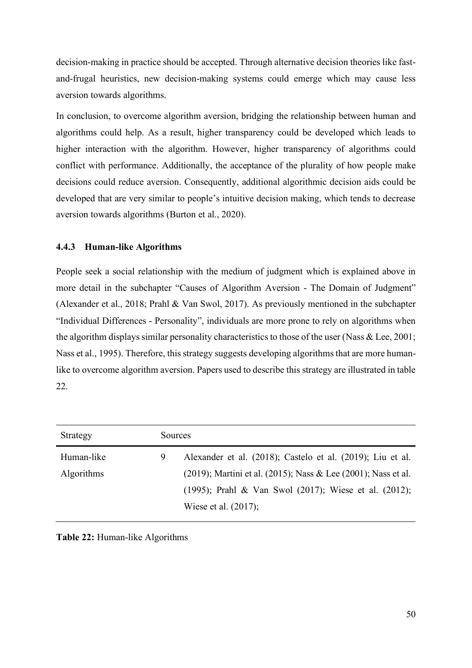decision-making in practice should be accepted. Through alternative decision theories like fastand-frugal heuristics, new decision-making systems could emerge which may cause less aversion towards algorithms.

In conclusion, to overcome algorithm aversion, bridging the relationship between human and algorithms could help. As a result, higher transparency could be developed which leads to higher interaction with the algorithm. However, higher transparency of algorithms could conflict with performance. Additionally, the acceptance of the plurality of how people make decisions could reduce aversion. Consequently, additional algorithmic decision aids could be developed that are very similar to people's intuitive decision making, which tends to decrease aversion towards algorithms (Burton et al., 2020).

## **4.4.3 Human-like Algorithms**

People seek a social relationship with the medium of judgment which is explained above in more detail in the subchapter "Causes of Algorithm Aversion - The Domain of Judgment" (Alexander et al., 2018; Prahl & Van Swol, 2017). As previously mentioned in the subchapter "Individual Differences - Personality", individuals are more prone to rely on algorithms when the algorithm displays similar personality characteristics to those of the user (Nass & Lee, 2001; Nass et al., 1995). Therefore, this strategy suggests developing algorithms that are more humanlike to overcome algorithm aversion. Papers used to describe this strategy are illustrated in table 22.

| Strategy          | Sources |                                                                        |
|-------------------|---------|------------------------------------------------------------------------|
| Human-like        | 9       | Alexander et al. (2018); Castelo et al. (2019); Liu et al.             |
| <b>Algorithms</b> |         | $(2019)$ ; Martini et al. $(2015)$ ; Nass & Lee $(2001)$ ; Nass et al. |
|                   |         | (1995); Prahl & Van Swol (2017); Wiese et al. (2012);                  |
|                   |         | Wiese et al. $(2017)$ ;                                                |

**Table 22:** Human-like Algorithms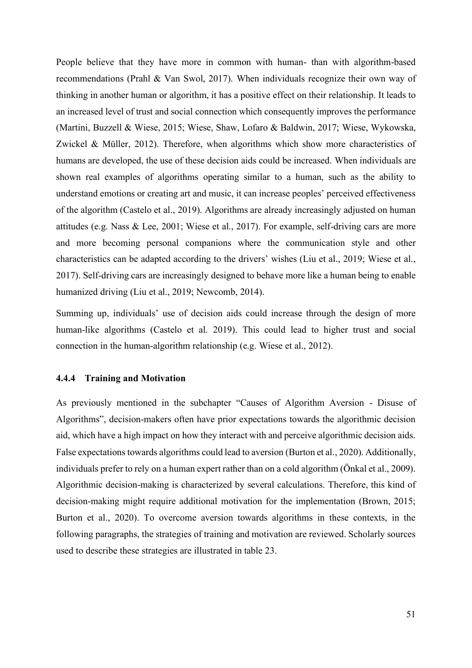People believe that they have more in common with human- than with algorithm-based recommendations (Prahl & Van Swol, 2017). When individuals recognize their own way of thinking in another human or algorithm, it has a positive effect on their relationship. It leads to an increased level of trust and social connection which consequently improves the performance (Martini, Buzzell & Wiese, 2015; Wiese, Shaw, Lofaro & Baldwin, 2017; Wiese, Wykowska, Zwickel & Müller, 2012). Therefore, when algorithms which show more characteristics of humans are developed, the use of these decision aids could be increased. When individuals are shown real examples of algorithms operating similar to a human, such as the ability to understand emotions or creating art and music, it can increase peoples' perceived effectiveness of the algorithm (Castelo et al., 2019). Algorithms are already increasingly adjusted on human attitudes (e.g. Nass & Lee, 2001; Wiese et al., 2017). For example, self-driving cars are more and more becoming personal companions where the communication style and other characteristics can be adapted according to the drivers' wishes (Liu et al., 2019; Wiese et al., 2017). Self-driving cars are increasingly designed to behave more like a human being to enable humanized driving (Liu et al., 2019; Newcomb, 2014).

Summing up, individuals' use of decision aids could increase through the design of more human-like algorithms (Castelo et al. 2019). This could lead to higher trust and social connection in the human-algorithm relationship (e.g. Wiese et al., 2012).

## **4.4.4 Training and Motivation**

As previously mentioned in the subchapter "Causes of Algorithm Aversion - Disuse of Algorithms", decision-makers often have prior expectations towards the algorithmic decision aid, which have a high impact on how they interact with and perceive algorithmic decision aids. False expectations towards algorithms could lead to aversion (Burton et al., 2020). Additionally, individuals prefer to rely on a human expert rather than on a cold algorithm (Önkal et al., 2009). Algorithmic decision-making is characterized by several calculations. Therefore, this kind of decision-making might require additional motivation for the implementation (Brown, 2015; Burton et al., 2020). To overcome aversion towards algorithms in these contexts, in the following paragraphs, the strategies of training and motivation are reviewed. Scholarly sources used to describe these strategies are illustrated in table 23.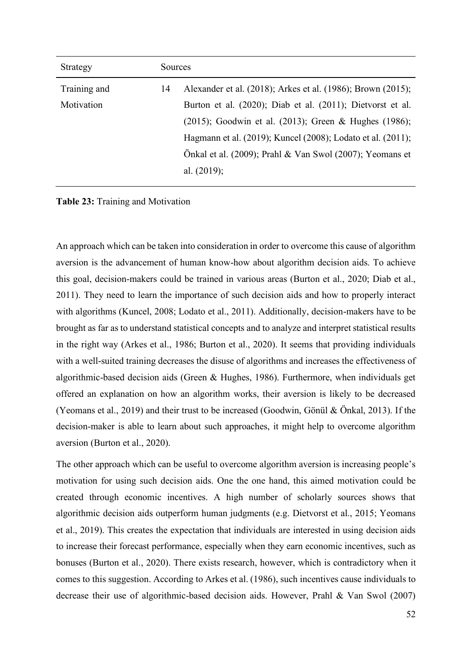| Strategy     | Sources |                                                             |
|--------------|---------|-------------------------------------------------------------|
| Training and | 14      | Alexander et al. (2018); Arkes et al. (1986); Brown (2015); |
| Motivation   |         | Burton et al. (2020); Diab et al. (2011); Dietvorst et al.  |
|              |         | (2015); Goodwin et al. (2013); Green & Hughes (1986);       |
|              |         | Hagmann et al. (2019); Kuncel (2008); Lodato et al. (2011); |
|              |         | Önkal et al. (2009); Prahl & Van Swol (2007); Yeomans et    |
|              |         | al. $(2019)$ ;                                              |

**Table 23:** Training and Motivation

An approach which can be taken into consideration in order to overcome this cause of algorithm aversion is the advancement of human know-how about algorithm decision aids. To achieve this goal, decision-makers could be trained in various areas (Burton et al., 2020; Diab et al., 2011). They need to learn the importance of such decision aids and how to properly interact with algorithms (Kuncel, 2008; Lodato et al., 2011). Additionally, decision-makers have to be brought as far as to understand statistical concepts and to analyze and interpret statistical results in the right way (Arkes et al., 1986; Burton et al., 2020). It seems that providing individuals with a well-suited training decreases the disuse of algorithms and increases the effectiveness of algorithmic-based decision aids (Green & Hughes, 1986). Furthermore, when individuals get offered an explanation on how an algorithm works, their aversion is likely to be decreased (Yeomans et al., 2019) and their trust to be increased (Goodwin, Gönül & Önkal, 2013). If the decision-maker is able to learn about such approaches, it might help to overcome algorithm aversion (Burton et al., 2020).

The other approach which can be useful to overcome algorithm aversion is increasing people's motivation for using such decision aids. One the one hand, this aimed motivation could be created through economic incentives. A high number of scholarly sources shows that algorithmic decision aids outperform human judgments (e.g. Dietvorst et al., 2015; Yeomans et al., 2019). This creates the expectation that individuals are interested in using decision aids to increase their forecast performance, especially when they earn economic incentives, such as bonuses (Burton et al., 2020). There exists research, however, which is contradictory when it comes to this suggestion. According to Arkes et al. (1986), such incentives cause individuals to decrease their use of algorithmic-based decision aids. However, Prahl & Van Swol (2007)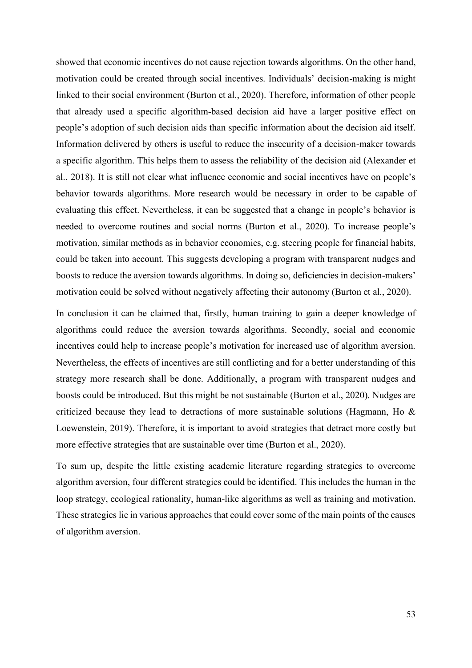showed that economic incentives do not cause rejection towards algorithms. On the other hand, motivation could be created through social incentives. Individuals' decision-making is might linked to their social environment (Burton et al., 2020). Therefore, information of other people that already used a specific algorithm-based decision aid have a larger positive effect on people's adoption of such decision aids than specific information about the decision aid itself. Information delivered by others is useful to reduce the insecurity of a decision-maker towards a specific algorithm. This helps them to assess the reliability of the decision aid (Alexander et al., 2018). It is still not clear what influence economic and social incentives have on people's behavior towards algorithms. More research would be necessary in order to be capable of evaluating this effect. Nevertheless, it can be suggested that a change in people's behavior is needed to overcome routines and social norms (Burton et al., 2020). To increase people's motivation, similar methods as in behavior economics, e.g. steering people for financial habits, could be taken into account. This suggests developing a program with transparent nudges and boosts to reduce the aversion towards algorithms. In doing so, deficiencies in decision-makers' motivation could be solved without negatively affecting their autonomy (Burton et al., 2020).

In conclusion it can be claimed that, firstly, human training to gain a deeper knowledge of algorithms could reduce the aversion towards algorithms. Secondly, social and economic incentives could help to increase people's motivation for increased use of algorithm aversion. Nevertheless, the effects of incentives are still conflicting and for a better understanding of this strategy more research shall be done. Additionally, a program with transparent nudges and boosts could be introduced. But this might be not sustainable (Burton et al., 2020). Nudges are criticized because they lead to detractions of more sustainable solutions (Hagmann, Ho & Loewenstein, 2019). Therefore, it is important to avoid strategies that detract more costly but more effective strategies that are sustainable over time (Burton et al., 2020).

To sum up, despite the little existing academic literature regarding strategies to overcome algorithm aversion, four different strategies could be identified. This includes the human in the loop strategy, ecological rationality, human-like algorithms as well as training and motivation. These strategies lie in various approaches that could cover some of the main points of the causes of algorithm aversion.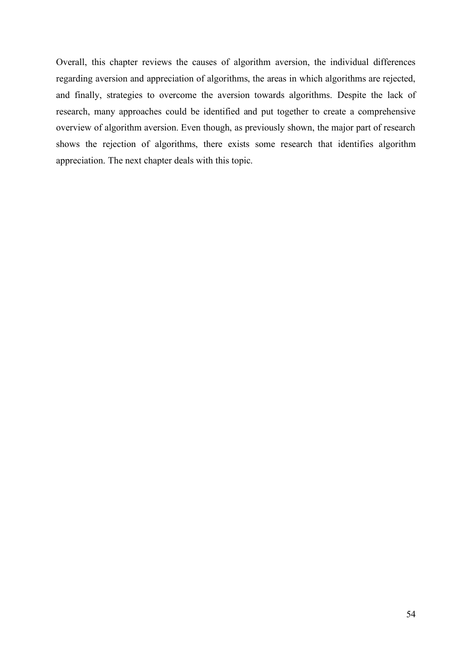Overall, this chapter reviews the causes of algorithm aversion, the individual differences regarding aversion and appreciation of algorithms, the areas in which algorithms are rejected, and finally, strategies to overcome the aversion towards algorithms. Despite the lack of research, many approaches could be identified and put together to create a comprehensive overview of algorithm aversion. Even though, as previously shown, the major part of research shows the rejection of algorithms, there exists some research that identifies algorithm appreciation. The next chapter deals with this topic.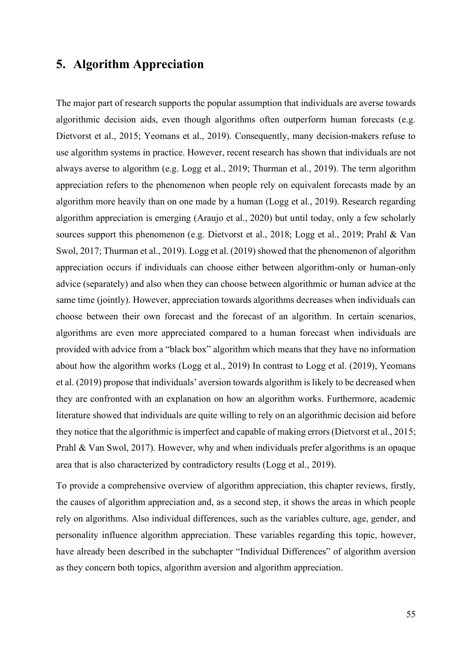# **5. Algorithm Appreciation**

The major part of research supports the popular assumption that individuals are averse towards algorithmic decision aids, even though algorithms often outperform human forecasts (e.g. Dietvorst et al., 2015; Yeomans et al., 2019). Consequently, many decision-makers refuse to use algorithm systems in practice. However, recent research has shown that individuals are not always averse to algorithm (e.g. Logg et al., 2019; Thurman et al., 2019). The term algorithm appreciation refers to the phenomenon when people rely on equivalent forecasts made by an algorithm more heavily than on one made by a human (Logg et al., 2019). Research regarding algorithm appreciation is emerging (Araujo et al., 2020) but until today, only a few scholarly sources support this phenomenon (e.g. Dietvorst et al., 2018; Logg et al., 2019; Prahl & Van Swol, 2017; Thurman et al., 2019). Logg et al. (2019) showed that the phenomenon of algorithm appreciation occurs if individuals can choose either between algorithm-only or human-only advice (separately) and also when they can choose between algorithmic or human advice at the same time (jointly). However, appreciation towards algorithms decreases when individuals can choose between their own forecast and the forecast of an algorithm. In certain scenarios, algorithms are even more appreciated compared to a human forecast when individuals are provided with advice from a "black box" algorithm which means that they have no information about how the algorithm works (Logg et al., 2019) In contrast to Logg et al. (2019), Yeomans et al. (2019) propose that individuals' aversion towards algorithm is likely to be decreased when they are confronted with an explanation on how an algorithm works. Furthermore, academic literature showed that individuals are quite willing to rely on an algorithmic decision aid before they notice that the algorithmic is imperfect and capable of making errors (Dietvorst et al., 2015; Prahl & Van Swol, 2017). However, why and when individuals prefer algorithms is an opaque area that is also characterized by contradictory results (Logg et al., 2019).

To provide a comprehensive overview of algorithm appreciation, this chapter reviews, firstly, the causes of algorithm appreciation and, as a second step, it shows the areas in which people rely on algorithms. Also individual differences, such as the variables culture, age, gender, and personality influence algorithm appreciation. These variables regarding this topic, however, have already been described in the subchapter "Individual Differences" of algorithm aversion as they concern both topics, algorithm aversion and algorithm appreciation.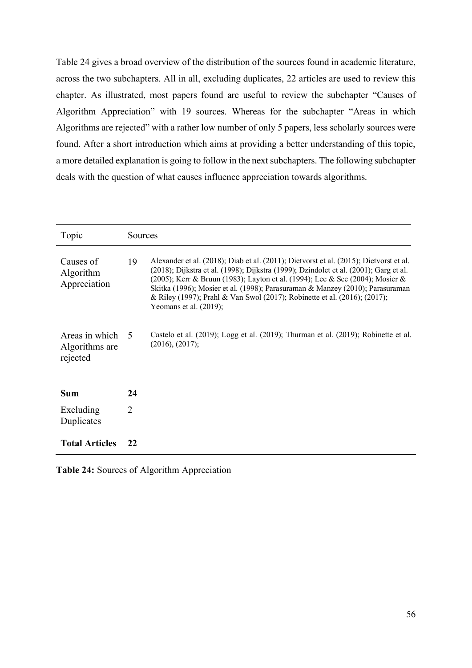Table 24 gives a broad overview of the distribution of the sources found in academic literature, across the two subchapters. All in all, excluding duplicates, 22 articles are used to review this chapter. As illustrated, most papers found are useful to review the subchapter "Causes of Algorithm Appreciation" with 19 sources. Whereas for the subchapter "Areas in which Algorithms are rejected" with a rather low number of only 5 papers, less scholarly sources were found. After a short introduction which aims at providing a better understanding of this topic, a more detailed explanation is going to follow in the next subchapters. The following subchapter deals with the question of what causes influence appreciation towards algorithms.

| Topic                                        | Sources        |                                                                                                                                                                                                                                                                                                                                                                                                                                                             |
|----------------------------------------------|----------------|-------------------------------------------------------------------------------------------------------------------------------------------------------------------------------------------------------------------------------------------------------------------------------------------------------------------------------------------------------------------------------------------------------------------------------------------------------------|
| Causes of<br>Algorithm<br>Appreciation       | 19             | Alexander et al. (2018); Diab et al. (2011); Dietvorst et al. (2015); Dietvorst et al.<br>(2018); Dijkstra et al. (1998); Dijkstra (1999); Dzindolet et al. (2001); Garg et al.<br>(2005); Kerr & Bruun (1983); Layton et al. (1994); Lee & See (2004); Mosier &<br>Skitka (1996); Mosier et al. (1998); Parasuraman & Manzey (2010); Parasuraman<br>& Riley (1997); Prahl & Van Swol (2017); Robinette et al. (2016); (2017);<br>Yeomans et al. $(2019)$ ; |
| Areas in which<br>Algorithms are<br>rejected | $\overline{5}$ | Castelo et al. (2019); Logg et al. (2019); Thurman et al. (2019); Robinette et al.<br>(2016), (2017);                                                                                                                                                                                                                                                                                                                                                       |
| Sum                                          | 24             |                                                                                                                                                                                                                                                                                                                                                                                                                                                             |
| Excluding<br>Duplicates                      | $\overline{2}$ |                                                                                                                                                                                                                                                                                                                                                                                                                                                             |
| <b>Total Articles</b>                        | 22             |                                                                                                                                                                                                                                                                                                                                                                                                                                                             |

**Table 24:** Sources of Algorithm Appreciation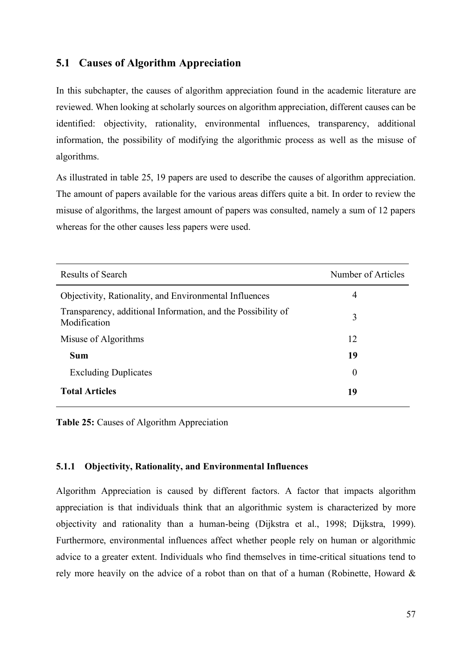# **5.1 Causes of Algorithm Appreciation**

In this subchapter, the causes of algorithm appreciation found in the academic literature are reviewed. When looking at scholarly sources on algorithm appreciation, different causes can be identified: objectivity, rationality, environmental influences, transparency, additional information, the possibility of modifying the algorithmic process as well as the misuse of algorithms.

As illustrated in table 25, 19 papers are used to describe the causes of algorithm appreciation. The amount of papers available for the various areas differs quite a bit. In order to review the misuse of algorithms, the largest amount of papers was consulted, namely a sum of 12 papers whereas for the other causes less papers were used.

| Results of Search                                                            | Number of Articles |
|------------------------------------------------------------------------------|--------------------|
| Objectivity, Rationality, and Environmental Influences                       | 4                  |
| Transparency, additional Information, and the Possibility of<br>Modification | 3                  |
| Misuse of Algorithms                                                         | 12                 |
| <b>Sum</b>                                                                   | 19                 |
| <b>Excluding Duplicates</b>                                                  | $\theta$           |
| <b>Total Articles</b>                                                        | 19                 |

**Table 25:** Causes of Algorithm Appreciation

#### **5.1.1 Objectivity, Rationality, and Environmental Influences**

Algorithm Appreciation is caused by different factors. A factor that impacts algorithm appreciation is that individuals think that an algorithmic system is characterized by more objectivity and rationality than a human-being (Dijkstra et al., 1998; Dijkstra, 1999). Furthermore, environmental influences affect whether people rely on human or algorithmic advice to a greater extent. Individuals who find themselves in time-critical situations tend to rely more heavily on the advice of a robot than on that of a human (Robinette, Howard &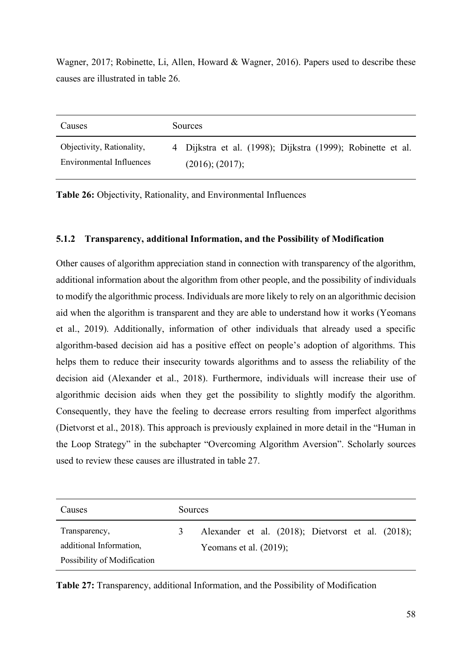Wagner, 2017; Robinette, Li, Allen, Howard & Wagner, 2016). Papers used to describe these causes are illustrated in table 26.

| Causes                    | <b>Sources</b>                                              |  |  |
|---------------------------|-------------------------------------------------------------|--|--|
| Objectivity, Rationality, | 4 Dijkstra et al. (1998); Dijkstra (1999); Robinette et al. |  |  |
| Environmental Influences  | (2016); (2017);                                             |  |  |

**Table 26:** Objectivity, Rationality, and Environmental Influences

## **5.1.2 Transparency, additional Information, and the Possibility of Modification**

Other causes of algorithm appreciation stand in connection with transparency of the algorithm, additional information about the algorithm from other people, and the possibility of individuals to modify the algorithmic process. Individuals are more likely to rely on an algorithmic decision aid when the algorithm is transparent and they are able to understand how it works (Yeomans et al., 2019). Additionally, information of other individuals that already used a specific algorithm-based decision aid has a positive effect on people's adoption of algorithms. This helps them to reduce their insecurity towards algorithms and to assess the reliability of the decision aid (Alexander et al., 2018). Furthermore, individuals will increase their use of algorithmic decision aids when they get the possibility to slightly modify the algorithm. Consequently, they have the feeling to decrease errors resulting from imperfect algorithms (Dietvorst et al., 2018). This approach is previously explained in more detail in the "Human in the Loop Strategy" in the subchapter "Overcoming Algorithm Aversion". Scholarly sources used to review these causes are illustrated in table 27.

| Causes                      | <b>Sources</b> |                                                   |  |
|-----------------------------|----------------|---------------------------------------------------|--|
| Transparency,               | 3.             | Alexander et al. (2018); Dietvorst et al. (2018); |  |
| additional Information,     |                | Yeomans et al. $(2019)$ ;                         |  |
| Possibility of Modification |                |                                                   |  |

**Table 27:** Transparency, additional Information, and the Possibility of Modification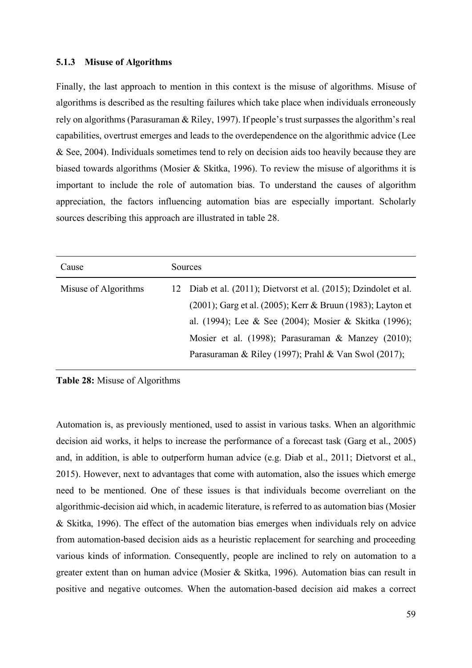#### **5.1.3 Misuse of Algorithms**

Finally, the last approach to mention in this context is the misuse of algorithms. Misuse of algorithms is described as the resulting failures which take place when individuals erroneously rely on algorithms (Parasuraman & Riley, 1997). If people's trust surpasses the algorithm's real capabilities, overtrust emerges and leads to the overdependence on the algorithmic advice (Lee & See, 2004). Individuals sometimes tend to rely on decision aids too heavily because they are biased towards algorithms (Mosier & Skitka, 1996). To review the misuse of algorithms it is important to include the role of automation bias. To understand the causes of algorithm appreciation, the factors influencing automation bias are especially important. Scholarly sources describing this approach are illustrated in table 28.

| Cause                | Sources |                                                                  |
|----------------------|---------|------------------------------------------------------------------|
| Misuse of Algorithms |         | 12 Diab et al. (2011); Dietvorst et al. (2015); Dzindolet et al. |
|                      |         | (2001); Garg et al. (2005); Kerr & Bruun (1983); Layton et       |
|                      |         | al. (1994); Lee & See (2004); Mosier & Skitka (1996);            |
|                      |         | Mosier et al. (1998); Parasuraman & Manzey (2010);               |
|                      |         | Parasuraman & Riley (1997); Prahl & Van Swol (2017);             |

**Table 28:** Misuse of Algorithms

Automation is, as previously mentioned, used to assist in various tasks. When an algorithmic decision aid works, it helps to increase the performance of a forecast task (Garg et al., 2005) and, in addition, is able to outperform human advice (e.g. Diab et al., 2011; Dietvorst et al., 2015). However, next to advantages that come with automation, also the issues which emerge need to be mentioned. One of these issues is that individuals become overreliant on the algorithmic-decision aid which, in academic literature, is referred to as automation bias (Mosier & Skitka, 1996). The effect of the automation bias emerges when individuals rely on advice from automation-based decision aids as a heuristic replacement for searching and proceeding various kinds of information. Consequently, people are inclined to rely on automation to a greater extent than on human advice (Mosier & Skitka, 1996). Automation bias can result in positive and negative outcomes. When the automation-based decision aid makes a correct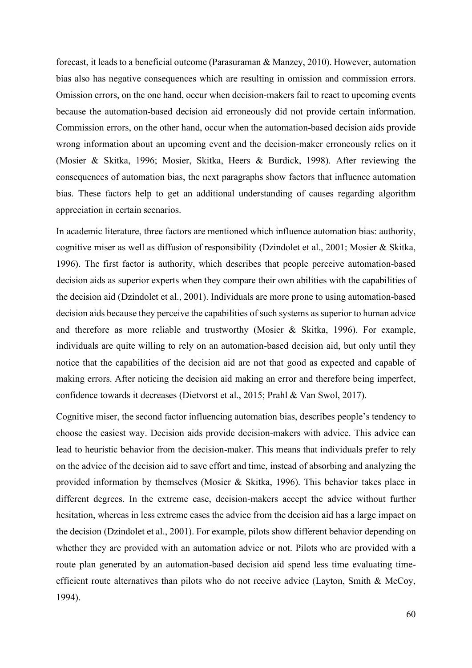forecast, it leads to a beneficial outcome (Parasuraman & Manzey, 2010). However, automation bias also has negative consequences which are resulting in omission and commission errors. Omission errors, on the one hand, occur when decision-makers fail to react to upcoming events because the automation-based decision aid erroneously did not provide certain information. Commission errors, on the other hand, occur when the automation-based decision aids provide wrong information about an upcoming event and the decision-maker erroneously relies on it (Mosier & Skitka, 1996; Mosier, Skitka, Heers & Burdick, 1998). After reviewing the consequences of automation bias, the next paragraphs show factors that influence automation bias. These factors help to get an additional understanding of causes regarding algorithm appreciation in certain scenarios.

In academic literature, three factors are mentioned which influence automation bias: authority, cognitive miser as well as diffusion of responsibility (Dzindolet et al., 2001; Mosier & Skitka, 1996). The first factor is authority, which describes that people perceive automation-based decision aids as superior experts when they compare their own abilities with the capabilities of the decision aid (Dzindolet et al., 2001). Individuals are more prone to using automation-based decision aids because they perceive the capabilities of such systems as superior to human advice and therefore as more reliable and trustworthy (Mosier & Skitka, 1996). For example, individuals are quite willing to rely on an automation-based decision aid, but only until they notice that the capabilities of the decision aid are not that good as expected and capable of making errors. After noticing the decision aid making an error and therefore being imperfect, confidence towards it decreases (Dietvorst et al., 2015; Prahl & Van Swol, 2017).

Cognitive miser, the second factor influencing automation bias, describes people's tendency to choose the easiest way. Decision aids provide decision-makers with advice. This advice can lead to heuristic behavior from the decision-maker. This means that individuals prefer to rely on the advice of the decision aid to save effort and time, instead of absorbing and analyzing the provided information by themselves (Mosier & Skitka, 1996). This behavior takes place in different degrees. In the extreme case, decision-makers accept the advice without further hesitation, whereas in less extreme cases the advice from the decision aid has a large impact on the decision (Dzindolet et al., 2001). For example, pilots show different behavior depending on whether they are provided with an automation advice or not. Pilots who are provided with a route plan generated by an automation-based decision aid spend less time evaluating timeefficient route alternatives than pilots who do not receive advice (Layton, Smith & McCoy, 1994).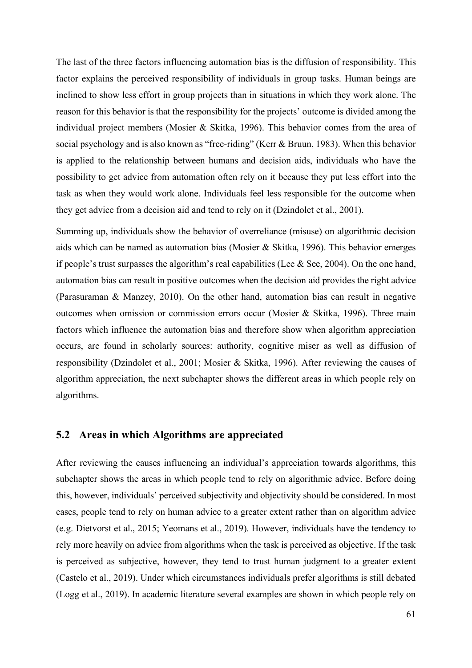The last of the three factors influencing automation bias is the diffusion of responsibility. This factor explains the perceived responsibility of individuals in group tasks. Human beings are inclined to show less effort in group projects than in situations in which they work alone. The reason for this behavior is that the responsibility for the projects' outcome is divided among the individual project members (Mosier & Skitka, 1996). This behavior comes from the area of social psychology and is also known as "free-riding" (Kerr & Bruun, 1983). When this behavior is applied to the relationship between humans and decision aids, individuals who have the possibility to get advice from automation often rely on it because they put less effort into the task as when they would work alone. Individuals feel less responsible for the outcome when they get advice from a decision aid and tend to rely on it (Dzindolet et al., 2001).

Summing up, individuals show the behavior of overreliance (misuse) on algorithmic decision aids which can be named as automation bias (Mosier & Skitka, 1996). This behavior emerges if people's trust surpasses the algorithm's real capabilities (Lee  $\&$  See, 2004). On the one hand, automation bias can result in positive outcomes when the decision aid provides the right advice (Parasuraman & Manzey, 2010). On the other hand, automation bias can result in negative outcomes when omission or commission errors occur (Mosier & Skitka, 1996). Three main factors which influence the automation bias and therefore show when algorithm appreciation occurs, are found in scholarly sources: authority, cognitive miser as well as diffusion of responsibility (Dzindolet et al., 2001; Mosier & Skitka, 1996). After reviewing the causes of algorithm appreciation, the next subchapter shows the different areas in which people rely on algorithms.

## **5.2 Areas in which Algorithms are appreciated**

After reviewing the causes influencing an individual's appreciation towards algorithms, this subchapter shows the areas in which people tend to rely on algorithmic advice. Before doing this, however, individuals' perceived subjectivity and objectivity should be considered. In most cases, people tend to rely on human advice to a greater extent rather than on algorithm advice (e.g. Dietvorst et al., 2015; Yeomans et al., 2019). However, individuals have the tendency to rely more heavily on advice from algorithms when the task is perceived as objective. If the task is perceived as subjective, however, they tend to trust human judgment to a greater extent (Castelo et al., 2019). Under which circumstances individuals prefer algorithms is still debated (Logg et al., 2019). In academic literature several examples are shown in which people rely on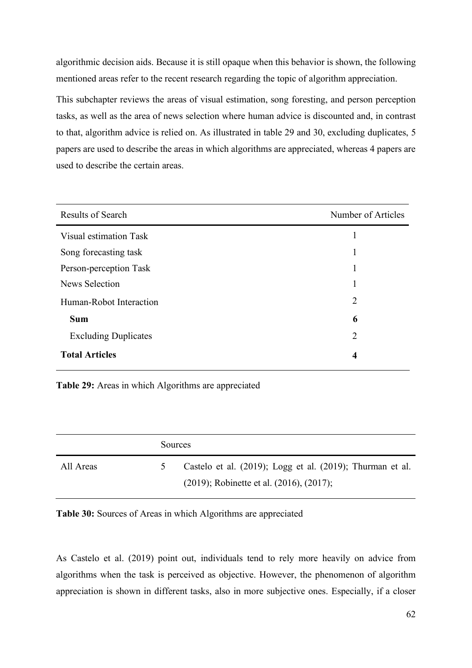algorithmic decision aids. Because it is still opaque when this behavior is shown, the following mentioned areas refer to the recent research regarding the topic of algorithm appreciation.

This subchapter reviews the areas of visual estimation, song foresting, and person perception tasks, as well as the area of news selection where human advice is discounted and, in contrast to that, algorithm advice is relied on. As illustrated in table 29 and 30, excluding duplicates, 5 papers are used to describe the areas in which algorithms are appreciated, whereas 4 papers are used to describe the certain areas.

| <b>Results of Search</b>    | Number of Articles |
|-----------------------------|--------------------|
| Visual estimation Task      |                    |
| Song forecasting task       |                    |
| Person-perception Task      | 1                  |
| News Selection              | 1                  |
| Human-Robot Interaction     | 2                  |
| <b>Sum</b>                  | 6                  |
| <b>Excluding Duplicates</b> | 2                  |
| <b>Total Articles</b>       | $\boldsymbol{4}$   |

**Table 29:** Areas in which Algorithms are appreciated

|           | Sources |                                                                                                                |
|-----------|---------|----------------------------------------------------------------------------------------------------------------|
| All Areas |         | Castelo et al. (2019); Logg et al. (2019); Thurman et al.<br>$(2019)$ ; Robinette et al. $(2016)$ , $(2017)$ ; |

**Table 30:** Sources of Areas in which Algorithms are appreciated

As Castelo et al. (2019) point out, individuals tend to rely more heavily on advice from algorithms when the task is perceived as objective. However, the phenomenon of algorithm appreciation is shown in different tasks, also in more subjective ones. Especially, if a closer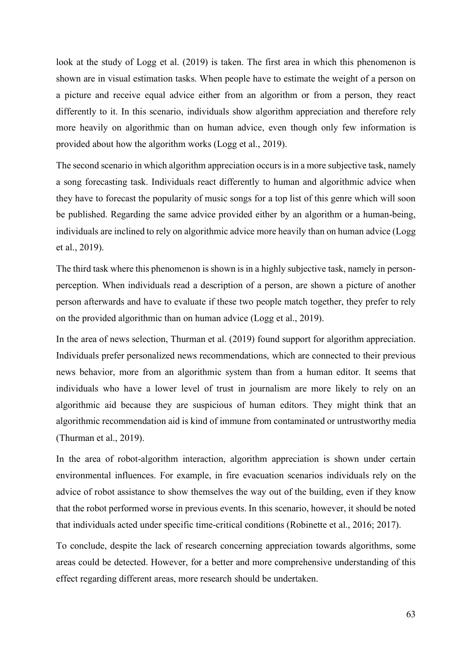look at the study of Logg et al. (2019) is taken. The first area in which this phenomenon is shown are in visual estimation tasks. When people have to estimate the weight of a person on a picture and receive equal advice either from an algorithm or from a person, they react differently to it. In this scenario, individuals show algorithm appreciation and therefore rely more heavily on algorithmic than on human advice, even though only few information is provided about how the algorithm works (Logg et al., 2019).

The second scenario in which algorithm appreciation occurs is in a more subjective task, namely a song forecasting task. Individuals react differently to human and algorithmic advice when they have to forecast the popularity of music songs for a top list of this genre which will soon be published. Regarding the same advice provided either by an algorithm or a human-being, individuals are inclined to rely on algorithmic advice more heavily than on human advice (Logg et al., 2019).

The third task where this phenomenon is shown is in a highly subjective task, namely in personperception. When individuals read a description of a person, are shown a picture of another person afterwards and have to evaluate if these two people match together, they prefer to rely on the provided algorithmic than on human advice (Logg et al., 2019).

In the area of news selection, Thurman et al. (2019) found support for algorithm appreciation. Individuals prefer personalized news recommendations, which are connected to their previous news behavior, more from an algorithmic system than from a human editor. It seems that individuals who have a lower level of trust in journalism are more likely to rely on an algorithmic aid because they are suspicious of human editors. They might think that an algorithmic recommendation aid is kind of immune from contaminated or untrustworthy media (Thurman et al., 2019).

In the area of robot-algorithm interaction, algorithm appreciation is shown under certain environmental influences. For example, in fire evacuation scenarios individuals rely on the advice of robot assistance to show themselves the way out of the building, even if they know that the robot performed worse in previous events. In this scenario, however, it should be noted that individuals acted under specific time-critical conditions (Robinette et al., 2016; 2017).

To conclude, despite the lack of research concerning appreciation towards algorithms, some areas could be detected. However, for a better and more comprehensive understanding of this effect regarding different areas, more research should be undertaken.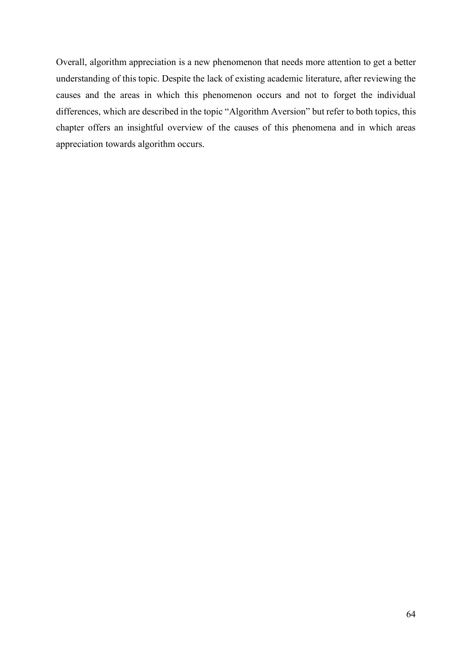Overall, algorithm appreciation is a new phenomenon that needs more attention to get a better understanding of this topic. Despite the lack of existing academic literature, after reviewing the causes and the areas in which this phenomenon occurs and not to forget the individual differences, which are described in the topic "Algorithm Aversion" but refer to both topics, this chapter offers an insightful overview of the causes of this phenomena and in which areas appreciation towards algorithm occurs.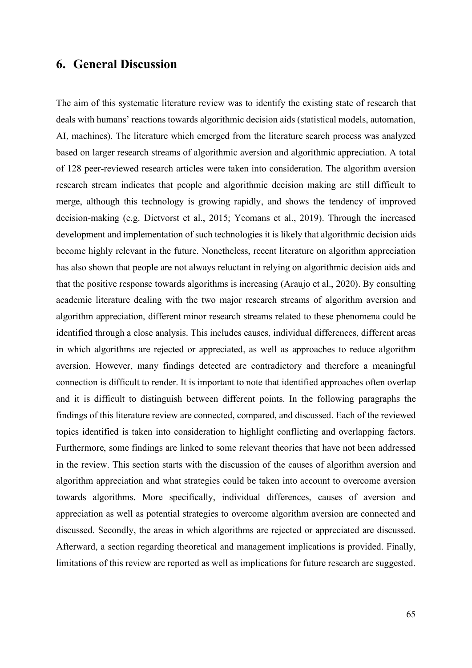## **6. General Discussion**

The aim of this systematic literature review was to identify the existing state of research that deals with humans' reactions towards algorithmic decision aids (statistical models, automation, AI, machines). The literature which emerged from the literature search process was analyzed based on larger research streams of algorithmic aversion and algorithmic appreciation. A total of 128 peer-reviewed research articles were taken into consideration. The algorithm aversion research stream indicates that people and algorithmic decision making are still difficult to merge, although this technology is growing rapidly, and shows the tendency of improved decision-making (e.g. Dietvorst et al., 2015; Yeomans et al., 2019). Through the increased development and implementation of such technologies it is likely that algorithmic decision aids become highly relevant in the future. Nonetheless, recent literature on algorithm appreciation has also shown that people are not always reluctant in relying on algorithmic decision aids and that the positive response towards algorithms is increasing (Araujo et al., 2020). By consulting academic literature dealing with the two major research streams of algorithm aversion and algorithm appreciation, different minor research streams related to these phenomena could be identified through a close analysis. This includes causes, individual differences, different areas in which algorithms are rejected or appreciated, as well as approaches to reduce algorithm aversion. However, many findings detected are contradictory and therefore a meaningful connection is difficult to render. It is important to note that identified approaches often overlap and it is difficult to distinguish between different points. In the following paragraphs the findings of this literature review are connected, compared, and discussed. Each of the reviewed topics identified is taken into consideration to highlight conflicting and overlapping factors. Furthermore, some findings are linked to some relevant theories that have not been addressed in the review. This section starts with the discussion of the causes of algorithm aversion and algorithm appreciation and what strategies could be taken into account to overcome aversion towards algorithms. More specifically, individual differences, causes of aversion and appreciation as well as potential strategies to overcome algorithm aversion are connected and discussed. Secondly, the areas in which algorithms are rejected or appreciated are discussed. Afterward, a section regarding theoretical and management implications is provided. Finally, limitations of this review are reported as well as implications for future research are suggested.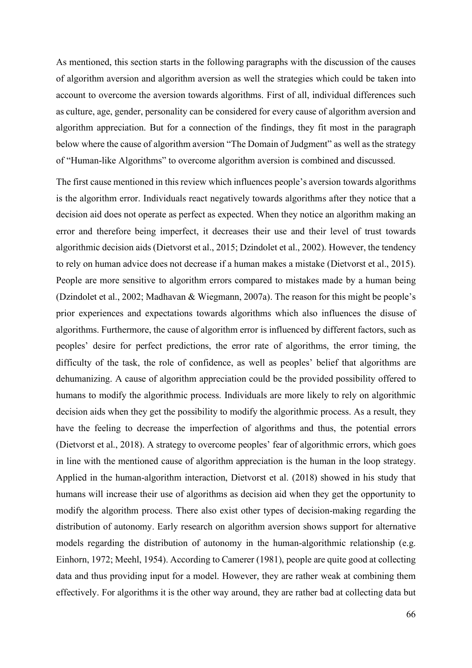As mentioned, this section starts in the following paragraphs with the discussion of the causes of algorithm aversion and algorithm aversion as well the strategies which could be taken into account to overcome the aversion towards algorithms. First of all, individual differences such as culture, age, gender, personality can be considered for every cause of algorithm aversion and algorithm appreciation. But for a connection of the findings, they fit most in the paragraph below where the cause of algorithm aversion "The Domain of Judgment" as well as the strategy of "Human-like Algorithms" to overcome algorithm aversion is combined and discussed.

The first cause mentioned in this review which influences people's aversion towards algorithms is the algorithm error. Individuals react negatively towards algorithms after they notice that a decision aid does not operate as perfect as expected. When they notice an algorithm making an error and therefore being imperfect, it decreases their use and their level of trust towards algorithmic decision aids (Dietvorst et al., 2015; Dzindolet et al., 2002). However, the tendency to rely on human advice does not decrease if a human makes a mistake (Dietvorst et al., 2015). People are more sensitive to algorithm errors compared to mistakes made by a human being (Dzindolet et al., 2002; Madhavan & Wiegmann, 2007a). The reason for this might be people's prior experiences and expectations towards algorithms which also influences the disuse of algorithms. Furthermore, the cause of algorithm error is influenced by different factors, such as peoples' desire for perfect predictions, the error rate of algorithms, the error timing, the difficulty of the task, the role of confidence, as well as peoples' belief that algorithms are dehumanizing. A cause of algorithm appreciation could be the provided possibility offered to humans to modify the algorithmic process. Individuals are more likely to rely on algorithmic decision aids when they get the possibility to modify the algorithmic process. As a result, they have the feeling to decrease the imperfection of algorithms and thus, the potential errors (Dietvorst et al., 2018). A strategy to overcome peoples' fear of algorithmic errors, which goes in line with the mentioned cause of algorithm appreciation is the human in the loop strategy. Applied in the human-algorithm interaction, Dietvorst et al. (2018) showed in his study that humans will increase their use of algorithms as decision aid when they get the opportunity to modify the algorithm process. There also exist other types of decision-making regarding the distribution of autonomy. Early research on algorithm aversion shows support for alternative models regarding the distribution of autonomy in the human-algorithmic relationship (e.g. Einhorn, 1972; Meehl, 1954). According to Camerer (1981), people are quite good at collecting data and thus providing input for a model. However, they are rather weak at combining them effectively. For algorithms it is the other way around, they are rather bad at collecting data but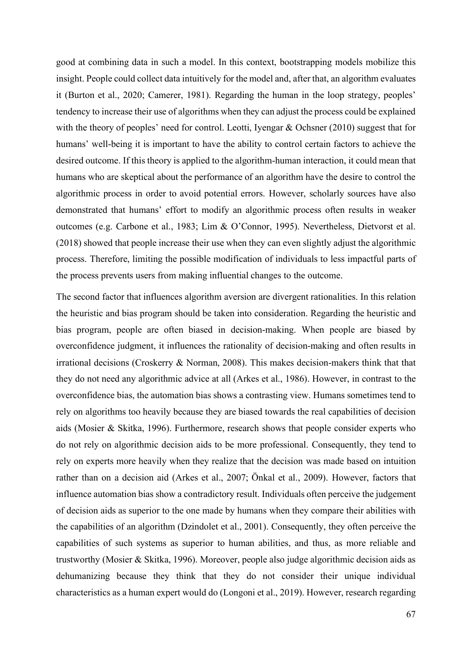good at combining data in such a model. In this context, bootstrapping models mobilize this insight. People could collect data intuitively for the model and, after that, an algorithm evaluates it (Burton et al., 2020; Camerer, 1981). Regarding the human in the loop strategy, peoples' tendency to increase their use of algorithms when they can adjust the process could be explained with the theory of peoples' need for control. Leotti, Iyengar & Ochsner (2010) suggest that for humans' well-being it is important to have the ability to control certain factors to achieve the desired outcome. If this theory is applied to the algorithm-human interaction, it could mean that humans who are skeptical about the performance of an algorithm have the desire to control the algorithmic process in order to avoid potential errors. However, scholarly sources have also demonstrated that humans' effort to modify an algorithmic process often results in weaker outcomes (e.g. Carbone et al., 1983; Lim & O'Connor, 1995). Nevertheless, Dietvorst et al. (2018) showed that people increase their use when they can even slightly adjust the algorithmic process. Therefore, limiting the possible modification of individuals to less impactful parts of the process prevents users from making influential changes to the outcome.

The second factor that influences algorithm aversion are divergent rationalities. In this relation the heuristic and bias program should be taken into consideration. Regarding the heuristic and bias program, people are often biased in decision-making. When people are biased by overconfidence judgment, it influences the rationality of decision-making and often results in irrational decisions (Croskerry & Norman, 2008). This makes decision-makers think that that they do not need any algorithmic advice at all (Arkes et al., 1986). However, in contrast to the overconfidence bias, the automation bias shows a contrasting view. Humans sometimes tend to rely on algorithms too heavily because they are biased towards the real capabilities of decision aids (Mosier & Skitka, 1996). Furthermore, research shows that people consider experts who do not rely on algorithmic decision aids to be more professional. Consequently, they tend to rely on experts more heavily when they realize that the decision was made based on intuition rather than on a decision aid (Arkes et al., 2007; Önkal et al., 2009). However, factors that influence automation bias show a contradictory result. Individuals often perceive the judgement of decision aids as superior to the one made by humans when they compare their abilities with the capabilities of an algorithm (Dzindolet et al., 2001). Consequently, they often perceive the capabilities of such systems as superior to human abilities, and thus, as more reliable and trustworthy (Mosier & Skitka, 1996). Moreover, people also judge algorithmic decision aids as dehumanizing because they think that they do not consider their unique individual characteristics as a human expert would do (Longoni et al., 2019). However, research regarding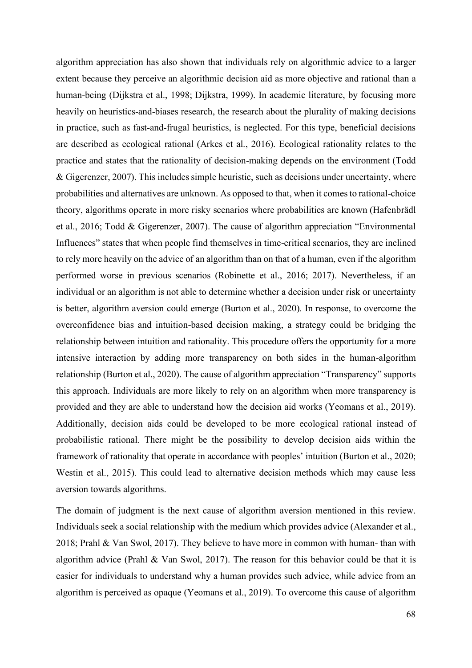algorithm appreciation has also shown that individuals rely on algorithmic advice to a larger extent because they perceive an algorithmic decision aid as more objective and rational than a human-being (Dijkstra et al., 1998; Dijkstra, 1999). In academic literature, by focusing more heavily on heuristics-and-biases research, the research about the plurality of making decisions in practice, such as fast-and-frugal heuristics, is neglected. For this type, beneficial decisions are described as ecological rational (Arkes et al., 2016). Ecological rationality relates to the practice and states that the rationality of decision-making depends on the environment (Todd & Gigerenzer, 2007). This includes simple heuristic, such as decisions under uncertainty, where probabilities and alternatives are unknown. As opposed to that, when it comes to rational-choice theory, algorithms operate in more risky scenarios where probabilities are known (Hafenbrädl et al., 2016; Todd & Gigerenzer, 2007). The cause of algorithm appreciation "Environmental Influences" states that when people find themselves in time-critical scenarios, they are inclined to rely more heavily on the advice of an algorithm than on that of a human, even if the algorithm performed worse in previous scenarios (Robinette et al., 2016; 2017). Nevertheless, if an individual or an algorithm is not able to determine whether a decision under risk or uncertainty is better, algorithm aversion could emerge (Burton et al., 2020). In response, to overcome the overconfidence bias and intuition-based decision making, a strategy could be bridging the relationship between intuition and rationality. This procedure offers the opportunity for a more intensive interaction by adding more transparency on both sides in the human-algorithm relationship (Burton et al., 2020). The cause of algorithm appreciation "Transparency" supports this approach. Individuals are more likely to rely on an algorithm when more transparency is provided and they are able to understand how the decision aid works (Yeomans et al., 2019). Additionally, decision aids could be developed to be more ecological rational instead of probabilistic rational. There might be the possibility to develop decision aids within the framework of rationality that operate in accordance with peoples' intuition (Burton et al., 2020; Westin et al., 2015). This could lead to alternative decision methods which may cause less aversion towards algorithms.

The domain of judgment is the next cause of algorithm aversion mentioned in this review. Individuals seek a social relationship with the medium which provides advice (Alexander et al., 2018; Prahl & Van Swol, 2017). They believe to have more in common with human- than with algorithm advice (Prahl & Van Swol, 2017). The reason for this behavior could be that it is easier for individuals to understand why a human provides such advice, while advice from an algorithm is perceived as opaque (Yeomans et al., 2019). To overcome this cause of algorithm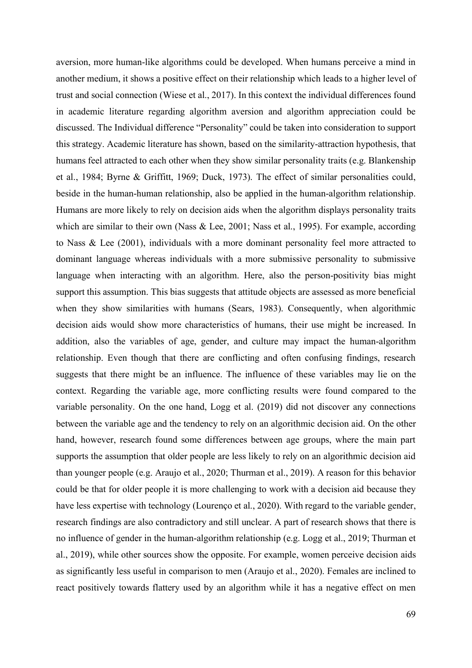aversion, more human-like algorithms could be developed. When humans perceive a mind in another medium, it shows a positive effect on their relationship which leads to a higher level of trust and social connection (Wiese et al., 2017). In this context the individual differences found in academic literature regarding algorithm aversion and algorithm appreciation could be discussed. The Individual difference "Personality" could be taken into consideration to support this strategy. Academic literature has shown, based on the similarity-attraction hypothesis, that humans feel attracted to each other when they show similar personality traits (e.g. Blankenship et al., 1984; Byrne & Griffitt, 1969; Duck, 1973). The effect of similar personalities could, beside in the human-human relationship, also be applied in the human-algorithm relationship. Humans are more likely to rely on decision aids when the algorithm displays personality traits which are similar to their own (Nass & Lee, 2001; Nass et al., 1995). For example, according to Nass & Lee (2001), individuals with a more dominant personality feel more attracted to dominant language whereas individuals with a more submissive personality to submissive language when interacting with an algorithm. Here, also the person-positivity bias might support this assumption. This bias suggests that attitude objects are assessed as more beneficial when they show similarities with humans (Sears, 1983). Consequently, when algorithmic decision aids would show more characteristics of humans, their use might be increased. In addition, also the variables of age, gender, and culture may impact the human-algorithm relationship. Even though that there are conflicting and often confusing findings, research suggests that there might be an influence. The influence of these variables may lie on the context. Regarding the variable age, more conflicting results were found compared to the variable personality. On the one hand, Logg et al. (2019) did not discover any connections between the variable age and the tendency to rely on an algorithmic decision aid. On the other hand, however, research found some differences between age groups, where the main part supports the assumption that older people are less likely to rely on an algorithmic decision aid than younger people (e.g. Araujo et al., 2020; Thurman et al., 2019). A reason for this behavior could be that for older people it is more challenging to work with a decision aid because they have less expertise with technology (Lourenço et al., 2020). With regard to the variable gender, research findings are also contradictory and still unclear. A part of research shows that there is no influence of gender in the human-algorithm relationship (e.g. Logg et al., 2019; Thurman et al., 2019), while other sources show the opposite. For example, women perceive decision aids as significantly less useful in comparison to men (Araujo et al., 2020). Females are inclined to react positively towards flattery used by an algorithm while it has a negative effect on men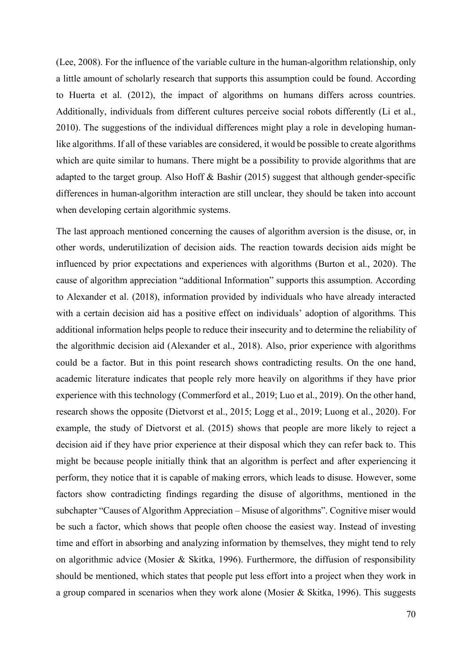(Lee, 2008). For the influence of the variable culture in the human-algorithm relationship, only a little amount of scholarly research that supports this assumption could be found. According to Huerta et al. (2012), the impact of algorithms on humans differs across countries. Additionally, individuals from different cultures perceive social robots differently (Li et al., 2010). The suggestions of the individual differences might play a role in developing humanlike algorithms. If all of these variables are considered, it would be possible to create algorithms which are quite similar to humans. There might be a possibility to provide algorithms that are adapted to the target group. Also Hoff & Bashir (2015) suggest that although gender-specific differences in human-algorithm interaction are still unclear, they should be taken into account when developing certain algorithmic systems.

The last approach mentioned concerning the causes of algorithm aversion is the disuse, or, in other words, underutilization of decision aids. The reaction towards decision aids might be influenced by prior expectations and experiences with algorithms (Burton et al., 2020). The cause of algorithm appreciation "additional Information" supports this assumption. According to Alexander et al. (2018), information provided by individuals who have already interacted with a certain decision aid has a positive effect on individuals' adoption of algorithms. This additional information helps people to reduce their insecurity and to determine the reliability of the algorithmic decision aid (Alexander et al., 2018). Also, prior experience with algorithms could be a factor. But in this point research shows contradicting results. On the one hand, academic literature indicates that people rely more heavily on algorithms if they have prior experience with this technology (Commerford et al., 2019; Luo et al., 2019). On the other hand, research shows the opposite (Dietvorst et al., 2015; Logg et al., 2019; Luong et al., 2020). For example, the study of Dietvorst et al. (2015) shows that people are more likely to reject a decision aid if they have prior experience at their disposal which they can refer back to. This might be because people initially think that an algorithm is perfect and after experiencing it perform, they notice that it is capable of making errors, which leads to disuse. However, some factors show contradicting findings regarding the disuse of algorithms, mentioned in the subchapter "Causes of Algorithm Appreciation – Misuse of algorithms". Cognitive miser would be such a factor, which shows that people often choose the easiest way. Instead of investing time and effort in absorbing and analyzing information by themselves, they might tend to rely on algorithmic advice (Mosier & Skitka, 1996). Furthermore, the diffusion of responsibility should be mentioned, which states that people put less effort into a project when they work in a group compared in scenarios when they work alone (Mosier & Skitka, 1996). This suggests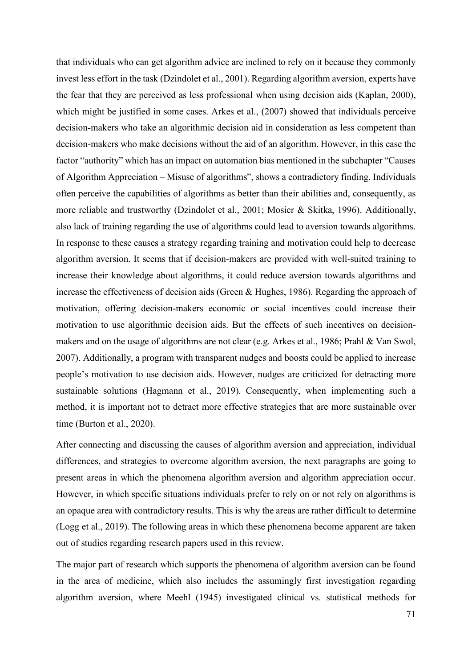that individuals who can get algorithm advice are inclined to rely on it because they commonly invest less effort in the task (Dzindolet et al., 2001). Regarding algorithm aversion, experts have the fear that they are perceived as less professional when using decision aids (Kaplan, 2000), which might be justified in some cases. Arkes et al., (2007) showed that individuals perceive decision-makers who take an algorithmic decision aid in consideration as less competent than decision-makers who make decisions without the aid of an algorithm. However, in this case the factor "authority" which has an impact on automation bias mentioned in the subchapter "Causes of Algorithm Appreciation – Misuse of algorithms", shows a contradictory finding. Individuals often perceive the capabilities of algorithms as better than their abilities and, consequently, as more reliable and trustworthy (Dzindolet et al., 2001; Mosier & Skitka, 1996). Additionally, also lack of training regarding the use of algorithms could lead to aversion towards algorithms. In response to these causes a strategy regarding training and motivation could help to decrease algorithm aversion. It seems that if decision-makers are provided with well-suited training to increase their knowledge about algorithms, it could reduce aversion towards algorithms and increase the effectiveness of decision aids (Green & Hughes, 1986). Regarding the approach of motivation, offering decision-makers economic or social incentives could increase their motivation to use algorithmic decision aids. But the effects of such incentives on decisionmakers and on the usage of algorithms are not clear (e.g. Arkes et al., 1986; Prahl & Van Swol, 2007). Additionally, a program with transparent nudges and boosts could be applied to increase people's motivation to use decision aids. However, nudges are criticized for detracting more sustainable solutions (Hagmann et al., 2019). Consequently, when implementing such a method, it is important not to detract more effective strategies that are more sustainable over time (Burton et al., 2020).

After connecting and discussing the causes of algorithm aversion and appreciation, individual differences, and strategies to overcome algorithm aversion, the next paragraphs are going to present areas in which the phenomena algorithm aversion and algorithm appreciation occur. However, in which specific situations individuals prefer to rely on or not rely on algorithms is an opaque area with contradictory results. This is why the areas are rather difficult to determine (Logg et al., 2019). The following areas in which these phenomena become apparent are taken out of studies regarding research papers used in this review.

The major part of research which supports the phenomena of algorithm aversion can be found in the area of medicine, which also includes the assumingly first investigation regarding algorithm aversion, where Meehl (1945) investigated clinical vs. statistical methods for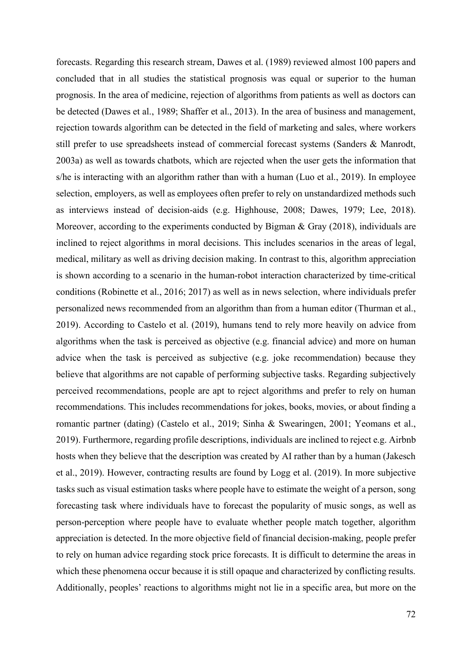forecasts. Regarding this research stream, Dawes et al. (1989) reviewed almost 100 papers and concluded that in all studies the statistical prognosis was equal or superior to the human prognosis. In the area of medicine, rejection of algorithms from patients as well as doctors can be detected (Dawes et al., 1989; Shaffer et al., 2013). In the area of business and management, rejection towards algorithm can be detected in the field of marketing and sales, where workers still prefer to use spreadsheets instead of commercial forecast systems (Sanders & Manrodt, 2003a) as well as towards chatbots, which are rejected when the user gets the information that s/he is interacting with an algorithm rather than with a human (Luo et al., 2019). In employee selection, employers, as well as employees often prefer to rely on unstandardized methods such as interviews instead of decision-aids (e.g. Highhouse, 2008; Dawes, 1979; Lee, 2018). Moreover, according to the experiments conducted by Bigman & Gray (2018), individuals are inclined to reject algorithms in moral decisions. This includes scenarios in the areas of legal, medical, military as well as driving decision making. In contrast to this, algorithm appreciation is shown according to a scenario in the human-robot interaction characterized by time-critical conditions (Robinette et al., 2016; 2017) as well as in news selection, where individuals prefer personalized news recommended from an algorithm than from a human editor (Thurman et al., 2019). According to Castelo et al. (2019), humans tend to rely more heavily on advice from algorithms when the task is perceived as objective (e.g. financial advice) and more on human advice when the task is perceived as subjective (e.g. joke recommendation) because they believe that algorithms are not capable of performing subjective tasks. Regarding subjectively perceived recommendations, people are apt to reject algorithms and prefer to rely on human recommendations. This includes recommendations for jokes, books, movies, or about finding a romantic partner (dating) (Castelo et al., 2019; Sinha & Swearingen, 2001; Yeomans et al., 2019). Furthermore, regarding profile descriptions, individuals are inclined to reject e.g. Airbnb hosts when they believe that the description was created by AI rather than by a human (Jakesch et al., 2019). However, contracting results are found by Logg et al. (2019). In more subjective tasks such as visual estimation tasks where people have to estimate the weight of a person, song forecasting task where individuals have to forecast the popularity of music songs, as well as person-perception where people have to evaluate whether people match together, algorithm appreciation is detected. In the more objective field of financial decision-making, people prefer to rely on human advice regarding stock price forecasts. It is difficult to determine the areas in which these phenomena occur because it is still opaque and characterized by conflicting results. Additionally, peoples' reactions to algorithms might not lie in a specific area, but more on the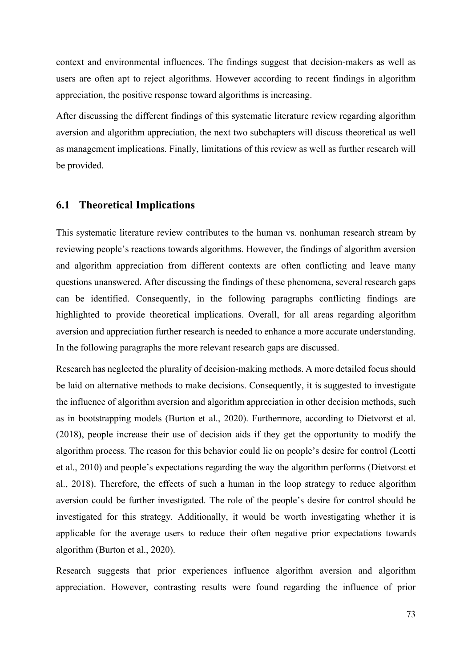context and environmental influences. The findings suggest that decision-makers as well as users are often apt to reject algorithms. However according to recent findings in algorithm appreciation, the positive response toward algorithms is increasing.

After discussing the different findings of this systematic literature review regarding algorithm aversion and algorithm appreciation, the next two subchapters will discuss theoretical as well as management implications. Finally, limitations of this review as well as further research will be provided.

#### **6.1 Theoretical Implications**

This systematic literature review contributes to the human vs. nonhuman research stream by reviewing people's reactions towards algorithms. However, the findings of algorithm aversion and algorithm appreciation from different contexts are often conflicting and leave many questions unanswered. After discussing the findings of these phenomena, several research gaps can be identified. Consequently, in the following paragraphs conflicting findings are highlighted to provide theoretical implications. Overall, for all areas regarding algorithm aversion and appreciation further research is needed to enhance a more accurate understanding. In the following paragraphs the more relevant research gaps are discussed.

Research has neglected the plurality of decision-making methods. A more detailed focus should be laid on alternative methods to make decisions. Consequently, it is suggested to investigate the influence of algorithm aversion and algorithm appreciation in other decision methods, such as in bootstrapping models (Burton et al., 2020). Furthermore, according to Dietvorst et al. (2018), people increase their use of decision aids if they get the opportunity to modify the algorithm process. The reason for this behavior could lie on people's desire for control (Leotti et al., 2010) and people's expectations regarding the way the algorithm performs (Dietvorst et al., 2018). Therefore, the effects of such a human in the loop strategy to reduce algorithm aversion could be further investigated. The role of the people's desire for control should be investigated for this strategy. Additionally, it would be worth investigating whether it is applicable for the average users to reduce their often negative prior expectations towards algorithm (Burton et al., 2020).

Research suggests that prior experiences influence algorithm aversion and algorithm appreciation. However, contrasting results were found regarding the influence of prior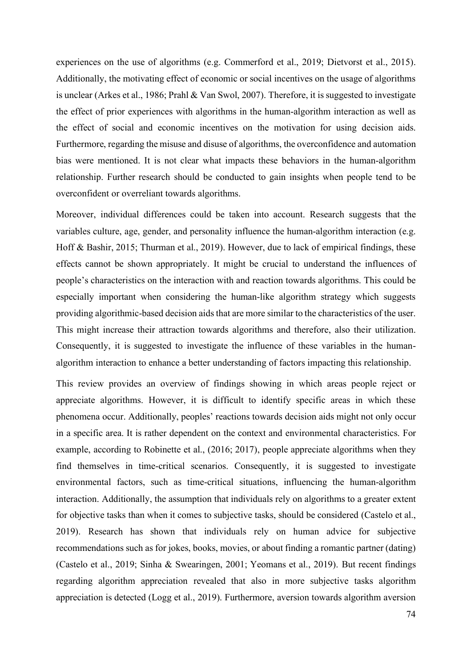experiences on the use of algorithms (e.g. Commerford et al., 2019; Dietvorst et al., 2015). Additionally, the motivating effect of economic or social incentives on the usage of algorithms is unclear (Arkes et al., 1986; Prahl & Van Swol, 2007). Therefore, it is suggested to investigate the effect of prior experiences with algorithms in the human-algorithm interaction as well as the effect of social and economic incentives on the motivation for using decision aids. Furthermore, regarding the misuse and disuse of algorithms, the overconfidence and automation bias were mentioned. It is not clear what impacts these behaviors in the human-algorithm relationship. Further research should be conducted to gain insights when people tend to be overconfident or overreliant towards algorithms.

Moreover, individual differences could be taken into account. Research suggests that the variables culture, age, gender, and personality influence the human-algorithm interaction (e.g. Hoff & Bashir, 2015; Thurman et al., 2019). However, due to lack of empirical findings, these effects cannot be shown appropriately. It might be crucial to understand the influences of people's characteristics on the interaction with and reaction towards algorithms. This could be especially important when considering the human-like algorithm strategy which suggests providing algorithmic-based decision aids that are more similar to the characteristics of the user. This might increase their attraction towards algorithms and therefore, also their utilization. Consequently, it is suggested to investigate the influence of these variables in the humanalgorithm interaction to enhance a better understanding of factors impacting this relationship.

This review provides an overview of findings showing in which areas people reject or appreciate algorithms. However, it is difficult to identify specific areas in which these phenomena occur. Additionally, peoples' reactions towards decision aids might not only occur in a specific area. It is rather dependent on the context and environmental characteristics. For example, according to Robinette et al., (2016; 2017), people appreciate algorithms when they find themselves in time-critical scenarios. Consequently, it is suggested to investigate environmental factors, such as time-critical situations, influencing the human-algorithm interaction. Additionally, the assumption that individuals rely on algorithms to a greater extent for objective tasks than when it comes to subjective tasks, should be considered (Castelo et al., 2019). Research has shown that individuals rely on human advice for subjective recommendations such as for jokes, books, movies, or about finding a romantic partner (dating) (Castelo et al., 2019; Sinha & Swearingen, 2001; Yeomans et al., 2019). But recent findings regarding algorithm appreciation revealed that also in more subjective tasks algorithm appreciation is detected (Logg et al., 2019). Furthermore, aversion towards algorithm aversion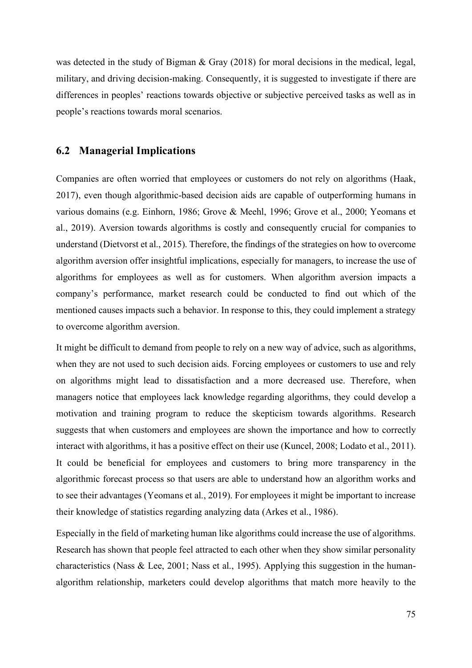was detected in the study of Bigman & Gray (2018) for moral decisions in the medical, legal, military, and driving decision-making. Consequently, it is suggested to investigate if there are differences in peoples' reactions towards objective or subjective perceived tasks as well as in people's reactions towards moral scenarios.

#### **6.2 Managerial Implications**

Companies are often worried that employees or customers do not rely on algorithms (Haak, 2017), even though algorithmic-based decision aids are capable of outperforming humans in various domains (e.g. Einhorn, 1986; Grove & Meehl, 1996; Grove et al., 2000; Yeomans et al., 2019). Aversion towards algorithms is costly and consequently crucial for companies to understand (Dietvorst et al., 2015). Therefore, the findings of the strategies on how to overcome algorithm aversion offer insightful implications, especially for managers, to increase the use of algorithms for employees as well as for customers. When algorithm aversion impacts a company's performance, market research could be conducted to find out which of the mentioned causes impacts such a behavior. In response to this, they could implement a strategy to overcome algorithm aversion.

It might be difficult to demand from people to rely on a new way of advice, such as algorithms, when they are not used to such decision aids. Forcing employees or customers to use and rely on algorithms might lead to dissatisfaction and a more decreased use. Therefore, when managers notice that employees lack knowledge regarding algorithms, they could develop a motivation and training program to reduce the skepticism towards algorithms. Research suggests that when customers and employees are shown the importance and how to correctly interact with algorithms, it has a positive effect on their use (Kuncel, 2008; Lodato et al., 2011). It could be beneficial for employees and customers to bring more transparency in the algorithmic forecast process so that users are able to understand how an algorithm works and to see their advantages (Yeomans et al., 2019). For employees it might be important to increase their knowledge of statistics regarding analyzing data (Arkes et al., 1986).

Especially in the field of marketing human like algorithms could increase the use of algorithms. Research has shown that people feel attracted to each other when they show similar personality characteristics (Nass & Lee, 2001; Nass et al., 1995). Applying this suggestion in the humanalgorithm relationship, marketers could develop algorithms that match more heavily to the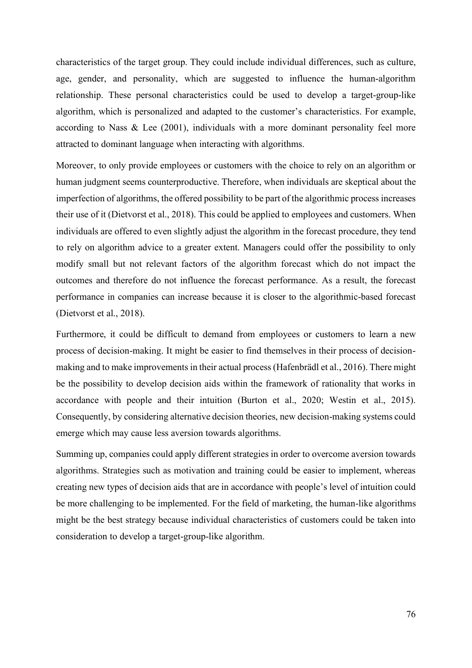characteristics of the target group. They could include individual differences, such as culture, age, gender, and personality, which are suggested to influence the human-algorithm relationship. These personal characteristics could be used to develop a target-group-like algorithm, which is personalized and adapted to the customer's characteristics. For example, according to Nass & Lee (2001), individuals with a more dominant personality feel more attracted to dominant language when interacting with algorithms.

Moreover, to only provide employees or customers with the choice to rely on an algorithm or human judgment seems counterproductive. Therefore, when individuals are skeptical about the imperfection of algorithms, the offered possibility to be part of the algorithmic process increases their use of it (Dietvorst et al., 2018). This could be applied to employees and customers. When individuals are offered to even slightly adjust the algorithm in the forecast procedure, they tend to rely on algorithm advice to a greater extent. Managers could offer the possibility to only modify small but not relevant factors of the algorithm forecast which do not impact the outcomes and therefore do not influence the forecast performance. As a result, the forecast performance in companies can increase because it is closer to the algorithmic-based forecast (Dietvorst et al., 2018).

Furthermore, it could be difficult to demand from employees or customers to learn a new process of decision-making. It might be easier to find themselves in their process of decisionmaking and to make improvements in their actual process (Hafenbrädl et al., 2016). There might be the possibility to develop decision aids within the framework of rationality that works in accordance with people and their intuition (Burton et al., 2020; Westin et al., 2015). Consequently, by considering alternative decision theories, new decision-making systems could emerge which may cause less aversion towards algorithms.

Summing up, companies could apply different strategies in order to overcome aversion towards algorithms. Strategies such as motivation and training could be easier to implement, whereas creating new types of decision aids that are in accordance with people's level of intuition could be more challenging to be implemented. For the field of marketing, the human-like algorithms might be the best strategy because individual characteristics of customers could be taken into consideration to develop a target-group-like algorithm.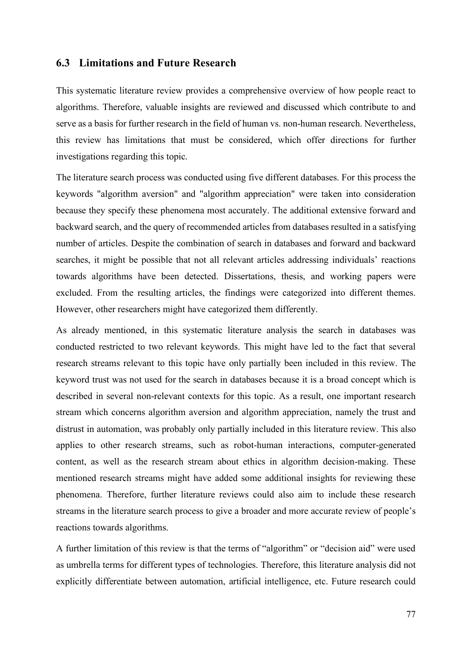#### **6.3 Limitations and Future Research**

This systematic literature review provides a comprehensive overview of how people react to algorithms. Therefore, valuable insights are reviewed and discussed which contribute to and serve as a basis for further research in the field of human vs. non-human research. Nevertheless, this review has limitations that must be considered, which offer directions for further investigations regarding this topic.

The literature search process was conducted using five different databases. For this process the keywords "algorithm aversion" and "algorithm appreciation" were taken into consideration because they specify these phenomena most accurately. The additional extensive forward and backward search, and the query of recommended articles from databases resulted in a satisfying number of articles. Despite the combination of search in databases and forward and backward searches, it might be possible that not all relevant articles addressing individuals' reactions towards algorithms have been detected. Dissertations, thesis, and working papers were excluded. From the resulting articles, the findings were categorized into different themes. However, other researchers might have categorized them differently.

As already mentioned, in this systematic literature analysis the search in databases was conducted restricted to two relevant keywords. This might have led to the fact that several research streams relevant to this topic have only partially been included in this review. The keyword trust was not used for the search in databases because it is a broad concept which is described in several non-relevant contexts for this topic. As a result, one important research stream which concerns algorithm aversion and algorithm appreciation, namely the trust and distrust in automation, was probably only partially included in this literature review. This also applies to other research streams, such as robot-human interactions, computer-generated content, as well as the research stream about ethics in algorithm decision-making. These mentioned research streams might have added some additional insights for reviewing these phenomena. Therefore, further literature reviews could also aim to include these research streams in the literature search process to give a broader and more accurate review of people's reactions towards algorithms.

A further limitation of this review is that the terms of "algorithm" or "decision aid" were used as umbrella terms for different types of technologies. Therefore, this literature analysis did not explicitly differentiate between automation, artificial intelligence, etc. Future research could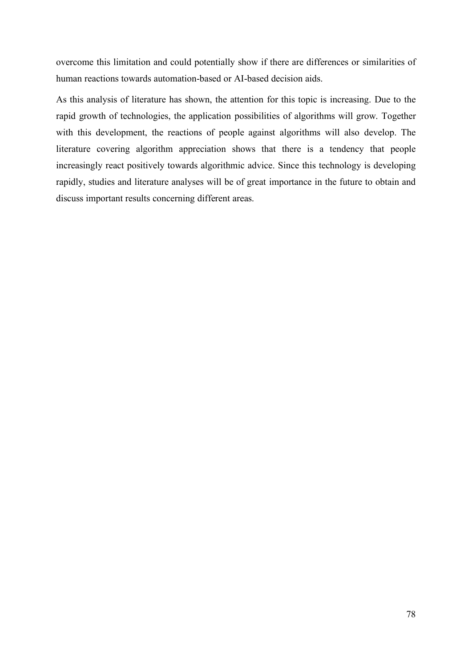overcome this limitation and could potentially show if there are differences or similarities of human reactions towards automation-based or AI-based decision aids.

As this analysis of literature has shown, the attention for this topic is increasing. Due to the rapid growth of technologies, the application possibilities of algorithms will grow. Together with this development, the reactions of people against algorithms will also develop. The literature covering algorithm appreciation shows that there is a tendency that people increasingly react positively towards algorithmic advice. Since this technology is developing rapidly, studies and literature analyses will be of great importance in the future to obtain and discuss important results concerning different areas.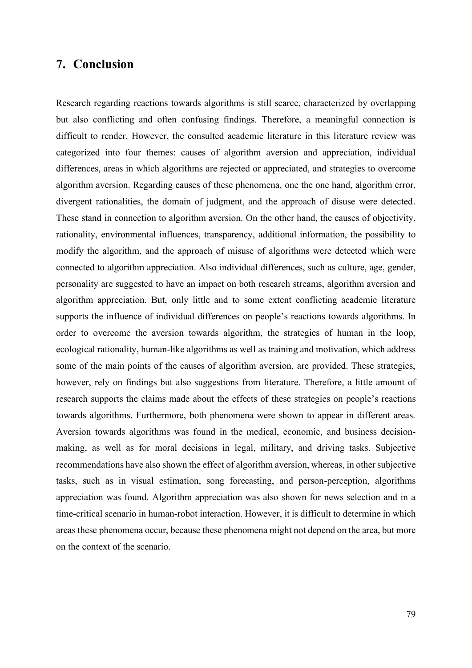### **7. Conclusion**

Research regarding reactions towards algorithms is still scarce, characterized by overlapping but also conflicting and often confusing findings. Therefore, a meaningful connection is difficult to render. However, the consulted academic literature in this literature review was categorized into four themes: causes of algorithm aversion and appreciation, individual differences, areas in which algorithms are rejected or appreciated, and strategies to overcome algorithm aversion. Regarding causes of these phenomena, one the one hand, algorithm error, divergent rationalities, the domain of judgment, and the approach of disuse were detected. These stand in connection to algorithm aversion. On the other hand, the causes of objectivity, rationality, environmental influences, transparency, additional information, the possibility to modify the algorithm, and the approach of misuse of algorithms were detected which were connected to algorithm appreciation. Also individual differences, such as culture, age, gender, personality are suggested to have an impact on both research streams, algorithm aversion and algorithm appreciation. But, only little and to some extent conflicting academic literature supports the influence of individual differences on people's reactions towards algorithms. In order to overcome the aversion towards algorithm, the strategies of human in the loop, ecological rationality, human-like algorithms as well as training and motivation, which address some of the main points of the causes of algorithm aversion, are provided. These strategies, however, rely on findings but also suggestions from literature. Therefore, a little amount of research supports the claims made about the effects of these strategies on people's reactions towards algorithms. Furthermore, both phenomena were shown to appear in different areas. Aversion towards algorithms was found in the medical, economic, and business decisionmaking, as well as for moral decisions in legal, military, and driving tasks. Subjective recommendations have also shown the effect of algorithm aversion, whereas, in other subjective tasks, such as in visual estimation, song forecasting, and person-perception, algorithms appreciation was found. Algorithm appreciation was also shown for news selection and in a time-critical scenario in human-robot interaction. However, it is difficult to determine in which areas these phenomena occur, because these phenomena might not depend on the area, but more on the context of the scenario.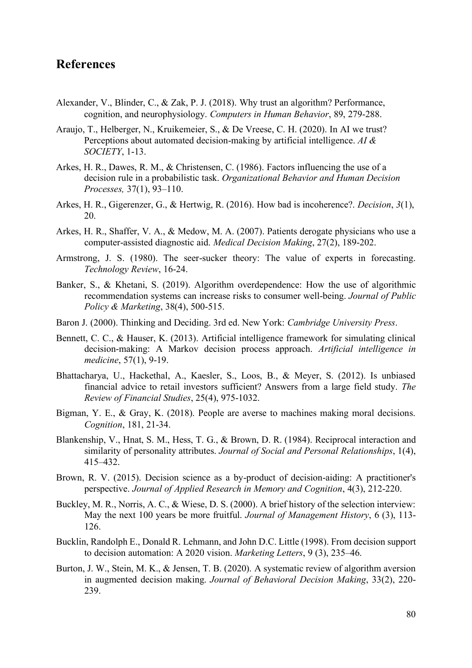## **References**

- Alexander, V., Blinder, C., & Zak, P. J. (2018). Why trust an algorithm? Performance, cognition, and neurophysiology. *Computers in Human Behavior*, 89, 279-288.
- Araujo, T., Helberger, N., Kruikemeier, S., & De Vreese, C. H. (2020). In AI we trust? Perceptions about automated decision-making by artificial intelligence. *AI & SOCIETY*, 1-13.
- Arkes, H. R., Dawes, R. M., & Christensen, C. (1986). Factors influencing the use of a decision rule in a probabilistic task. *Organizational Behavior and Human Decision Processes,* 37(1), 93–110.
- Arkes, H. R., Gigerenzer, G., & Hertwig, R. (2016). How bad is incoherence?. *Decision*, *3*(1), 20.
- Arkes, H. R., Shaffer, V. A., & Medow, M. A. (2007). Patients derogate physicians who use a computer-assisted diagnostic aid. *Medical Decision Making*, 27(2), 189-202.
- Armstrong, J. S. (1980). The seer-sucker theory: The value of experts in forecasting. *Technology Review*, 16-24.
- Banker, S., & Khetani, S. (2019). Algorithm overdependence: How the use of algorithmic recommendation systems can increase risks to consumer well-being. *Journal of Public Policy & Marketing*, 38(4), 500-515.
- Baron J. (2000). Thinking and Deciding. 3rd ed. New York: *Cambridge University Press*.
- Bennett, C. C., & Hauser, K. (2013). Artificial intelligence framework for simulating clinical decision-making: A Markov decision process approach. *Artificial intelligence in medicine*, 57(1), 9-19.
- Bhattacharya, U., Hackethal, A., Kaesler, S., Loos, B., & Meyer, S. (2012). Is unbiased financial advice to retail investors sufficient? Answers from a large field study. *The Review of Financial Studies*, 25(4), 975-1032.
- Bigman, Y. E., & Gray, K. (2018). People are averse to machines making moral decisions. *Cognition*, 181, 21-34.
- Blankenship, V., Hnat, S. M., Hess, T. G., & Brown, D. R. (1984). Reciprocal interaction and similarity of personality attributes. *Journal of Social and Personal Relationships*, 1(4), 415–432.
- Brown, R. V. (2015). Decision science as a by-product of decision-aiding: A practitioner's perspective. *Journal of Applied Research in Memory and Cognition*, 4(3), 212-220.
- Buckley, M. R., Norris, A. C., & Wiese, D. S. (2000). A brief history of the selection interview: May the next 100 years be more fruitful. *Journal of Management History*, 6 (3), 113- 126.
- Bucklin, Randolph E., Donald R. Lehmann, and John D.C. Little (1998). From decision support to decision automation: A 2020 vision. *Marketing Letters*, 9 (3), 235–46.
- Burton, J. W., Stein, M. K., & Jensen, T. B. (2020). A systematic review of algorithm aversion in augmented decision making. *Journal of Behavioral Decision Making*, 33(2), 220- 239.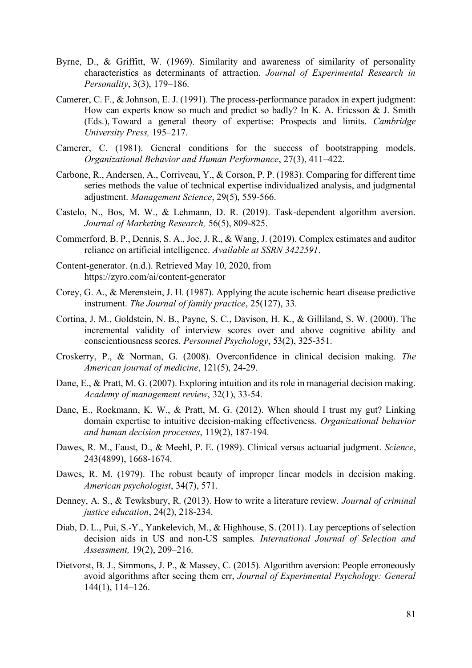- Byrne, D., & Griffitt, W. (1969). Similarity and awareness of similarity of personality characteristics as determinants of attraction. *Journal of Experimental Research in Personality*, 3(3), 179–186.
- Camerer, C. F., & Johnson, E. J. (1991). The process-performance paradox in expert judgment: How can experts know so much and predict so badly? In K. A. Ericsson & J. Smith (Eds.), Toward a general theory of expertise: Prospects and limits. *Cambridge University Press,* 195–217.
- Camerer, C. (1981). General conditions for the success of bootstrapping models. *Organizational Behavior and Human Performance*, 27(3), 411–422.
- Carbone, R., Andersen, A., Corriveau, Y., & Corson, P. P. (1983). Comparing for different time series methods the value of technical expertise individualized analysis, and judgmental adjustment. *Management Science*, 29(5), 559-566.
- Castelo, N., Bos, M. W., & Lehmann, D. R. (2019). Task-dependent algorithm aversion. *Journal of Marketing Research,* 56(5), 809-825.
- Commerford, B. P., Dennis, S. A., Joe, J. R., & Wang, J. (2019). Complex estimates and auditor reliance on artificial intelligence. *Available at SSRN 3422591*.
- Content-generator. (n.d.). Retrieved May 10, 2020, from https://zyro.com/ai/content-generator
- Corey, G. A., & Merenstein, J. H. (1987). Applying the acute ischemic heart disease predictive instrument. *The Journal of family practice*, 25(127), 33.
- Cortina, J. M., Goldstein, N. B., Payne, S. C., Davison, H. K., & Gilliland, S. W. (2000). The incremental validity of interview scores over and above cognitive ability and conscientiousness scores. *Personnel Psychology*, 53(2), 325-351.
- Croskerry, P., & Norman, G. (2008). Overconfidence in clinical decision making. *The American journal of medicine*, 121(5), 24-29.
- Dane, E., & Pratt, M. G. (2007). Exploring intuition and its role in managerial decision making. *Academy of management review*, 32(1), 33-54.
- Dane, E., Rockmann, K. W., & Pratt, M. G. (2012). When should I trust my gut? Linking domain expertise to intuitive decision-making effectiveness. *Organizational behavior and human decision processes*, 119(2), 187-194.
- Dawes, R. M., Faust, D., & Meehl, P. E. (1989). Clinical versus actuarial judgment. *Science*, 243(4899), 1668-1674.
- Dawes, R. M. (1979). The robust beauty of improper linear models in decision making. *American psychologist*, 34(7), 571.
- Denney, A. S., & Tewksbury, R. (2013). How to write a literature review. *Journal of criminal justice education*, 24(2), 218-234.
- Diab, D. L., Pui, S.-Y., Yankelevich, M., & Highhouse, S. (2011). Lay perceptions of selection decision aids in US and non-US samples*. International Journal of Selection and Assessment,* 19(2), 209–216.
- Dietvorst, B. J., Simmons, J. P., & Massey, C. (2015). Algorithm aversion: People erroneously avoid algorithms after seeing them err, *Journal of Experimental Psychology: General* 144(1), 114–126.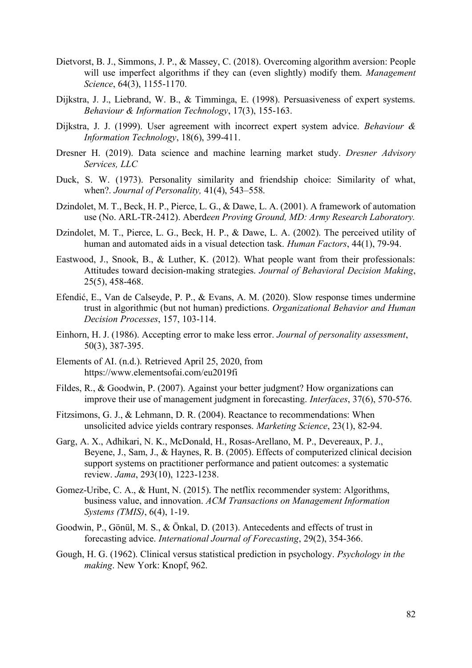- Dietvorst, B. J., Simmons, J. P., & Massey, C. (2018). Overcoming algorithm aversion: People will use imperfect algorithms if they can (even slightly) modify them. *Management Science*, 64(3), 1155-1170.
- Dijkstra, J. J., Liebrand, W. B., & Timminga, E. (1998). Persuasiveness of expert systems. *Behaviour & Information Technology*, 17(3), 155-163.
- Dijkstra, J. J. (1999). User agreement with incorrect expert system advice. *Behaviour & Information Technology*, 18(6), 399-411.
- Dresner H. (2019). Data science and machine learning market study. *Dresner Advisory Services, LLC*
- Duck, S. W. (1973). Personality similarity and friendship choice: Similarity of what, when?. *Journal of Personality,* 41(4), 543–558.
- Dzindolet, M. T., Beck, H. P., Pierce, L. G., & Dawe, L. A. (2001). A framework of automation use (No. ARL-TR-2412). Aberd*een Proving Ground, MD: Army Research Laboratory.*
- Dzindolet, M. T., Pierce, L. G., Beck, H. P., & Dawe, L. A. (2002). The perceived utility of human and automated aids in a visual detection task. *Human Factors*, 44(1), 79-94.
- Eastwood, J., Snook, B., & Luther, K. (2012). What people want from their professionals: Attitudes toward decision‐making strategies. *Journal of Behavioral Decision Making*, 25(5), 458-468.
- Efendić, E., Van de Calseyde, P. P., & Evans, A. M. (2020). Slow response times undermine trust in algorithmic (but not human) predictions. *Organizational Behavior and Human Decision Processes*, 157, 103-114.
- Einhorn, H. J. (1986). Accepting error to make less error. *Journal of personality assessment*, 50(3), 387-395.
- Elements of AI. (n.d.). Retrieved April 25, 2020, from https://www.elementsofai.com/eu2019fi
- Fildes, R., & Goodwin, P. (2007). Against your better judgment? How organizations can improve their use of management judgment in forecasting. *Interfaces*, 37(6), 570-576.
- Fitzsimons, G. J., & Lehmann, D. R. (2004). Reactance to recommendations: When unsolicited advice yields contrary responses. *Marketing Science*, 23(1), 82-94.
- Garg, A. X., Adhikari, N. K., McDonald, H., Rosas-Arellano, M. P., Devereaux, P. J., Beyene, J., Sam, J., & Haynes, R. B. (2005). Effects of computerized clinical decision support systems on practitioner performance and patient outcomes: a systematic review. *Jama*, 293(10), 1223-1238.
- Gomez-Uribe, C. A., & Hunt, N. (2015). The netflix recommender system: Algorithms, business value, and innovation. *ACM Transactions on Management Information Systems (TMIS)*, 6(4), 1-19.
- Goodwin, P., Gönül, M. S., & Önkal, D. (2013). Antecedents and effects of trust in forecasting advice. *International Journal of Forecasting*, 29(2), 354-366.
- Gough, H. G. (1962). Clinical versus statistical prediction in psychology. *Psychology in the making*. New York: Knopf, 962.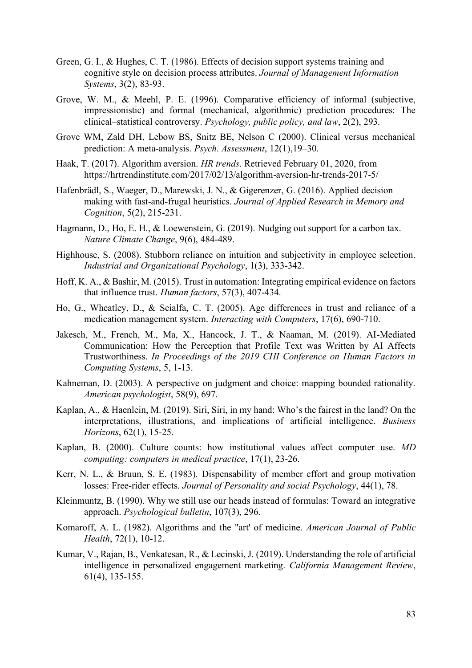- Green, G. I., & Hughes, C. T. (1986). Effects of decision support systems training and cognitive style on decision process attributes. *Journal of Management Information Systems*, 3(2), 83-93.
- Grove, W. M., & Meehl, P. E. (1996). Comparative efficiency of informal (subjective, impressionistic) and formal (mechanical, algorithmic) prediction procedures: The clinical–statistical controversy. *Psychology, public policy, and law*, 2(2), 293.
- Grove WM, Zald DH, Lebow BS, Snitz BE, Nelson C (2000). Clinical versus mechanical prediction: A meta-analysis. *Psych. Assessment*, 12(1),19–30.
- Haak, T. (2017). Algorithm aversion. *HR trends*. Retrieved February 01, 2020, from https://hrtrendinstitute.com/2017/02/13/algorithm-aversion-hr-trends-2017-5/
- Hafenbrädl, S., Waeger, D., Marewski, J. N., & Gigerenzer, G. (2016). Applied decision making with fast-and-frugal heuristics. *Journal of Applied Research in Memory and Cognition*, 5(2), 215-231.
- Hagmann, D., Ho, E. H., & Loewenstein, G. (2019). Nudging out support for a carbon tax. *Nature Climate Change*, 9(6), 484-489.
- Highhouse, S. (2008). Stubborn reliance on intuition and subjectivity in employee selection. *Industrial and Organizational Psychology*, 1(3), 333-342.
- Hoff, K. A., & Bashir, M. (2015). Trust in automation: Integrating empirical evidence on factors that influence trust. *Human factors*, 57(3), 407-434.
- Ho, G., Wheatley, D., & Scialfa, C. T. (2005). Age differences in trust and reliance of a medication management system. *Interacting with Computers*, 17(6), 690-710.
- Jakesch, M., French, M., Ma, X., Hancock, J. T., & Naaman, M. (2019). AI-Mediated Communication: How the Perception that Profile Text was Written by AI Affects Trustworthiness. *In Proceedings of the 2019 CHI Conference on Human Factors in Computing Systems*, 5, 1-13.
- Kahneman, D. (2003). A perspective on judgment and choice: mapping bounded rationality. *American psychologist*, 58(9), 697.
- Kaplan, A., & Haenlein, M. (2019). Siri, Siri, in my hand: Who's the fairest in the land? On the interpretations, illustrations, and implications of artificial intelligence. *Business Horizons*, 62(1), 15-25.
- Kaplan, B. (2000). Culture counts: how institutional values affect computer use. *MD computing: computers in medical practice*, 17(1), 23-26.
- Kerr, N. L., & Bruun, S. E. (1983). Dispensability of member effort and group motivation losses: Free-rider effects. *Journal of Personality and social Psychology*, 44(1), 78.
- Kleinmuntz, B. (1990). Why we still use our heads instead of formulas: Toward an integrative approach. *Psychological bulletin*, 107(3), 296.
- Komaroff, A. L. (1982). Algorithms and the "art' of medicine. *American Journal of Public Health*, 72(1), 10-12.
- Kumar, V., Rajan, B., Venkatesan, R., & Lecinski, J. (2019). Understanding the role of artificial intelligence in personalized engagement marketing. *California Management Review*, 61(4), 135-155.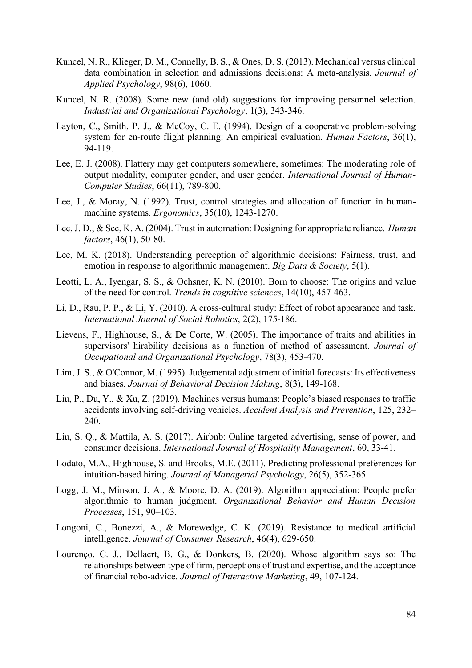- Kuncel, N. R., Klieger, D. M., Connelly, B. S., & Ones, D. S. (2013). Mechanical versus clinical data combination in selection and admissions decisions: A meta-analysis. *Journal of Applied Psychology*, 98(6), 1060.
- Kuncel, N. R. (2008). Some new (and old) suggestions for improving personnel selection. *Industrial and Organizational Psychology*, 1(3), 343-346.
- Layton, C., Smith, P. J., & McCoy, C. E. (1994). Design of a cooperative problem-solving system for en-route flight planning: An empirical evaluation. *Human Factors*, 36(1), 94-119.
- Lee, E. J. (2008). Flattery may get computers somewhere, sometimes: The moderating role of output modality, computer gender, and user gender. *International Journal of Human-Computer Studies*, 66(11), 789-800.
- Lee, J., & Moray, N. (1992). Trust, control strategies and allocation of function in humanmachine systems. *Ergonomics*, 35(10), 1243-1270.
- Lee, J. D., & See, K. A. (2004). Trust in automation: Designing for appropriate reliance. *Human factors*, 46(1), 50-80.
- Lee, M. K. (2018). Understanding perception of algorithmic decisions: Fairness, trust, and emotion in response to algorithmic management. *Big Data & Society*, 5(1).
- Leotti, L. A., Iyengar, S. S., & Ochsner, K. N. (2010). Born to choose: The origins and value of the need for control. *Trends in cognitive sciences*, 14(10), 457-463.
- Li, D., Rau, P. P., & Li, Y. (2010). A cross-cultural study: Effect of robot appearance and task. *International Journal of Social Robotics*, 2(2), 175-186.
- Lievens, F., Highhouse, S., & De Corte, W. (2005). The importance of traits and abilities in supervisors' hirability decisions as a function of method of assessment. *Journal of Occupational and Organizational Psychology*, 78(3), 453-470.
- Lim, J. S., & O'Connor, M. (1995). Judgemental adjustment of initial forecasts: Its effectiveness and biases. *Journal of Behavioral Decision Making*, 8(3), 149-168.
- Liu, P., Du, Y., & Xu, Z. (2019). Machines versus humans: People's biased responses to traffic accidents involving self-driving vehicles. *Accident Analysis and Prevention*, 125, 232– 240.
- Liu, S. Q., & Mattila, A. S. (2017). Airbnb: Online targeted advertising, sense of power, and consumer decisions. *International Journal of Hospitality Management*, 60, 33-41.
- Lodato, M.A., Highhouse, S. and Brooks, M.E. (2011). Predicting professional preferences for intuition‐based hiring. *Journal of Managerial Psychology*, 26(5), 352-365.
- Logg, J. M., Minson, J. A., & Moore, D. A. (2019). Algorithm appreciation: People prefer algorithmic to human judgment. *Organizational Behavior and Human Decision Processes*, 151, 90–103.
- Longoni, C., Bonezzi, A., & Morewedge, C. K. (2019). Resistance to medical artificial intelligence. *Journal of Consumer Research*, 46(4), 629-650.
- Lourenço, C. J., Dellaert, B. G., & Donkers, B. (2020). Whose algorithm says so: The relationships between type of firm, perceptions of trust and expertise, and the acceptance of financial robo-advice. *Journal of Interactive Marketing*, 49, 107-124.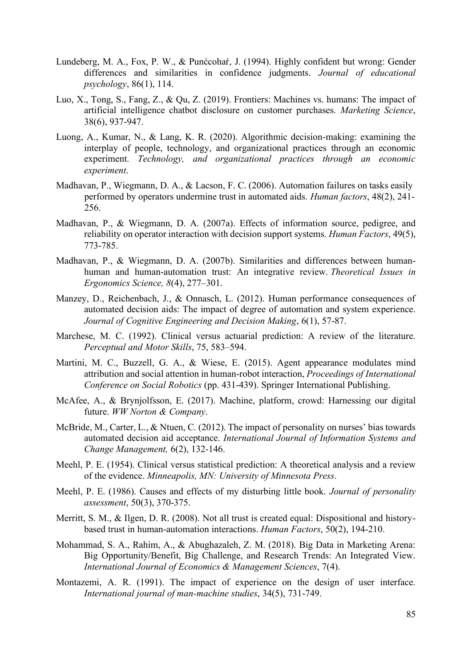- Lundeberg, M. A., Fox, P. W., & Punćcohaŕ, J. (1994). Highly confident but wrong: Gender differences and similarities in confidence judgments. *Journal of educational psychology*, 86(1), 114.
- Luo, X., Tong, S., Fang, Z., & Qu, Z. (2019). Frontiers: Machines vs. humans: The impact of artificial intelligence chatbot disclosure on customer purchases. *Marketing Science*, 38(6), 937-947.
- Luong, A., Kumar, N., & Lang, K. R. (2020). Algorithmic decision-making: examining the interplay of people, technology, and organizational practices through an economic experiment. *Technology, and organizational practices through an economic experiment*.
- Madhavan, P., Wiegmann, D. A., & Lacson, F. C. (2006). Automation failures on tasks easily performed by operators undermine trust in automated aids. *Human factors*, 48(2), 241- 256.
- Madhavan, P., & Wiegmann, D. A. (2007a). Effects of information source, pedigree, and reliability on operator interaction with decision support systems. *Human Factors*, 49(5), 773-785.
- Madhavan, P., & Wiegmann, D. A. (2007b). Similarities and differences between humanhuman and human-automation trust: An integrative review. *Theoretical Issues in Ergonomics Science, 8*(4), 277–301.
- Manzey, D., Reichenbach, J., & Onnasch, L. (2012). Human performance consequences of automated decision aids: The impact of degree of automation and system experience. *Journal of Cognitive Engineering and Decision Making*, 6(1), 57-87.
- Marchese, M. C. (1992). Clinical versus actuarial prediction: A review of the literature. *Perceptual and Motor Skills*, 75, 583–594.
- Martini, M. C., Buzzell, G. A., & Wiese, E. (2015). Agent appearance modulates mind attribution and social attention in human-robot interaction, *Proceedings of International Conference on Social Robotics* (pp. 431-439). Springer International Publishing.
- McAfee, A., & Brynjolfsson, E. (2017). Machine, platform, crowd: Harnessing our digital future. *WW Norton & Company*.
- McBride, M., Carter, L., & Ntuen, C. (2012). The impact of personality on nurses' bias towards automated decision aid acceptance. *International Journal of Information Systems and Change Management,* 6(2), 132-146.
- Meehl, P. E. (1954). Clinical versus statistical prediction: A theoretical analysis and a review of the evidence. *Minneapolis, MN: University of Minnesota Press*.
- Meehl, P. E. (1986). Causes and effects of my disturbing little book. *Journal of personality assessment*, 50(3), 370-375.
- Merritt, S. M., & Ilgen, D. R. (2008). Not all trust is created equal: Dispositional and historybased trust in human-automation interactions. *Human Factors*, 50(2), 194-210.
- Mohammad, S. A., Rahim, A., & Abughazaleh, Z. M. (2018). Big Data in Marketing Arena: Big Opportunity/Benefit, Big Challenge, and Research Trends: An Integrated View. *International Journal of Economics & Management Sciences*, 7(4).
- Montazemi, A. R. (1991). The impact of experience on the design of user interface. *International journal of man-machine studies*, 34(5), 731-749.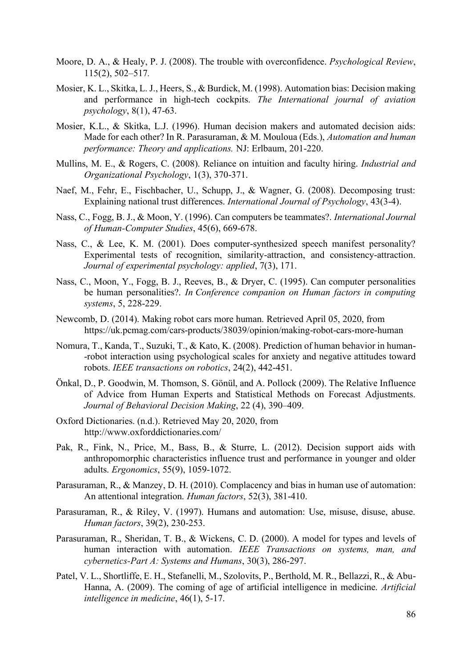- Moore, D. A., & Healy, P. J. (2008). The trouble with overconfidence. *Psychological Review*, 115(2), 502–517*.*
- Mosier, K. L., Skitka, L. J., Heers, S., & Burdick, M. (1998). Automation bias: Decision making and performance in high-tech cockpits. *The International journal of aviation psychology*, 8(1), 47-63.
- Mosier, K.L., & Skitka, L.J. (1996). Human decision makers and automated decision aids: Made for each other? In R. Parasuraman, & M. Mouloua (Eds.), *Automation and human performance: Theory and applications.* NJ: Erlbaum, 201-220.
- Mullins, M. E., & Rogers, C. (2008). Reliance on intuition and faculty hiring. *Industrial and Organizational Psychology*, 1(3), 370-371.
- Naef, M., Fehr, E., Fischbacher, U., Schupp, J., & Wagner, G. (2008). Decomposing trust: Explaining national trust differences. *International Journal of Psychology*, 43(3-4).
- Nass, C., Fogg, B. J., & Moon, Y. (1996). Can computers be teammates?. *International Journal of Human-Computer Studies*, 45(6), 669-678.
- Nass, C., & Lee, K. M. (2001). Does computer-synthesized speech manifest personality? Experimental tests of recognition, similarity-attraction, and consistency-attraction. *Journal of experimental psychology: applied*, 7(3), 171.
- Nass, C., Moon, Y., Fogg, B. J., Reeves, B., & Dryer, C. (1995). Can computer personalities be human personalities?. *In Conference companion on Human factors in computing systems*, 5, 228-229.
- Newcomb, D. (2014). Making robot cars more human. Retrieved April 05, 2020, from https://uk.pcmag.com/cars-products/38039/opinion/making-robot-cars-more-human
- Nomura, T., Kanda, T., Suzuki, T., & Kato, K. (2008). Prediction of human behavior in human- -robot interaction using psychological scales for anxiety and negative attitudes toward robots. *IEEE transactions on robotics*, 24(2), 442-451.
- Önkal, D., P. Goodwin, M. Thomson, S. Gönül, and A. Pollock (2009). The Relative Influence of Advice from Human Experts and Statistical Methods on Forecast Adjustments. *Journal of Behavioral Decision Making*, 22 (4), 390–409.
- Oxford Dictionaries. (n.d.). Retrieved May 20, 2020, from http://www.oxforddictionaries.com/
- Pak, R., Fink, N., Price, M., Bass, B., & Sturre, L. (2012). Decision support aids with anthropomorphic characteristics influence trust and performance in younger and older adults. *Ergonomics*, 55(9), 1059-1072.
- Parasuraman, R., & Manzey, D. H. (2010). Complacency and bias in human use of automation: An attentional integration. *Human factors*, 52(3), 381-410.
- Parasuraman, R., & Riley, V. (1997). Humans and automation: Use, misuse, disuse, abuse. *Human factors*, 39(2), 230-253.
- Parasuraman, R., Sheridan, T. B., & Wickens, C. D. (2000). A model for types and levels of human interaction with automation. *IEEE Transactions on systems, man, and cybernetics-Part A: Systems and Humans*, 30(3), 286-297.
- Patel, V. L., Shortliffe, E. H., Stefanelli, M., Szolovits, P., Berthold, M. R., Bellazzi, R., & Abu-Hanna, A. (2009). The coming of age of artificial intelligence in medicine. *Artificial intelligence in medicine*, 46(1), 5-17.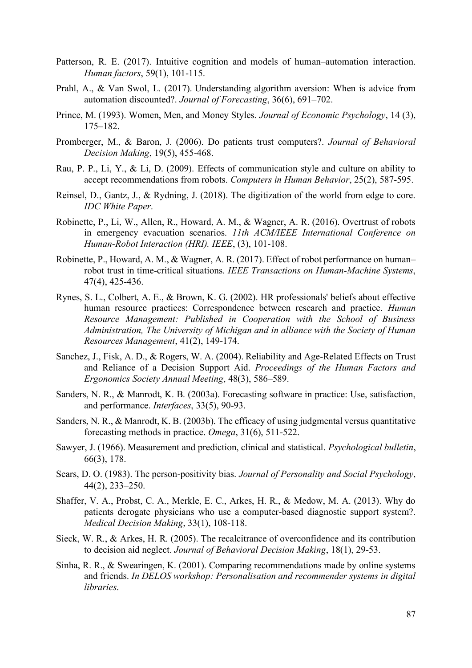- Patterson, R. E. (2017). Intuitive cognition and models of human–automation interaction. *Human factors*, 59(1), 101-115.
- Prahl, A., & Van Swol, L. (2017). Understanding algorithm aversion: When is advice from automation discounted?. *Journal of Forecasting*, 36(6), 691–702.
- Prince, M. (1993). Women, Men, and Money Styles. *Journal of Economic Psychology*, 14 (3), 175–182.
- Promberger, M., & Baron, J. (2006). Do patients trust computers?. *Journal of Behavioral Decision Making*, 19(5), 455-468.
- Rau, P. P., Li, Y., & Li, D. (2009). Effects of communication style and culture on ability to accept recommendations from robots. *Computers in Human Behavior*, 25(2), 587-595.
- Reinsel, D., Gantz, J., & Rydning, J. (2018). The digitization of the world from edge to core. *IDC White Paper*.
- Robinette, P., Li, W., Allen, R., Howard, A. M., & Wagner, A. R. (2016). Overtrust of robots in emergency evacuation scenarios. *11th ACM/IEEE International Conference on Human-Robot Interaction (HRI). IEEE*, (3), 101-108.
- Robinette, P., Howard, A. M., & Wagner, A. R. (2017). Effect of robot performance on human– robot trust in time-critical situations. *IEEE Transactions on Human-Machine Systems*, 47(4), 425-436.
- Rynes, S. L., Colbert, A. E., & Brown, K. G. (2002). HR professionals' beliefs about effective human resource practices: Correspondence between research and practice. *Human Resource Management: Published in Cooperation with the School of Business Administration, The University of Michigan and in alliance with the Society of Human Resources Management*, 41(2), 149-174.
- Sanchez, J., Fisk, A. D., & Rogers, W. A. (2004). Reliability and Age-Related Effects on Trust and Reliance of a Decision Support Aid. *Proceedings of the Human Factors and Ergonomics Society Annual Meeting*, 48(3), 586–589.
- Sanders, N. R., & Manrodt, K. B. (2003a). Forecasting software in practice: Use, satisfaction, and performance. *Interfaces*, 33(5), 90-93.
- Sanders, N. R., & Manrodt, K. B. (2003b). The efficacy of using judgmental versus quantitative forecasting methods in practice. *Omega*, 31(6), 511-522.
- Sawyer, J. (1966). Measurement and prediction, clinical and statistical. *Psychological bulletin*, 66(3), 178.
- Sears, D. O. (1983). The person-positivity bias. *Journal of Personality and Social Psychology*, 44(2), 233–250.
- Shaffer, V. A., Probst, C. A., Merkle, E. C., Arkes, H. R., & Medow, M. A. (2013). Why do patients derogate physicians who use a computer-based diagnostic support system?. *Medical Decision Making*, 33(1), 108-118.
- Sieck, W. R., & Arkes, H. R. (2005). The recalcitrance of overconfidence and its contribution to decision aid neglect. *Journal of Behavioral Decision Making*, 18(1), 29-53.
- Sinha, R. R., & Swearingen, K. (2001). Comparing recommendations made by online systems and friends. *In DELOS workshop: Personalisation and recommender systems in digital libraries*.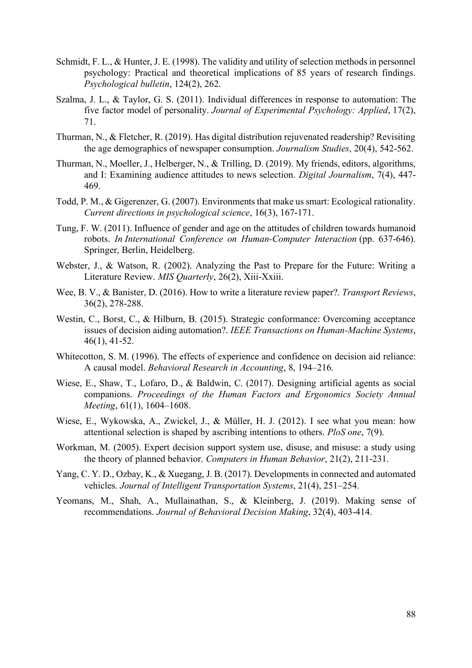- Schmidt, F. L., & Hunter, J. E. (1998). The validity and utility of selection methods in personnel psychology: Practical and theoretical implications of 85 years of research findings. *Psychological bulletin*, 124(2), 262.
- Szalma, J. L., & Taylor, G. S. (2011). Individual differences in response to automation: The five factor model of personality. *Journal of Experimental Psychology: Applied*, 17(2), 71.
- Thurman, N., & Fletcher, R. (2019). Has digital distribution rejuvenated readership? Revisiting the age demographics of newspaper consumption. *Journalism Studies*, 20(4), 542-562.
- Thurman, N., Moeller, J., Helberger, N., & Trilling, D. (2019). My friends, editors, algorithms, and I: Examining audience attitudes to news selection. *Digital Journalism*, 7(4), 447- 469.
- Todd, P. M., & Gigerenzer, G. (2007). Environments that make us smart: Ecological rationality. *Current directions in psychological science*, 16(3), 167-171.
- Tung, F. W. (2011). Influence of gender and age on the attitudes of children towards humanoid robots. *In International Conference on Human-Computer Interaction* (pp. 637-646). Springer, Berlin, Heidelberg.
- Webster, J., & Watson, R. (2002). Analyzing the Past to Prepare for the Future: Writing a Literature Review. *MIS Quarterly*, 26(2), Xiii-Xxiii.
- Wee, B. V., & Banister, D. (2016). How to write a literature review paper?. *Transport Reviews*, 36(2), 278-288.
- Westin, C., Borst, C., & Hilburn, B. (2015). Strategic conformance: Overcoming acceptance issues of decision aiding automation?. *IEEE Transactions on Human-Machine Systems*, 46(1), 41-52.
- Whitecotton, S. M. (1996). The effects of experience and confidence on decision aid reliance: A causal model. *Behavioral Research in Accounting*, 8, 194–216.
- Wiese, E., Shaw, T., Lofaro, D., & Baldwin, C. (2017). Designing artificial agents as social companions. *Proceedings of the Human Factors and Ergonomics Society Annual Meeting*, 61(1), 1604–1608.
- Wiese, E., Wykowska, A., Zwickel, J., & Müller, H. J. (2012). I see what you mean: how attentional selection is shaped by ascribing intentions to others. *PloS one*, 7(9).
- Workman, M. (2005). Expert decision support system use, disuse, and misuse: a study using the theory of planned behavior. *Computers in Human Behavior*, 21(2), 211-231.
- Yang, C. Y. D., Ozbay, K., & Xuegang, J. B. (2017). Developments in connected and automated vehicles. *Journal of Intelligent Transportation Systems*, 21(4), 251–254.
- Yeomans, M., Shah, A., Mullainathan, S., & Kleinberg, J. (2019). Making sense of recommendations. *Journal of Behavioral Decision Making*, 32(4), 403-414.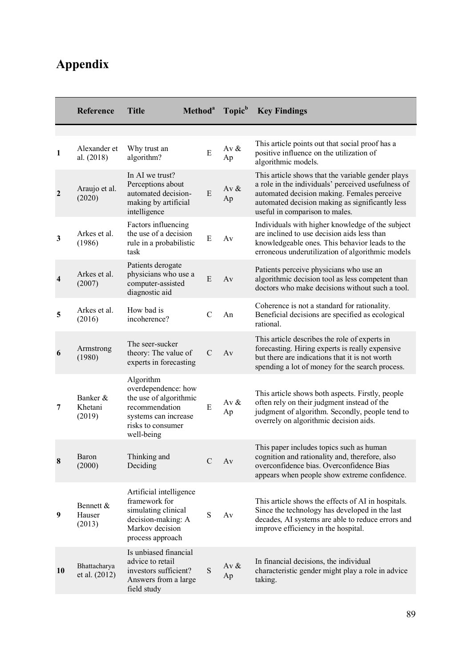# **Appendix**

|                         | <b>Reference</b>              | <b>Title</b>                                                                                                                            | Method <sup>a</sup> | Topic <sup>b</sup> | <b>Key Findings</b>                                                                                                                                                                                                                         |
|-------------------------|-------------------------------|-----------------------------------------------------------------------------------------------------------------------------------------|---------------------|--------------------|---------------------------------------------------------------------------------------------------------------------------------------------------------------------------------------------------------------------------------------------|
| $\mathbf{1}$            | Alexander et<br>al. (2018)    | Why trust an<br>algorithm?                                                                                                              | E                   | Av $\&$<br>Ap      | This article points out that social proof has a<br>positive influence on the utilization of<br>algorithmic models.                                                                                                                          |
| $\overline{2}$          | Araujo et al.<br>(2020)       | In AI we trust?<br>Perceptions about<br>automated decision-<br>making by artificial<br>intelligence                                     | E                   | Av $\&$<br>Ap      | This article shows that the variable gender plays<br>a role in the individuals' perceived usefulness of<br>automated decision making. Females perceive<br>automated decision making as significantly less<br>useful in comparison to males. |
| 3                       | Arkes et al.<br>(1986)        | Factors influencing<br>the use of a decision<br>rule in a probabilistic<br>task                                                         | E                   | Av                 | Individuals with higher knowledge of the subject<br>are inclined to use decision aids less than<br>knowledgeable ones. This behavior leads to the<br>erroneous underutilization of algorithmic models                                       |
| $\overline{\mathbf{4}}$ | Arkes et al.<br>(2007)        | Patients derogate<br>physicians who use a<br>computer-assisted<br>diagnostic aid                                                        | E                   | Av                 | Patients perceive physicians who use an<br>algorithmic decision tool as less competent than<br>doctors who make decisions without such a tool.                                                                                              |
| 5                       | Arkes et al.<br>(2016)        | How bad is<br>incoherence?                                                                                                              | $\mathcal{C}$       | An                 | Coherence is not a standard for rationality.<br>Beneficial decisions are specified as ecological<br>rational.                                                                                                                               |
| 6                       | Armstrong<br>(1980)           | The seer-sucker<br>theory: The value of<br>experts in forecasting                                                                       | $\mathcal{C}$       | Av                 | This article describes the role of experts in<br>forecasting. Hiring experts is really expensive<br>but there are indications that it is not worth<br>spending a lot of money for the search process.                                       |
| 7                       | Banker &<br>Khetani<br>(2019) | Algorithm<br>overdependence: how<br>the use of algorithmic<br>recommendation<br>systems can increase<br>risks to consumer<br>well-being | E                   | Av $&$<br>Ap       | This article shows both aspects. Firstly, people<br>often rely on their judgment instead of the<br>judgment of algorithm. Secondly, people tend to<br>overrely on algorithmic decision aids.                                                |
| 8                       | Baron<br>(2000)               | Thinking and<br>Deciding                                                                                                                | $\mathbf C$         | Av                 | This paper includes topics such as human<br>cognition and rationality and, therefore, also<br>overconfidence bias. Overconfidence Bias<br>appears when people show extreme confidence.                                                      |
| 9                       | Bennett &<br>Hauser<br>(2013) | Artificial intelligence<br>framework for<br>simulating clinical<br>decision-making: A<br>Markov decision<br>process approach            | S                   | Av                 | This article shows the effects of AI in hospitals.<br>Since the technology has developed in the last<br>decades, AI systems are able to reduce errors and<br>improve efficiency in the hospital.                                            |
| <b>10</b>               | Bhattacharya<br>et al. (2012) | Is unbiased financial<br>advice to retail<br>investors sufficient?<br>Answers from a large<br>field study                               | $\mathbf S$         | Av $\&$<br>Ap      | In financial decisions, the individual<br>characteristic gender might play a role in advice<br>taking.                                                                                                                                      |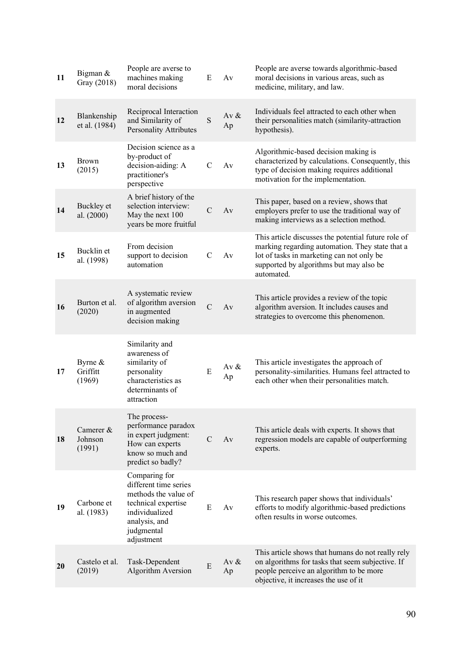| 11 | Bigman &<br>Gray (2018)         | People are averse to<br>machines making<br>moral decisions                                                                                           | E             | Av            | People are averse towards algorithmic-based<br>moral decisions in various areas, such as<br>medicine, military, and law.                                                                                     |
|----|---------------------------------|------------------------------------------------------------------------------------------------------------------------------------------------------|---------------|---------------|--------------------------------------------------------------------------------------------------------------------------------------------------------------------------------------------------------------|
| 12 | Blankenship<br>et al. (1984)    | Reciprocal Interaction<br>and Similarity of<br>Personality Attributes                                                                                | S             | Av $\&$<br>Ap | Individuals feel attracted to each other when<br>their personalities match (similarity-attraction<br>hypothesis).                                                                                            |
| 13 | <b>Brown</b><br>(2015)          | Decision science as a<br>by-product of<br>decision-aiding: A<br>practitioner's<br>perspective                                                        | $\mathcal{C}$ | Av            | Algorithmic-based decision making is<br>characterized by calculations. Consequently, this<br>type of decision making requires additional<br>motivation for the implementation.                               |
| 14 | Buckley et<br>al. (2000)        | A brief history of the<br>selection interview:<br>May the next 100<br>years be more fruitful                                                         | $\mathcal{C}$ | Av            | This paper, based on a review, shows that<br>employers prefer to use the traditional way of<br>making interviews as a selection method.                                                                      |
| 15 | Bucklin et<br>al. (1998)        | From decision<br>support to decision<br>automation                                                                                                   | $\mathcal{C}$ | Av            | This article discusses the potential future role of<br>marking regarding automation. They state that a<br>lot of tasks in marketing can not only be<br>supported by algorithms but may also be<br>automated. |
| 16 | Burton et al.<br>(2020)         | A systematic review<br>of algorithm aversion<br>in augmented<br>decision making                                                                      | $\mathcal{C}$ | Av            | This article provides a review of the topic<br>algorithm aversion. It includes causes and<br>strategies to overcome this phenomenon.                                                                         |
| 17 | Byrne $&$<br>Griffitt<br>(1969) | Similarity and<br>awareness of<br>similarity of<br>personality<br>characteristics as<br>determinants of<br>attraction                                | E             | Av $\&$<br>Ap | This article investigates the approach of<br>personality-similarities. Humans feel attracted to<br>each other when their personalities match.                                                                |
| 18 | Camerer &<br>Johnson<br>(1991)  | The process-<br>performance paradox<br>in expert judgment:<br>How can experts<br>know so much and<br>predict so badly?                               | C             | Av            | This article deals with experts. It shows that<br>regression models are capable of outperforming<br>experts.                                                                                                 |
| 19 | Carbone et<br>al. (1983)        | Comparing for<br>different time series<br>methods the value of<br>technical expertise<br>individualized<br>analysis, and<br>judgmental<br>adjustment | Ε             | Av            | This research paper shows that individuals'<br>efforts to modify algorithmic-based predictions<br>often results in worse outcomes.                                                                           |
| 20 | Castelo et al.<br>(2019)        | Task-Dependent<br>Algorithm Aversion                                                                                                                 | Ε             | Av $\&$<br>Ap | This article shows that humans do not really rely<br>on algorithms for tasks that seem subjective. If<br>people perceive an algorithm to be more<br>objective, it increases the use of it                    |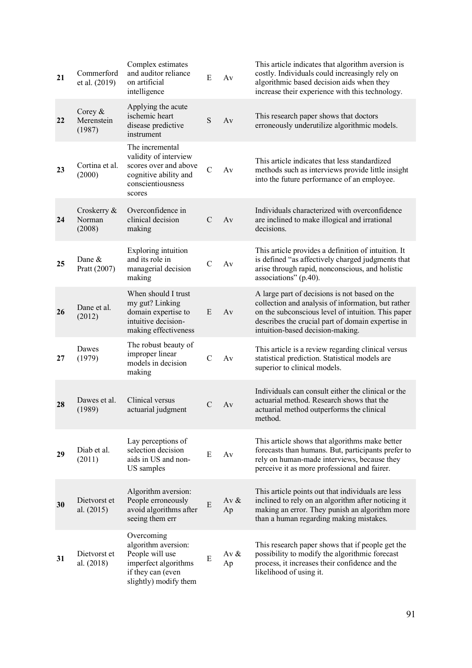| 21 | Commerford<br>et al. (2019)       | Complex estimates<br>and auditor reliance<br>on artificial<br>intelligence                                                 | ${\bf E}$     | Av            | This article indicates that algorithm aversion is<br>costly. Individuals could increasingly rely on<br>algorithmic based decision aids when they<br>increase their experience with this technology.                                                |
|----|-----------------------------------|----------------------------------------------------------------------------------------------------------------------------|---------------|---------------|----------------------------------------------------------------------------------------------------------------------------------------------------------------------------------------------------------------------------------------------------|
| 22 | Corey $&$<br>Merenstein<br>(1987) | Applying the acute<br>ischemic heart<br>disease predictive<br>instrument                                                   | S             | Av            | This research paper shows that doctors<br>erroneously underutilize algorithmic models.                                                                                                                                                             |
| 23 | Cortina et al.<br>(2000)          | The incremental<br>validity of interview<br>scores over and above<br>cognitive ability and<br>conscientiousness<br>scores  | $\mathcal{C}$ | Av            | This article indicates that less standardized<br>methods such as interviews provide little insight<br>into the future performance of an employee.                                                                                                  |
| 24 | Croskerry &<br>Norman<br>(2008)   | Overconfidence in<br>clinical decision<br>making                                                                           | C             | Av            | Individuals characterized with overconfidence<br>are inclined to make illogical and irrational<br>decisions.                                                                                                                                       |
| 25 | Dane &<br>Pratt (2007)            | <b>Exploring</b> intuition<br>and its role in<br>managerial decision<br>making                                             | $\mathcal{C}$ | Av            | This article provides a definition of intuition. It<br>is defined "as affectively charged judgments that<br>arise through rapid, nonconscious, and holistic<br>associations" (p.40).                                                               |
| 26 | Dane et al.<br>(2012)             | When should I trust<br>my gut? Linking<br>domain expertise to<br>intuitive decision-<br>making effectiveness               | E             | Av            | A large part of decisions is not based on the<br>collection and analysis of information, but rather<br>on the subconscious level of intuition. This paper<br>describes the crucial part of domain expertise in<br>intuition-based decision-making. |
| 27 | Dawes<br>(1979)                   | The robust beauty of<br>improper linear<br>models in decision<br>making                                                    | $\mathcal{C}$ | Av            | This article is a review regarding clinical versus<br>statistical prediction. Statistical models are<br>superior to clinical models.                                                                                                               |
| 28 | Dawes et al.<br>(1989)            | Clinical versus<br>actuarial judgment                                                                                      | C             | Av            | Individuals can consult either the clinical or the<br>actuarial method. Research shows that the<br>actuarial method outperforms the clinical<br>method.                                                                                            |
| 29 | Diab et al.<br>(2011)             | Lay perceptions of<br>selection decision<br>aids in US and non-<br>US samples                                              | E             | Av            | This article shows that algorithms make better<br>forecasts than humans. But, participants prefer to<br>rely on human-made interviews, because they<br>perceive it as more professional and fairer.                                                |
| 30 | Dietvorst et<br>al. (2015)        | Algorithm aversion:<br>People erroneously<br>avoid algorithms after<br>seeing them err                                     | E             | Av $&$<br>Ap  | This article points out that individuals are less<br>inclined to rely on an algorithm after noticing it<br>making an error. They punish an algorithm more<br>than a human regarding making mistakes.                                               |
| 31 | Dietvorst et<br>al. $(2018)$      | Overcoming<br>algorithm aversion:<br>People will use<br>imperfect algorithms<br>if they can (even<br>slightly) modify them | E             | Av $\&$<br>Ap | This research paper shows that if people get the<br>possibility to modify the algorithmic forecast<br>process, it increases their confidence and the<br>likelihood of using it.                                                                    |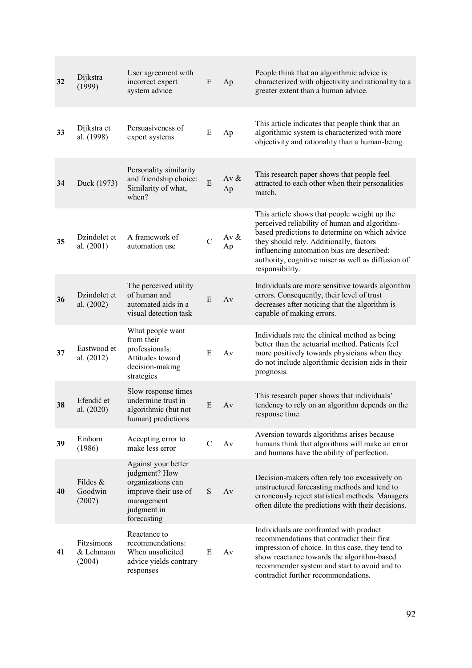| 32 | Dijkstra<br>(1999)                | User agreement with<br>incorrect expert<br>system advice                                                                      | E              | Ap            | People think that an algorithmic advice is<br>characterized with objectivity and rationality to a<br>greater extent than a human advice.                                                                                                                                                                          |
|----|-----------------------------------|-------------------------------------------------------------------------------------------------------------------------------|----------------|---------------|-------------------------------------------------------------------------------------------------------------------------------------------------------------------------------------------------------------------------------------------------------------------------------------------------------------------|
| 33 | Dijkstra et<br>al. (1998)         | Persuasiveness of<br>expert systems                                                                                           | E              | Ap            | This article indicates that people think that an<br>algorithmic system is characterized with more<br>objectivity and rationality than a human-being.                                                                                                                                                              |
| 34 | Duck (1973)                       | Personality similarity<br>and friendship choice:<br>Similarity of what,<br>when?                                              | $\overline{E}$ | Av $\&$<br>Ap | This research paper shows that people feel<br>attracted to each other when their personalities<br>match.                                                                                                                                                                                                          |
| 35 | Dzindolet et<br>al. (2001)        | A framework of<br>automation use                                                                                              | $\overline{C}$ | Av $&$<br>Ap  | This article shows that people weight up the<br>perceived reliability of human and algorithm-<br>based predictions to determine on which advice<br>they should rely. Additionally, factors<br>influencing automation bias are described:<br>authority, cognitive miser as well as diffusion of<br>responsibility. |
| 36 | Dzindolet et<br>al. (2002)        | The perceived utility<br>of human and<br>automated aids in a<br>visual detection task                                         | E              | Av            | Individuals are more sensitive towards algorithm<br>errors. Consequently, their level of trust<br>decreases after noticing that the algorithm is<br>capable of making errors.                                                                                                                                     |
| 37 | Eastwood et<br>al. (2012)         | What people want<br>from their<br>professionals:<br>Attitudes toward<br>decision-making<br>strategies                         | E              | Av            | Individuals rate the clinical method as being<br>better than the actuarial method. Patients feel<br>more positively towards physicians when they<br>do not include algorithmic decision aids in their<br>prognosis.                                                                                               |
| 38 | Efendić et<br>al. (2020)          | Slow response times<br>undermine trust in<br>algorithmic (but not<br>human) predictions                                       | E              | Av            | This research paper shows that individuals'<br>tendency to rely on an algorithm depends on the<br>response time.                                                                                                                                                                                                  |
| 39 | Einhorn<br>(1986)                 | Accepting error to<br>make less error                                                                                         | $\mathbf C$    | Av            | Aversion towards algorithms arises because<br>humans think that algorithms will make an error<br>and humans have the ability of perfection.                                                                                                                                                                       |
| 40 | Fildes $&$<br>Goodwin<br>(2007)   | Against your better<br>judgment? How<br>organizations can<br>improve their use of<br>management<br>judgment in<br>forecasting | S              | Av            | Decision-makers often rely too excessively on<br>unstructured forecasting methods and tend to<br>erroneously reject statistical methods. Managers<br>often dilute the predictions with their decisions.                                                                                                           |
| 41 | Fitzsimons<br>& Lehmann<br>(2004) | Reactance to<br>recommendations:<br>When unsolicited<br>advice yields contrary<br>responses                                   | E              | Av            | Individuals are confronted with product<br>recommendations that contradict their first<br>impression of choice. In this case, they tend to<br>show reactance towards the algorithm-based<br>recommender system and start to avoid and to<br>contradict further recommendations.                                   |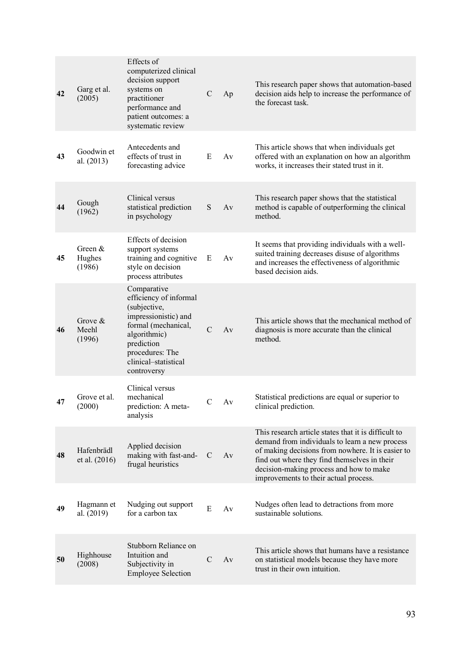| 42 | Garg et al.<br>(2005)         | Effects of<br>computerized clinical<br>decision support<br>systems on<br>practitioner<br>performance and<br>patient outcomes: a<br>systematic review                                         | $\mathbf C$   | Ap | This research paper shows that automation-based<br>decision aids help to increase the performance of<br>the forecast task.                                                                                                                                                                      |
|----|-------------------------------|----------------------------------------------------------------------------------------------------------------------------------------------------------------------------------------------|---------------|----|-------------------------------------------------------------------------------------------------------------------------------------------------------------------------------------------------------------------------------------------------------------------------------------------------|
| 43 | Goodwin et<br>al. (2013)      | Antecedents and<br>effects of trust in<br>forecasting advice                                                                                                                                 | E             | Av | This article shows that when individuals get<br>offered with an explanation on how an algorithm<br>works, it increases their stated trust in it.                                                                                                                                                |
| 44 | Gough<br>(1962)               | Clinical versus<br>statistical prediction<br>in psychology                                                                                                                                   | S             | Av | This research paper shows that the statistical<br>method is capable of outperforming the clinical<br>method.                                                                                                                                                                                    |
| 45 | Green &<br>Hughes<br>(1986)   | Effects of decision<br>support systems<br>training and cognitive<br>style on decision<br>process attributes                                                                                  | E             | Av | It seems that providing individuals with a well-<br>suited training decreases disuse of algorithms<br>and increases the effectiveness of algorithmic<br>based decision aids.                                                                                                                    |
| 46 | Grove $\&$<br>Meehl<br>(1996) | Comparative<br>efficiency of informal<br>(subjective,<br>impressionistic) and<br>formal (mechanical,<br>algorithmic)<br>prediction<br>procedures: The<br>clinical-statistical<br>controversy | $\mathcal{C}$ | Av | This article shows that the mechanical method of<br>diagnosis is more accurate than the clinical<br>method.                                                                                                                                                                                     |
| 47 | Grove et al.<br>(2000)        | Clinical versus<br>mechanical<br>prediction: A meta-<br>analysis                                                                                                                             | C             | Av | Statistical predictions are equal or superior to<br>clinical prediction.                                                                                                                                                                                                                        |
| 48 | Hafenbrädl<br>et al. (2016)   | Applied decision<br>making with fast-and-<br>frugal heuristics                                                                                                                               | $\mathcal{C}$ | Av | This research article states that it is difficult to<br>demand from individuals to learn a new process<br>of making decisions from nowhere. It is easier to<br>find out where they find themselves in their<br>decision-making process and how to make<br>improvements to their actual process. |
| 49 | Hagmann et<br>al. (2019)      | Nudging out support<br>for a carbon tax                                                                                                                                                      | E             | Av | Nudges often lead to detractions from more<br>sustainable solutions.                                                                                                                                                                                                                            |
| 50 | Highhouse<br>(2008)           | Stubborn Reliance on<br>Intuition and<br>Subjectivity in<br><b>Employee Selection</b>                                                                                                        | $\mathcal{C}$ | Av | This article shows that humans have a resistance<br>on statistical models because they have more<br>trust in their own intuition.                                                                                                                                                               |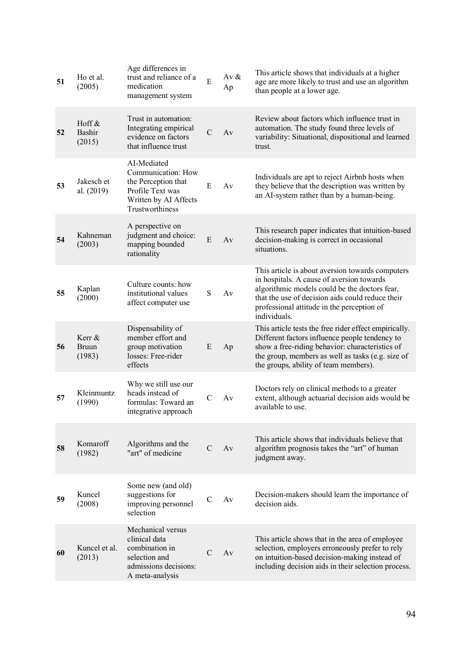| 51 | Ho et al.<br>(2005)              | Age differences in<br>trust and reliance of a<br>medication<br>management system                                         | $\overline{E}$ | Av $&$<br>Ap | This article shows that individuals at a higher<br>age are more likely to trust and use an algorithm<br>than people at a lower age.                                                                                                                              |
|----|----------------------------------|--------------------------------------------------------------------------------------------------------------------------|----------------|--------------|------------------------------------------------------------------------------------------------------------------------------------------------------------------------------------------------------------------------------------------------------------------|
| 52 | Hoff &<br>Bashir<br>(2015)       | Trust in automation:<br>Integrating empirical<br>evidence on factors<br>that influence trust                             | $\mathcal{C}$  | Av           | Review about factors which influence trust in<br>automation. The study found three levels of<br>variability: Situational, dispositional and learned<br>trust.                                                                                                    |
| 53 | Jakesch et<br>al. (2019)         | AI-Mediated<br>Communication: How<br>the Perception that<br>Profile Text was<br>Written by AI Affects<br>Trustworthiness | E              | Av           | Individuals are apt to reject Airbnb hosts when<br>they believe that the description was written by<br>an AI-system rather than by a human-being.                                                                                                                |
| 54 | Kahneman<br>(2003)               | A perspective on<br>judgment and choice:<br>mapping bounded<br>rationality                                               | E              | Av           | This research paper indicates that intuition-based<br>decision-making is correct in occasional<br>situations.                                                                                                                                                    |
| 55 | Kaplan<br>(2000)                 | Culture counts: how<br>institutional values<br>affect computer use                                                       | S              | Av           | This article is about aversion towards computers<br>in hospitals. A cause of aversion towards<br>algorithmic models could be the doctors fear,<br>that the use of decision aids could reduce their<br>professional attitude in the perception of<br>individuals. |
| 56 | Kerr &<br><b>Bruun</b><br>(1983) | Dispensability of<br>member effort and<br>group motivation<br>losses: Free-rider<br>effects                              | E              | Ap           | This article tests the free rider effect empirically.<br>Different factors influence people tendency to<br>show a free-riding behavior: characteristics of<br>the group, members as well as tasks (e.g. size of<br>the groups, ability of team members).         |
| 57 | Kleinmuntz<br>(1990)             | Why we still use our<br>heads instead of<br>formulas: Toward an<br>integrative approach                                  | $\mathcal{C}$  | Av           | Doctors rely on clinical methods to a greater<br>extent, although actuarial decision aids would be<br>available to use.                                                                                                                                          |
| 58 | Komaroff<br>(1982)               | Algorithms and the<br>"art" of medicine                                                                                  | C              | Av           | This article shows that individuals believe that<br>algorithm prognosis takes the "art" of human<br>judgment away.                                                                                                                                               |
| 59 | Kuncel<br>(2008)                 | Some new (and old)<br>suggestions for<br>improving personnel<br>selection                                                | C              | Av           | Decision-makers should learn the importance of<br>decision aids.                                                                                                                                                                                                 |
| 60 | Kuncel et al.<br>(2013)          | Mechanical versus<br>clinical data<br>combination in<br>selection and<br>admissions decisions:<br>A meta-analysis        | C              | Av           | This article shows that in the area of employee<br>selection, employers erroneously prefer to rely<br>on intuition-based decision-making instead of<br>including decision aids in their selection process.                                                       |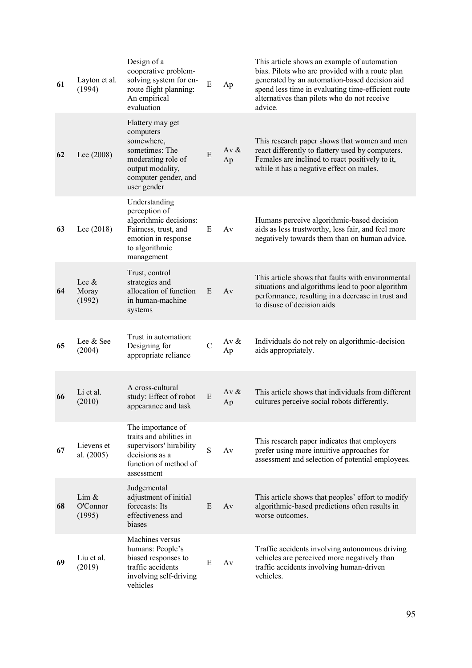| 61 | Layton et al.<br>(1994)     | Design of a<br>cooperative problem-<br>solving system for en-<br>route flight planning:<br>An empirical<br>evaluation                          | ${\bf E}$    | Ap            | This article shows an example of automation<br>bias. Pilots who are provided with a route plan<br>generated by an automation-based decision aid<br>spend less time in evaluating time-efficient route<br>alternatives than pilots who do not receive<br>advice. |
|----|-----------------------------|------------------------------------------------------------------------------------------------------------------------------------------------|--------------|---------------|-----------------------------------------------------------------------------------------------------------------------------------------------------------------------------------------------------------------------------------------------------------------|
| 62 | Lee $(2008)$                | Flattery may get<br>computers<br>somewhere,<br>sometimes: The<br>moderating role of<br>output modality,<br>computer gender, and<br>user gender | E            | Av $\&$<br>Ap | This research paper shows that women and men<br>react differently to flattery used by computers.<br>Females are inclined to react positively to it,<br>while it has a negative effect on males.                                                                 |
| 63 | Lee $(2018)$                | Understanding<br>perception of<br>algorithmic decisions:<br>Fairness, trust, and<br>emotion in response<br>to algorithmic<br>management        | E            | Av            | Humans perceive algorithmic-based decision<br>aids as less trustworthy, less fair, and feel more<br>negatively towards them than on human advice.                                                                                                               |
| 64 | Lee $\&$<br>Moray<br>(1992) | Trust, control<br>strategies and<br>allocation of function<br>in human-machine<br>systems                                                      | E            | Av            | This article shows that faults with environmental<br>situations and algorithms lead to poor algorithm<br>performance, resulting in a decrease in trust and<br>to disuse of decision aids                                                                        |
| 65 | Lee & See<br>(2004)         | Trust in automation:<br>Designing for<br>appropriate reliance                                                                                  | $\mathsf{C}$ | Av $\&$<br>Ap | Individuals do not rely on algorithmic-decision<br>aids appropriately.                                                                                                                                                                                          |
| 66 | Li et al.<br>(2010)         | A cross-cultural<br>study: Effect of robot<br>appearance and task                                                                              | E            | Av $&$<br>Ap  | This article shows that individuals from different<br>cultures perceive social robots differently.                                                                                                                                                              |
| 67 | Lievens et<br>al. (2005)    | The importance of<br>traits and abilities in<br>supervisors' hirability<br>decisions as a<br>function of method of<br>assessment               | S            | Av            | This research paper indicates that employers<br>prefer using more intuitive approaches for<br>assessment and selection of potential employees.                                                                                                                  |
| 68 | Lim &<br>O'Connor<br>(1995) | Judgemental<br>adjustment of initial<br>forecasts: Its<br>effectiveness and<br>biases                                                          | E            | Av            | This article shows that peoples' effort to modify<br>algorithmic-based predictions often results in<br>worse outcomes.                                                                                                                                          |
| 69 | Liu et al.<br>(2019)        | Machines versus<br>humans: People's<br>biased responses to<br>traffic accidents<br>involving self-driving<br>vehicles                          | E            | Av            | Traffic accidents involving autonomous driving<br>vehicles are perceived more negatively than<br>traffic accidents involving human-driven<br>vehicles.                                                                                                          |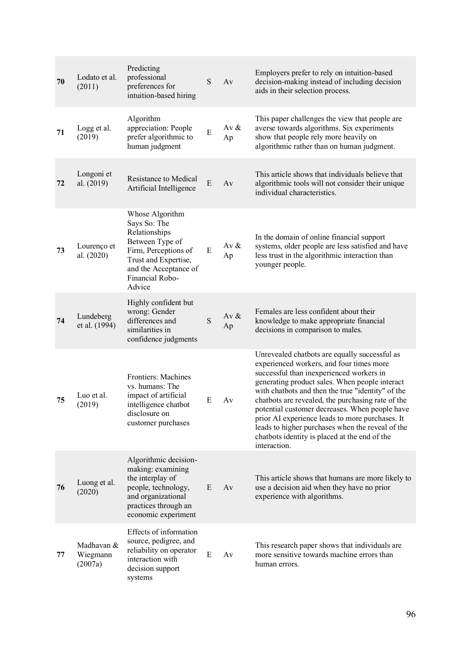| 70 | Lodato et al.<br>(2011)           | Predicting<br>professional<br>preferences for<br>intuition-based hiring                                                                                                   | S | Av            | Employers prefer to rely on intuition-based<br>decision-making instead of including decision<br>aids in their selection process.                                                                                                                                                                                                                                                                                                                                                                                            |
|----|-----------------------------------|---------------------------------------------------------------------------------------------------------------------------------------------------------------------------|---|---------------|-----------------------------------------------------------------------------------------------------------------------------------------------------------------------------------------------------------------------------------------------------------------------------------------------------------------------------------------------------------------------------------------------------------------------------------------------------------------------------------------------------------------------------|
| 71 | Logg et al.<br>(2019)             | Algorithm<br>appreciation: People<br>prefer algorithmic to<br>human judgment                                                                                              | E | Av $\&$<br>Ap | This paper challenges the view that people are<br>averse towards algorithms. Six experiments<br>show that people rely more heavily on<br>algorithmic rather than on human judgment.                                                                                                                                                                                                                                                                                                                                         |
| 72 | Longoni et<br>al. (2019)          | Resistance to Medical<br>Artificial Intelligence                                                                                                                          | E | Av            | This article shows that individuals believe that<br>algorithmic tools will not consider their unique<br>individual characteristics.                                                                                                                                                                                                                                                                                                                                                                                         |
| 73 | Lourenço et<br>al. (2020)         | Whose Algorithm<br>Says So: The<br>Relationships<br>Between Type of<br>Firm, Perceptions of<br>Trust and Expertise,<br>and the Acceptance of<br>Financial Robo-<br>Advice | E | Av $\&$<br>Ap | In the domain of online financial support<br>systems, older people are less satisfied and have<br>less trust in the algorithmic interaction than<br>younger people.                                                                                                                                                                                                                                                                                                                                                         |
| 74 | Lundeberg<br>et al. (1994)        | Highly confident but<br>wrong: Gender<br>differences and<br>similarities in<br>confidence judgments                                                                       | S | Av $\&$<br>Ap | Females are less confident about their<br>knowledge to make appropriate financial<br>decisions in comparison to males.                                                                                                                                                                                                                                                                                                                                                                                                      |
| 75 | Luo et al.<br>(2019)              | Frontiers: Machines<br>vs. humans: The<br>impact of artificial<br>intelligence chatbot<br>disclosure on<br>customer purchases                                             | E | Av            | Unrevealed chatbots are equally successful as<br>experienced workers, and four times more<br>successful than inexperienced workers in<br>generating product sales. When people interact<br>with chatbots and then the true "identity" of the<br>chatbots are revealed, the purchasing rate of the<br>potential customer decreases. When people have<br>prior AI experience leads to more purchases. It<br>leads to higher purchases when the reveal of the<br>chatbots identity is placed at the end of the<br>interaction. |
| 76 | Luong et al.<br>(2020)            | Algorithmic decision-<br>making: examining<br>the interplay of<br>people, technology,<br>and organizational<br>practices through an<br>economic experiment                | E | Av            | This article shows that humans are more likely to<br>use a decision aid when they have no prior<br>experience with algorithms.                                                                                                                                                                                                                                                                                                                                                                                              |
| 77 | Madhavan &<br>Wiegmann<br>(2007a) | Effects of information<br>source, pedigree, and<br>reliability on operator<br>interaction with<br>decision support<br>systems                                             | E | Av            | This research paper shows that individuals are<br>more sensitive towards machine errors than<br>human errors.                                                                                                                                                                                                                                                                                                                                                                                                               |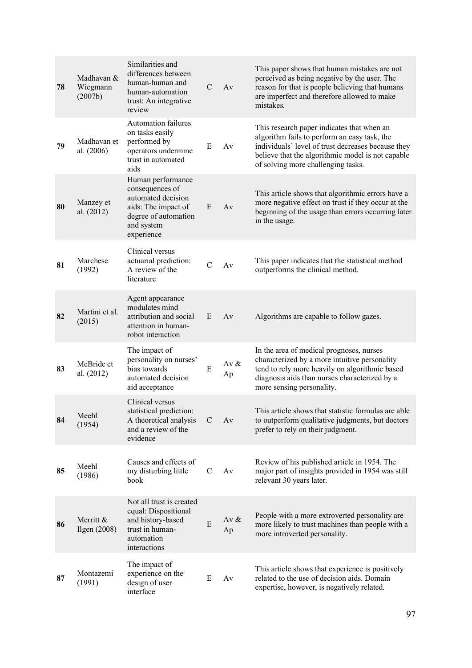| 78 | Madhavan &<br>Wiegmann<br>(2007b) | Similarities and<br>differences between<br>human-human and<br>human-automation<br>trust: An integrative<br>review                     | $\mathcal{C}$ | Av            | This paper shows that human mistakes are not<br>perceived as being negative by the user. The<br>reason for that is people believing that humans<br>are imperfect and therefore allowed to make<br>mistakes.                                 |
|----|-----------------------------------|---------------------------------------------------------------------------------------------------------------------------------------|---------------|---------------|---------------------------------------------------------------------------------------------------------------------------------------------------------------------------------------------------------------------------------------------|
| 79 | Madhavan et<br>al. (2006)         | <b>Automation failures</b><br>on tasks easily<br>performed by<br>operators undermine<br>trust in automated<br>aids                    | E             | Av            | This research paper indicates that when an<br>algorithm fails to perform an easy task, the<br>individuals' level of trust decreases because they<br>believe that the algorithmic model is not capable<br>of solving more challenging tasks. |
| 80 | Manzey et<br>al. (2012)           | Human performance<br>consequences of<br>automated decision<br>aids: The impact of<br>degree of automation<br>and system<br>experience | E             | Av            | This article shows that algorithmic errors have a<br>more negative effect on trust if they occur at the<br>beginning of the usage than errors occurring later<br>in the usage.                                                              |
| 81 | Marchese<br>(1992)                | Clinical versus<br>actuarial prediction:<br>A review of the<br>literature                                                             | $\mathcal{C}$ | Av            | This paper indicates that the statistical method<br>outperforms the clinical method.                                                                                                                                                        |
| 82 | Martini et al.<br>(2015)          | Agent appearance<br>modulates mind<br>attribution and social<br>attention in human-<br>robot interaction                              | E             | Av            | Algorithms are capable to follow gazes.                                                                                                                                                                                                     |
| 83 | McBride et<br>al. (2012)          | The impact of<br>personality on nurses'<br>bias towards<br>automated decision<br>aid acceptance                                       | E             | Av $\&$<br>Ap | In the area of medical prognoses, nurses<br>characterized by a more intuitive personality<br>tend to rely more heavily on algorithmic based<br>diagnosis aids than nurses characterized by a<br>more sensing personality.                   |
| 84 | Meehl<br>(1954)                   | Clinical versus<br>statistical prediction:<br>A theoretical analysis<br>and a review of the<br>evidence                               | C             | Av            | This article shows that statistic formulas are able<br>to outperform qualitative judgments, but doctors<br>prefer to rely on their judgment.                                                                                                |
| 85 | Meehl<br>(1986)                   | Causes and effects of<br>my disturbing little<br>book                                                                                 | $\mathcal{C}$ | Av            | Review of his published article in 1954. The<br>major part of insights provided in 1954 was still<br>relevant 30 years later.                                                                                                               |
| 86 | Merritt &<br>Ilgen $(2008)$       | Not all trust is created<br>equal: Dispositional<br>and history-based<br>trust in human-<br>automation<br>interactions                | ${\bf E}$     | Av $\&$<br>Ap | People with a more extroverted personality are<br>more likely to trust machines than people with a<br>more introverted personality.                                                                                                         |
| 87 | Montazemi<br>(1991)               | The impact of<br>experience on the<br>design of user<br>interface                                                                     | E             | Av            | This article shows that experience is positively<br>related to the use of decision aids. Domain<br>expertise, however, is negatively related.                                                                                               |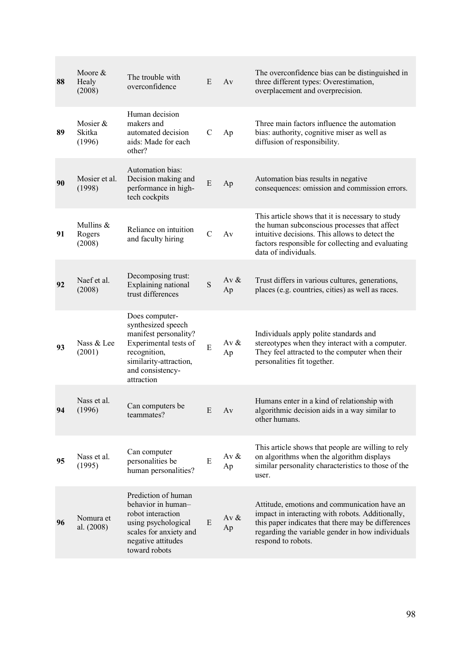| 88 | Moore &<br>Healy<br>(2008)    | The trouble with<br>overconfidence                                                                                                                                 | E             | Av            | The overconfidence bias can be distinguished in<br>three different types: Overestimation,<br>overplacement and overprecision.                                                                                                    |
|----|-------------------------------|--------------------------------------------------------------------------------------------------------------------------------------------------------------------|---------------|---------------|----------------------------------------------------------------------------------------------------------------------------------------------------------------------------------------------------------------------------------|
| 89 | Mosier &<br>Skitka<br>(1996)  | Human decision<br>makers and<br>automated decision<br>aids: Made for each<br>other?                                                                                | C             | Ap            | Three main factors influence the automation<br>bias: authority, cognitive miser as well as<br>diffusion of responsibility.                                                                                                       |
| 90 | Mosier et al.<br>(1998)       | Automation bias:<br>Decision making and<br>performance in high-<br>tech cockpits                                                                                   | E             | Ap            | Automation bias results in negative<br>consequences: omission and commission errors.                                                                                                                                             |
| 91 | Mullins &<br>Rogers<br>(2008) | Reliance on intuition<br>and faculty hiring                                                                                                                        | $\mathcal{C}$ | Av            | This article shows that it is necessary to study<br>the human subconscious processes that affect<br>intuitive decisions. This allows to detect the<br>factors responsible for collecting and evaluating<br>data of individuals.  |
| 92 | Naef et al.<br>(2008)         | Decomposing trust:<br>Explaining national<br>trust differences                                                                                                     | S             | Av $&$<br>Ap  | Trust differs in various cultures, generations,<br>places (e.g. countries, cities) as well as races.                                                                                                                             |
| 93 | Nass & Lee<br>(2001)          | Does computer-<br>synthesized speech<br>manifest personality?<br>Experimental tests of<br>recognition,<br>similarity-attraction,<br>and consistency-<br>attraction | E             | Av $&$<br>Ap  | Individuals apply polite standards and<br>stereotypes when they interact with a computer.<br>They feel attracted to the computer when their<br>personalities fit together.                                                       |
| 94 | Nass et al.<br>(1996)         | Can computers be<br>teammates?                                                                                                                                     | E             | Av            | Humans enter in a kind of relationship with<br>algorithmic decision aids in a way similar to<br>other humans.                                                                                                                    |
| 95 | Nass et al.<br>(1995)         | Can computer<br>personalities be<br>human personalities?                                                                                                           | E             | Av $\&$<br>Ap | This article shows that people are willing to rely<br>on algorithms when the algorithm displays<br>similar personality characteristics to those of the<br>user.                                                                  |
| 96 | Nomura et<br>al. (2008)       | Prediction of human<br>behavior in human-<br>robot interaction<br>using psychological<br>scales for anxiety and<br>negative attitudes<br>toward robots             | E             | Av $\&$<br>Ap | Attitude, emotions and communication have an<br>impact in interacting with robots. Additionally,<br>this paper indicates that there may be differences<br>regarding the variable gender in how individuals<br>respond to robots. |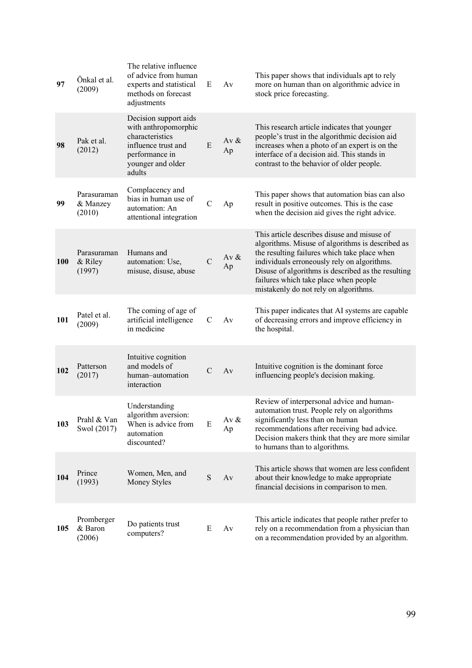| 97         | Önkal et al.<br>(2009)            | The relative influence<br>of advice from human<br>experts and statistical<br>methods on forecast<br>adjustments                          | E             | Av            | This paper shows that individuals apt to rely<br>more on human than on algorithmic advice in<br>stock price forecasting.                                                                                                                                                                                                               |
|------------|-----------------------------------|------------------------------------------------------------------------------------------------------------------------------------------|---------------|---------------|----------------------------------------------------------------------------------------------------------------------------------------------------------------------------------------------------------------------------------------------------------------------------------------------------------------------------------------|
| 98         | Pak et al.<br>(2012)              | Decision support aids<br>with anthropomorphic<br>characteristics<br>influence trust and<br>performance in<br>younger and older<br>adults | E             | Av $&$<br>Ap  | This research article indicates that younger<br>people's trust in the algorithmic decision aid<br>increases when a photo of an expert is on the<br>interface of a decision aid. This stands in<br>contrast to the behavior of older people.                                                                                            |
| 99         | Parasuraman<br>& Manzey<br>(2010) | Complacency and<br>bias in human use of<br>automation: An<br>attentional integration                                                     | $\mathbf C$   | Ap            | This paper shows that automation bias can also<br>result in positive outcomes. This is the case<br>when the decision aid gives the right advice.                                                                                                                                                                                       |
| <b>100</b> | Parasuraman<br>& Riley<br>(1997)  | Humans and<br>automation: Use,<br>misuse, disuse, abuse                                                                                  | $\mathcal{C}$ | Av $\&$<br>Ap | This article describes disuse and misuse of<br>algorithms. Misuse of algorithms is described as<br>the resulting failures which take place when<br>individuals erroneously rely on algorithms.<br>Disuse of algorithms is described as the resulting<br>failures which take place when people<br>mistakenly do not rely on algorithms. |
| 101        | Patel et al.<br>(2009)            | The coming of age of<br>artificial intelligence<br>in medicine                                                                           | $\mathcal{C}$ | Av            | This paper indicates that AI systems are capable<br>of decreasing errors and improve efficiency in<br>the hospital.                                                                                                                                                                                                                    |
| 102        | Patterson<br>(2017)               | Intuitive cognition<br>and models of<br>human-automation<br>interaction                                                                  | $\mathcal{C}$ | Av            | Intuitive cognition is the dominant force<br>influencing people's decision making.                                                                                                                                                                                                                                                     |
| 103        | Prahl & Van<br>Swol (2017)        | Understanding<br>algorithm aversion:<br>When is advice from<br>automation<br>discounted?                                                 | Ε             | Av $\&$<br>Ap | Review of interpersonal advice and human-<br>automation trust. People rely on algorithms<br>significantly less than on human<br>recommendations after receiving bad advice.<br>Decision makers think that they are more similar<br>to humans than to algorithms.                                                                       |
| 104        | Prince<br>(1993)                  | Women, Men, and<br>Money Styles                                                                                                          | S             | Av            | This article shows that women are less confident<br>about their knowledge to make appropriate<br>financial decisions in comparison to men.                                                                                                                                                                                             |
| 105        | Promberger<br>& Baron<br>(2006)   | Do patients trust<br>computers?                                                                                                          | E             | Av            | This article indicates that people rather prefer to<br>rely on a recommendation from a physician than<br>on a recommendation provided by an algorithm.                                                                                                                                                                                 |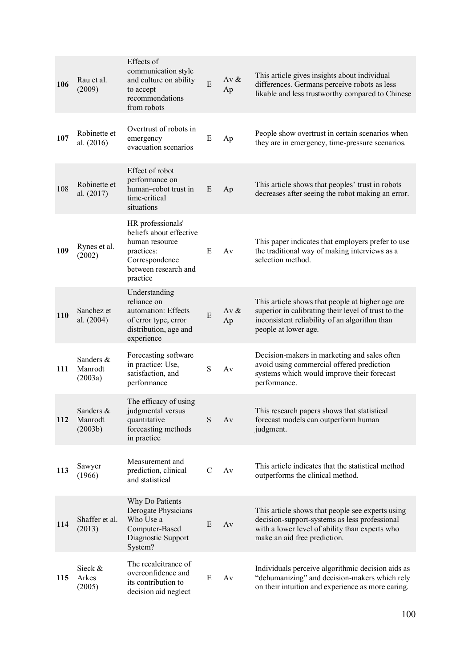| 106 | Rau et al.<br>(2009)            | Effects of<br>communication style<br>and culture on ability<br>to accept<br>recommendations<br>from robots                         | E             | Av $\&$<br>Ap | This article gives insights about individual<br>differences. Germans perceive robots as less<br>likable and less trustworthy compared to Chinese                                    |
|-----|---------------------------------|------------------------------------------------------------------------------------------------------------------------------------|---------------|---------------|-------------------------------------------------------------------------------------------------------------------------------------------------------------------------------------|
| 107 | Robinette et<br>al. (2016)      | Overtrust of robots in<br>emergency<br>evacuation scenarios                                                                        | Ε             | Ap            | People show overtrust in certain scenarios when<br>they are in emergency, time-pressure scenarios.                                                                                  |
| 108 | Robinette et<br>al. (2017)      | Effect of robot<br>performance on<br>human-robot trust in<br>time-critical<br>situations                                           | E             | Ap            | This article shows that peoples' trust in robots<br>decreases after seeing the robot making an error.                                                                               |
| 109 | Rynes et al.<br>(2002)          | HR professionals'<br>beliefs about effective<br>human resource<br>practices:<br>Correspondence<br>between research and<br>practice | E             | Av            | This paper indicates that employers prefer to use<br>the traditional way of making interviews as a<br>selection method.                                                             |
| 110 | Sanchez et<br>al. (2004)        | Understanding<br>reliance on<br>automation: Effects<br>of error type, error<br>distribution, age and<br>experience                 | E             | Av $\&$<br>Ap | This article shows that people at higher age are<br>superior in calibrating their level of trust to the<br>inconsistent reliability of an algorithm than<br>people at lower age.    |
| 111 | Sanders &<br>Manrodt<br>(2003a) | Forecasting software<br>in practice: Use,<br>satisfaction, and<br>performance                                                      | S             | Av            | Decision-makers in marketing and sales often<br>avoid using commercial offered prediction<br>systems which would improve their forecast<br>performance.                             |
| 112 | Sanders &<br>Manrodt<br>(2003b) | The efficacy of using<br>judgmental versus<br>quantitative<br>forecasting methods<br>in practice                                   | S             | Av            | This research papers shows that statistical<br>forecast models can outperform human<br>judgment.                                                                                    |
| 113 | Sawyer<br>(1966)                | Measurement and<br>prediction, clinical<br>and statistical                                                                         | $\mathcal{C}$ | Av            | This article indicates that the statistical method<br>outperforms the clinical method.                                                                                              |
| 114 | Shaffer et al.<br>(2013)        | Why Do Patients<br>Derogate Physicians<br>Who Use a<br>Computer-Based<br>Diagnostic Support<br>System?                             | E             | Av            | This article shows that people see experts using<br>decision-support-systems as less professional<br>with a lower level of ability than experts who<br>make an aid free prediction. |
| 115 | Sieck &<br>Arkes<br>(2005)      | The recalcitrance of<br>overconfidence and<br>its contribution to<br>decision aid neglect                                          | E             | Av            | Individuals perceive algorithmic decision aids as<br>"dehumanizing" and decision-makers which rely<br>on their intuition and experience as more caring.                             |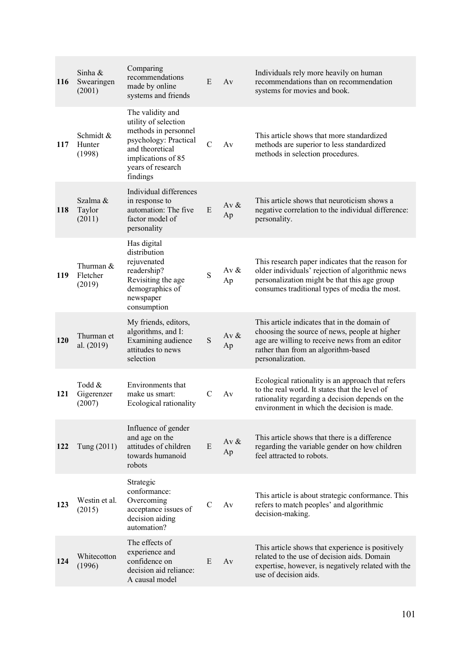| 116 | Sinha &<br>Swearingen<br>(2001) | Comparing<br>recommendations<br>made by online<br>systems and friends                                                                                               | E             | Av           | Individuals rely more heavily on human<br>recommendations than on recommendation<br>systems for movies and book.                                                                                           |
|-----|---------------------------------|---------------------------------------------------------------------------------------------------------------------------------------------------------------------|---------------|--------------|------------------------------------------------------------------------------------------------------------------------------------------------------------------------------------------------------------|
| 117 | Schmidt &<br>Hunter<br>(1998)   | The validity and<br>utility of selection<br>methods in personnel<br>psychology: Practical<br>and theoretical<br>implications of 85<br>years of research<br>findings | $\mathcal{C}$ | Av           | This article shows that more standardized<br>methods are superior to less standardized<br>methods in selection procedures.                                                                                 |
| 118 | Szalma &<br>Taylor<br>(2011)    | Individual differences<br>in response to<br>automation: The five<br>factor model of<br>personality                                                                  | E             | Av $&$<br>Ap | This article shows that neuroticism shows a<br>negative correlation to the individual difference:<br>personality.                                                                                          |
| 119 | Thurman &<br>Fletcher<br>(2019) | Has digital<br>distribution<br>rejuvenated<br>readership?<br>Revisiting the age<br>demographics of<br>newspaper<br>consumption                                      | S             | Av &<br>Ap   | This research paper indicates that the reason for<br>older individuals' rejection of algorithmic news<br>personalization might be that this age group<br>consumes traditional types of media the most.     |
| 120 | Thurman et<br>al. (2019)        | My friends, editors,<br>algorithms, and I:<br>Examining audience<br>attitudes to news<br>selection                                                                  | S             | Av $&$<br>Ap | This article indicates that in the domain of<br>choosing the source of news, people at higher<br>age are willing to receive news from an editor<br>rather than from an algorithm-based<br>personalization. |
| 121 | Todd &<br>Gigerenzer<br>(2007)  | Environments that<br>make us smart:<br>Ecological rationality                                                                                                       | $\mathcal{C}$ | Av           | Ecological rationality is an approach that refers<br>to the real world. It states that the level of<br>rationality regarding a decision depends on the<br>environment in which the decision is made.       |
| 122 | Tung (2011)                     | Influence of gender<br>and age on the<br>attitudes of children<br>towards humanoid<br>robots                                                                        | E             | Av $&$<br>Ap | This article shows that there is a difference<br>regarding the variable gender on how children<br>feel attracted to robots.                                                                                |
| 123 | Westin et al.<br>(2015)         | Strategic<br>conformance:<br>Overcoming<br>acceptance issues of<br>decision aiding<br>automation?                                                                   | C             | Av           | This article is about strategic conformance. This<br>refers to match peoples' and algorithmic<br>decision-making.                                                                                          |
| 124 | Whitecotton<br>(1996)           | The effects of<br>experience and<br>confidence on<br>decision aid reliance:<br>A causal model                                                                       | E             | Av           | This article shows that experience is positively<br>related to the use of decision aids. Domain<br>expertise, however, is negatively related with the<br>use of decision aids.                             |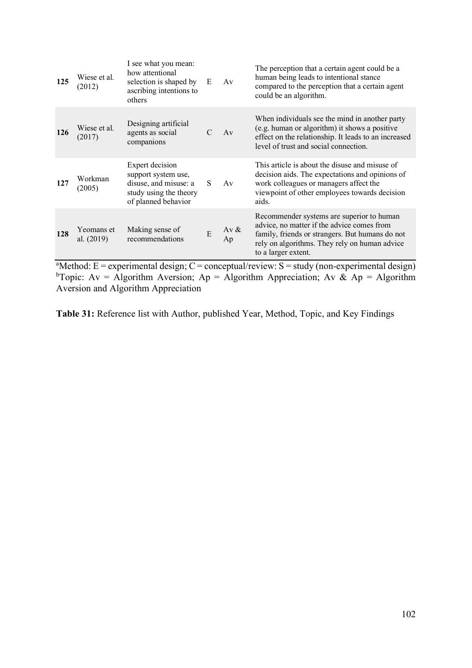| 125 | Wiese et al.<br>(2012)   | I see what you mean:<br>how attentional<br>selection is shaped by<br>ascribing intentions to<br>others           | Ε             | Av            | The perception that a certain agent could be a<br>human being leads to intentional stance<br>compared to the perception that a certain agent<br>could be an algorithm.                                             |
|-----|--------------------------|------------------------------------------------------------------------------------------------------------------|---------------|---------------|--------------------------------------------------------------------------------------------------------------------------------------------------------------------------------------------------------------------|
| 126 | Wiese et al.<br>(2017)   | Designing artificial<br>agents as social<br>companions                                                           | $\mathcal{C}$ | Av            | When individuals see the mind in another party<br>(e.g. human or algorithm) it shows a positive<br>effect on the relationship. It leads to an increased<br>level of trust and social connection.                   |
| 127 | Workman<br>(2005)        | Expert decision<br>support system use,<br>disuse, and misuse: a<br>study using the theory<br>of planned behavior | S.            | Av            | This article is about the disuse and misuse of<br>decision aids. The expectations and opinions of<br>work colleagues or managers affect the<br>viewpoint of other employees towards decision<br>aids.              |
| 128 | Yeomans et<br>al. (2019) | Making sense of<br>recommendations                                                                               | E             | Av $\&$<br>Ap | Recommender systems are superior to human<br>advice, no matter if the advice comes from<br>family, friends or strangers. But humans do not<br>rely on algorithms. They rely on human advice<br>to a larger extent. |

<sup>a</sup>Method: E = experimental design; C = conceptual/review: S = study (non-experimental design) <sup>b</sup>Topic: Av = Algorithm Aversion; Ap = Algorithm Appreciation; Av & Ap = Algorithm Aversion and Algorithm Appreciation

**Table 31:** Reference list with Author, published Year, Method, Topic, and Key Findings